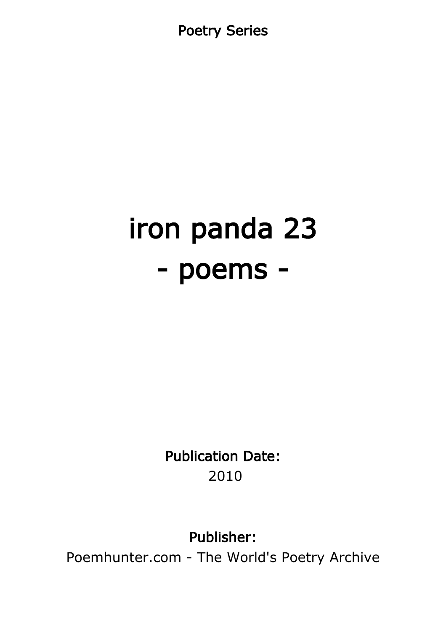Poetry Series

# iron panda 23 - poems -

Publication Date: 2010

Publisher:

Poemhunter.com - The World's Poetry Archive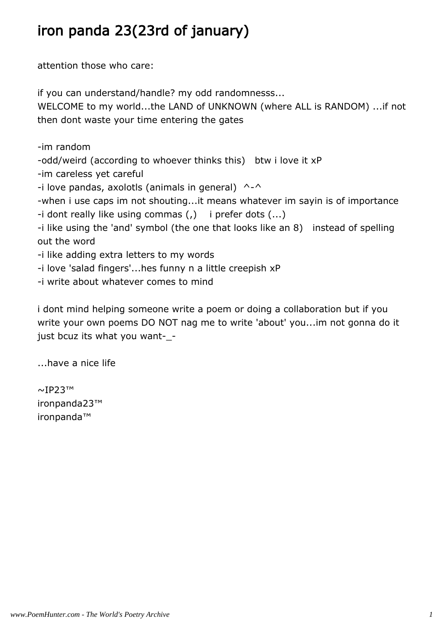# iron panda 23(23rd of january)

attention those who care:

if you can understand/handle? my odd randomnesss... WELCOME to my world...the LAND of UNKNOWN (where ALL is RANDOM) ...if not then dont waste your time entering the gates

-im random

-odd/weird (according to whoever thinks this) btw i love it xP

-im careless yet careful

-i love pandas, axolotls (animals in general)  $\wedge$ - $\wedge$ 

-when i use caps im not shouting...it means whatever im sayin is of importance

-i dont really like using commas (,) i prefer dots (...)

-i like using the 'and' symbol (the one that looks like an 8) instead of spelling out the word

-i like adding extra letters to my words

-i love 'salad fingers'...hes funny n a little creepish xP

-i write about whatever comes to mind

i dont mind helping someone write a poem or doing a collaboration but if you write your own poems DO NOT nag me to write 'about' you...im not gonna do it just bcuz its what you want-\_-

...have a nice life

~IP23™ ironpanda23™ ironpanda™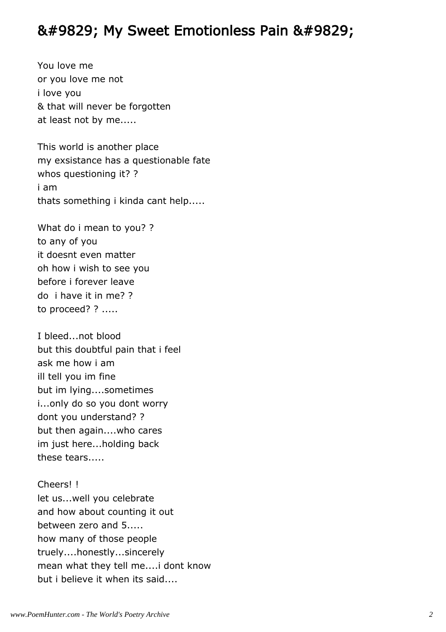#### ♥ My Sweet Emotionless Pain ♥

You love me or you love me not i love you & that will never be forgotten at least not by me.....

This world is another place my exsistance has a questionable fate whos questioning it? ? i am thats something i kinda cant help.....

What do i mean to you? ? to any of you it doesnt even matter oh how i wish to see you before i forever leave do i have it in me? ? to proceed? ? .....

I bleed...not blood but this doubtful pain that i feel ask me how i am ill tell you im fine but im lying....sometimes i...only do so you dont worry dont you understand? ? but then again....who cares im just here...holding back these tears.....

Cheers! ! let us...well you celebrate and how about counting it out between zero and 5..... how many of those people truely....honestly...sincerely mean what they tell me....i dont know but i believe it when its said....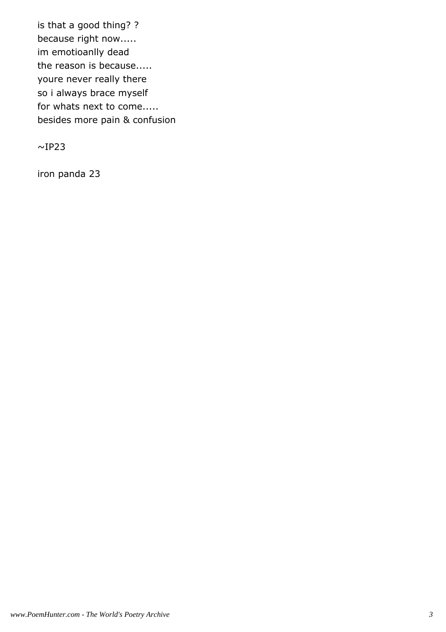is that a good thing? ? because right now..... im emotioanlly dead the reason is because..... youre never really there so i always brace myself for whats next to come..... besides more pain & confusion

 $~\sim$ IP23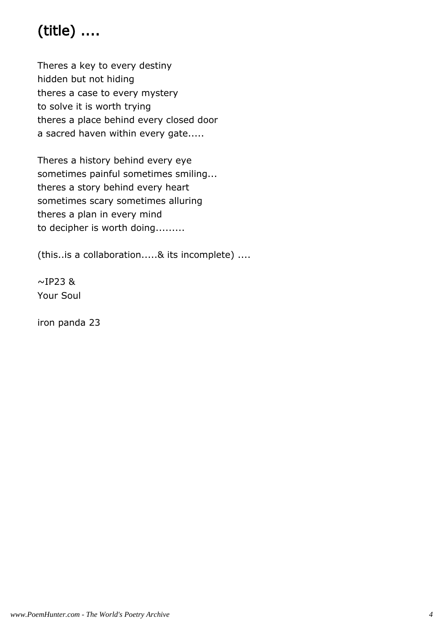# (title) ....

Theres a key to every destiny hidden but not hiding theres a case to every mystery to solve it is worth trying theres a place behind every closed door a sacred haven within every gate.....

Theres a history behind every eye sometimes painful sometimes smiling... theres a story behind every heart sometimes scary sometimes alluring theres a plan in every mind to decipher is worth doing.........

(this..is a collaboration.....& its incomplete) ....

 $\sim$ IP23 & Your Soul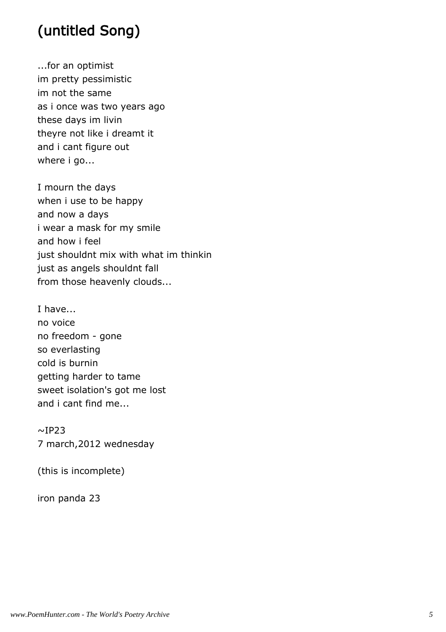# (untitled Song)

...for an optimist im pretty pessimistic im not the same as i once was two years ago these days im livin theyre not like i dreamt it and i cant figure out where i go...

I mourn the days when i use to be happy and now a days i wear a mask for my smile and how i feel just shouldnt mix with what im thinkin just as angels shouldnt fall from those heavenly clouds...

I have... no voice no freedom - gone so everlasting cold is burnin getting harder to tame sweet isolation's got me lost and i cant find me...

 $~\sim$ IP23 7 march,2012 wednesday

(this is incomplete)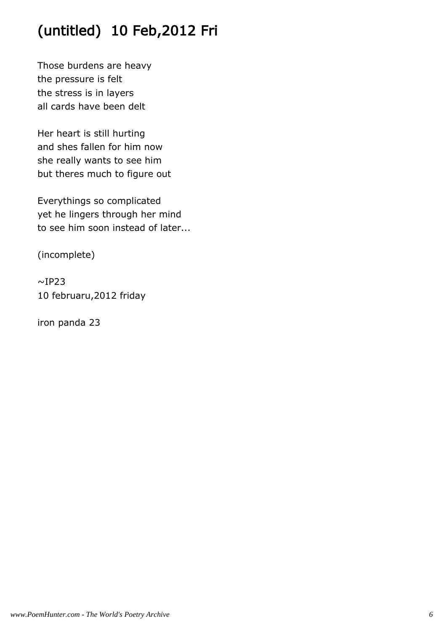# (untitled) 10 Feb,2012 Fri

Those burdens are heavy the pressure is felt the stress is in layers all cards have been delt

Her heart is still hurting and shes fallen for him now she really wants to see him but theres much to figure out

Everythings so complicated yet he lingers through her mind to see him soon instead of later...

(incomplete)

 $~\sim$ IP23 10 februaru,2012 friday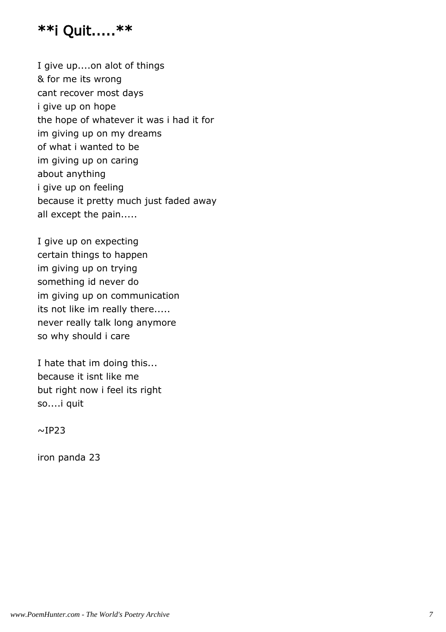#### \*\*i Quit.....\*\*

I give up....on alot of things & for me its wrong cant recover most days i give up on hope the hope of whatever it was i had it for im giving up on my dreams of what i wanted to be im giving up on caring about anything i give up on feeling because it pretty much just faded away all except the pain.....

I give up on expecting certain things to happen im giving up on trying something id never do im giving up on communication its not like im really there..... never really talk long anymore so why should i care

I hate that im doing this... because it isnt like me but right now i feel its right so....i quit

 $~\sim$ IP23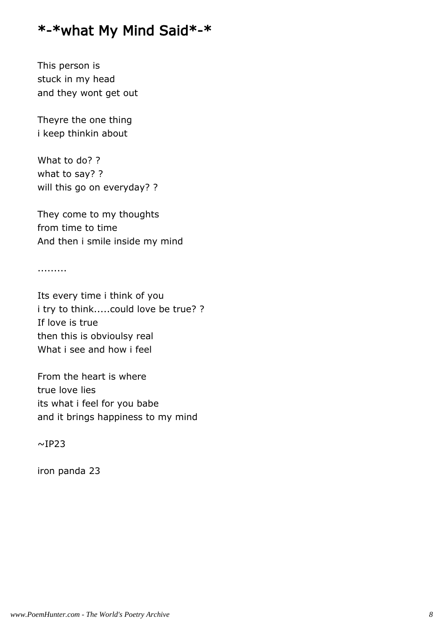#### \*-\*what My Mind Said\*-\*

This person is stuck in my head and they wont get out

Theyre the one thing i keep thinkin about

What to do? ? what to say? ? will this go on everyday? ?

They come to my thoughts from time to time And then i smile inside my mind

.........

Its every time i think of you i try to think.....could love be true? ? If love is true then this is obvioulsy real What i see and how i feel

From the heart is where true love lies its what i feel for you babe and it brings happiness to my mind

 $~\sim$ IP23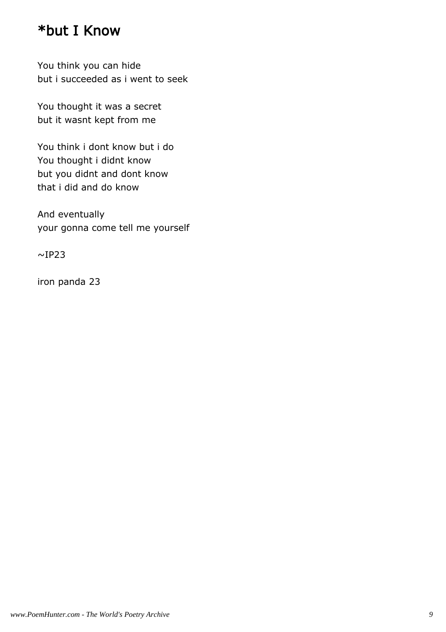#### \*but I Know

You think you can hide but i succeeded as i went to seek

You thought it was a secret but it wasnt kept from me

You think i dont know but i do You thought i didnt know but you didnt and dont know that i did and do know

And eventually your gonna come tell me yourself

 $~\sim$ IP23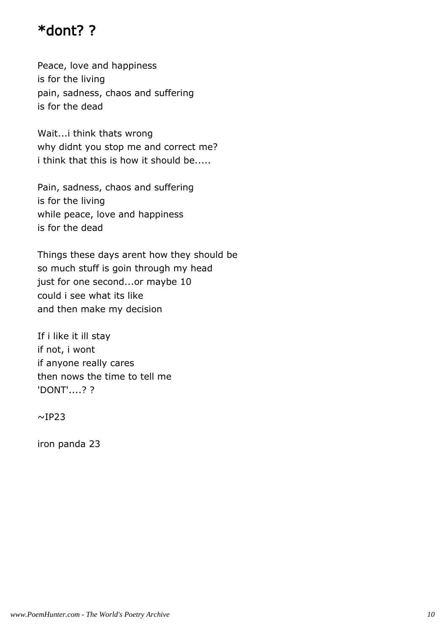#### \*dont? ?

Peace, love and happiness is for the living pain, sadness, chaos and suffering is for the dead

Wait...i think thats wrong why didnt you stop me and correct me? i think that this is how it should be.....

Pain, sadness, chaos and suffering is for the living while peace, love and happiness is for the dead

Things these days arent how they should be so much stuff is goin through my head just for one second...or maybe 10 could i see what its like and then make my decision

If i like it ill stay if not, i wont if anyone really cares then nows the time to tell me 'DONT'....? ?

 $~\sim$ IP23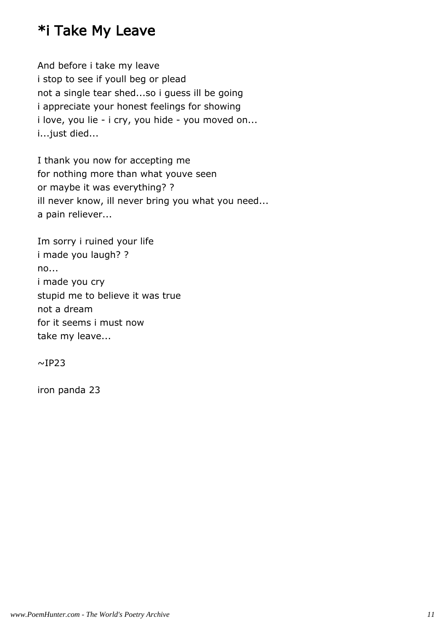## \*i Take My Leave

And before i take my leave i stop to see if youll beg or plead not a single tear shed...so i guess ill be going i appreciate your honest feelings for showing i love, you lie - i cry, you hide - you moved on... i...just died...

I thank you now for accepting me for nothing more than what youve seen or maybe it was everything? ? ill never know, ill never bring you what you need... a pain reliever...

Im sorry i ruined your life i made you laugh? ? no... i made you cry stupid me to believe it was true not a dream for it seems i must now take my leave...

 $~\sim$ IP23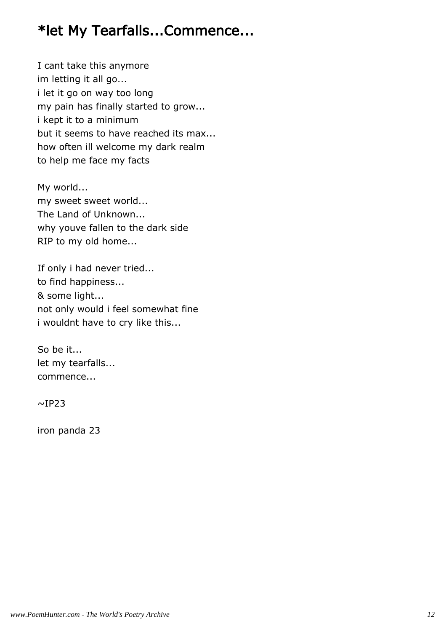# \*let My Tearfalls...Commence...

I cant take this anymore im letting it all go... i let it go on way too long my pain has finally started to grow... i kept it to a minimum but it seems to have reached its max... how often ill welcome my dark realm to help me face my facts

My world... my sweet sweet world... The Land of Unknown... why youve fallen to the dark side RIP to my old home...

If only i had never tried... to find happiness... & some light... not only would i feel somewhat fine i wouldnt have to cry like this...

So be it... let my tearfalls... commence...

 $~\sim$ IP23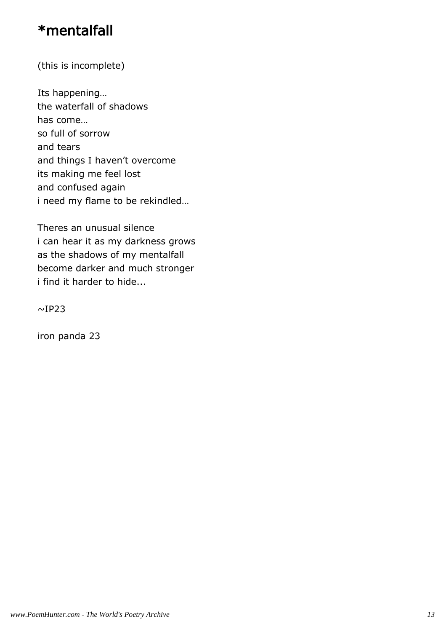### \*mentalfall

(this is incomplete)

Its happening… the waterfall of shadows has come… so full of sorrow and tears and things I haven't overcome its making me feel lost and confused again i need my flame to be rekindled…

Theres an unusual silence i can hear it as my darkness grows as the shadows of my mentalfall become darker and much stronger i find it harder to hide...

 $\sim$ IP23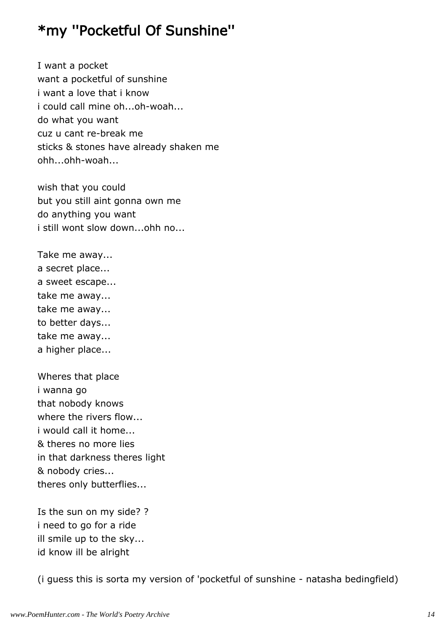### \*my ''Pocketful Of Sunshine''

I want a pocket want a pocketful of sunshine i want a love that i know i could call mine oh...oh-woah... do what you want cuz u cant re-break me sticks & stones have already shaken me ohh...ohh-woah...

wish that you could but you still aint gonna own me do anything you want i still wont slow down...ohh no...

Take me away... a secret place... a sweet escape... take me away... take me away... to better days... take me away... a higher place...

Wheres that place i wanna go that nobody knows where the rivers flow... i would call it home... & theres no more lies in that darkness theres light & nobody cries... theres only butterflies...

Is the sun on my side? ? i need to go for a ride ill smile up to the sky... id know ill be alright

(i guess this is sorta my version of 'pocketful of sunshine - natasha bedingfield)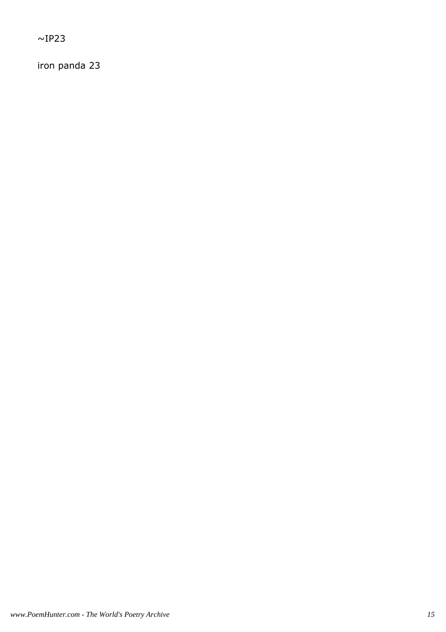$~\sim$ IP23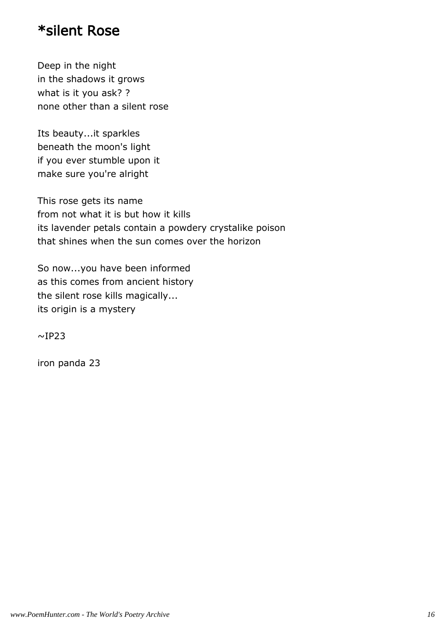#### \*silent Rose

Deep in the night in the shadows it grows what is it you ask? ? none other than a silent rose

Its beauty...it sparkles beneath the moon's light if you ever stumble upon it make sure you're alright

This rose gets its name from not what it is but how it kills its lavender petals contain a powdery crystalike poison that shines when the sun comes over the horizon

So now...you have been informed as this comes from ancient history the silent rose kills magically... its origin is a mystery

 $~\sim$ IP23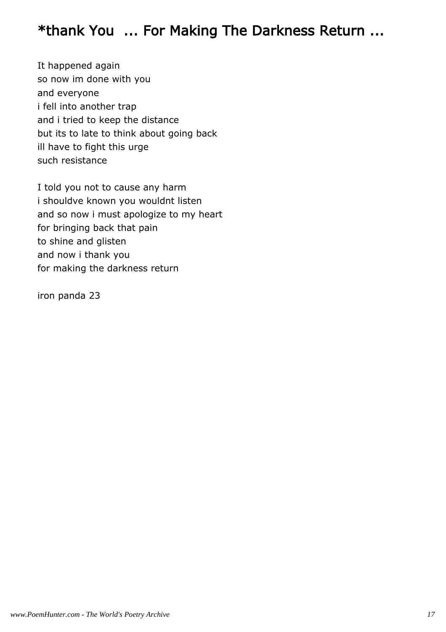### \*thank You ... For Making The Darkness Return ...

It happened again so now im done with you and everyone i fell into another trap and i tried to keep the distance but its to late to think about going back ill have to fight this urge such resistance

I told you not to cause any harm i shouldve known you wouldnt listen and so now i must apologize to my heart for bringing back that pain to shine and glisten and now i thank you for making the darkness return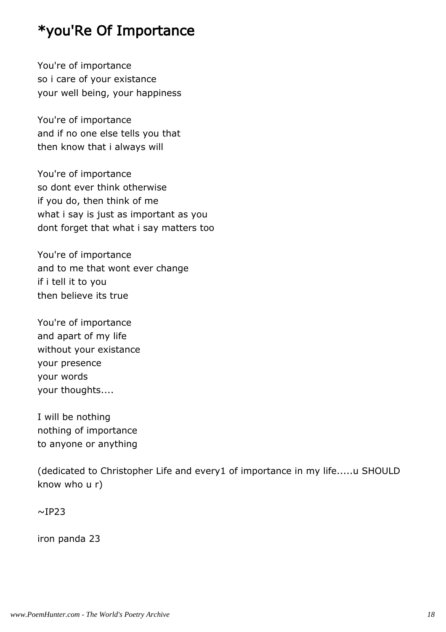## \*you'Re Of Importance

You're of importance so i care of your existance your well being, your happiness

You're of importance and if no one else tells you that then know that i always will

You're of importance so dont ever think otherwise if you do, then think of me what i say is just as important as you dont forget that what i say matters too

You're of importance and to me that wont ever change if i tell it to you then believe its true

You're of importance and apart of my life without your existance your presence your words your thoughts....

I will be nothing nothing of importance to anyone or anything

(dedicated to Christopher Life and every1 of importance in my life.....u SHOULD know who u r)

 $\sim$ IP23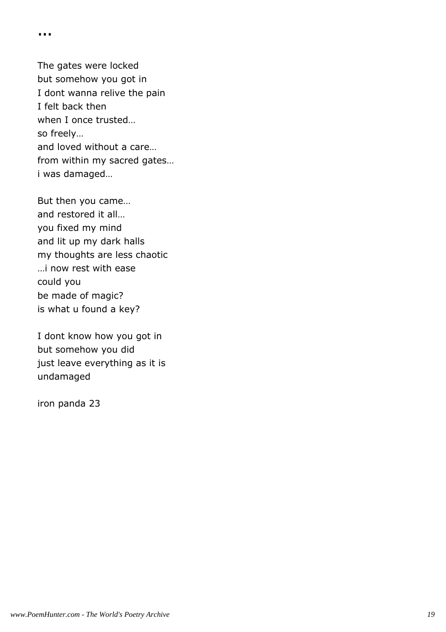...

The gates were locked but somehow you got in I dont wanna relive the pain I felt back then when I once trusted… so freely… and loved without a care… from within my sacred gates… i was damaged…

But then you came… and restored it all… you fixed my mind and lit up my dark halls my thoughts are less chaotic …i now rest with ease could you be made of magic? is what u found a key?

I dont know how you got in but somehow you did just leave everything as it is undamaged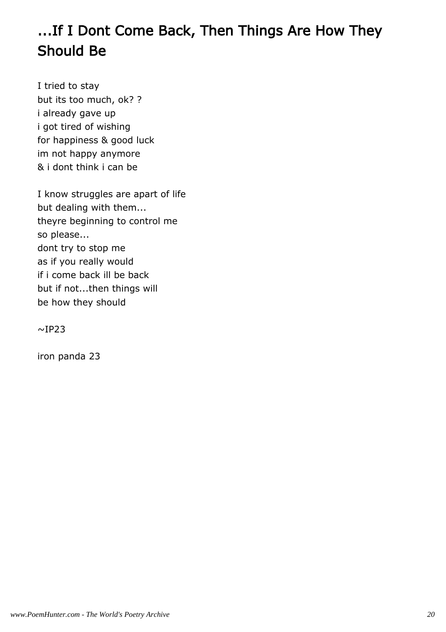# ...If I Dont Come Back, Then Things Are How They Should Be

I tried to stay but its too much, ok? ? i already gave up i got tired of wishing for happiness & good luck im not happy anymore & i dont think i can be

I know struggles are apart of life but dealing with them... theyre beginning to control me so please... dont try to stop me as if you really would if i come back ill be back but if not...then things will be how they should

 $\sim$ IP23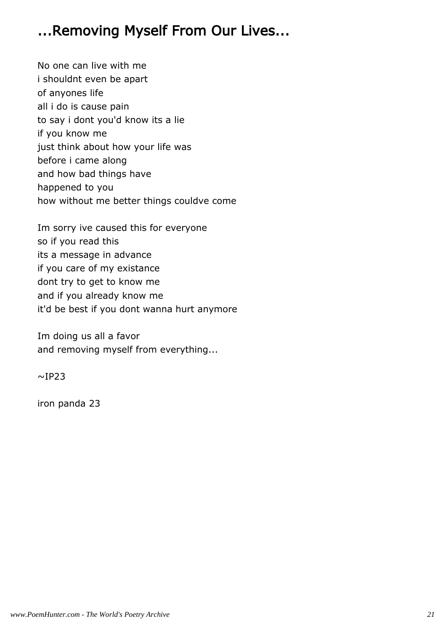## ...Removing Myself From Our Lives...

No one can live with me i shouldnt even be apart of anyones life all i do is cause pain to say i dont you'd know its a lie if you know me just think about how your life was before i came along and how bad things have happened to you how without me better things couldve come

Im sorry ive caused this for everyone so if you read this its a message in advance if you care of my existance dont try to get to know me and if you already know me it'd be best if you dont wanna hurt anymore

Im doing us all a favor and removing myself from everything...

 $~\sim$ IP23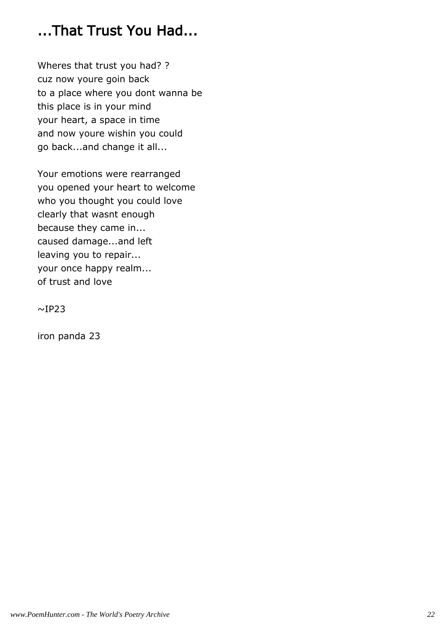# ...That Trust You Had...

Wheres that trust you had? ? cuz now youre goin back to a place where you dont wanna be this place is in your mind your heart, a space in time and now youre wishin you could go back...and change it all...

Your emotions were rearranged you opened your heart to welcome who you thought you could love clearly that wasnt enough because they came in... caused damage...and left leaving you to repair... your once happy realm... of trust and love

 $~\sim$ IP23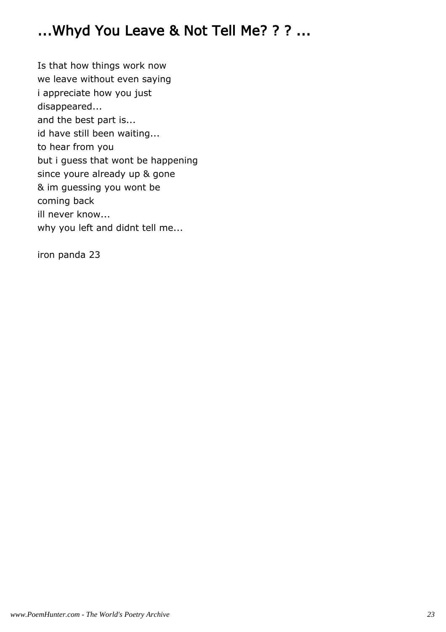# ...Whyd You Leave & Not Tell Me? ? ? ...

Is that how things work now we leave without even saying i appreciate how you just disappeared... and the best part is... id have still been waiting... to hear from you but i guess that wont be happening since youre already up & gone & im guessing you wont be coming back ill never know... why you left and didnt tell me...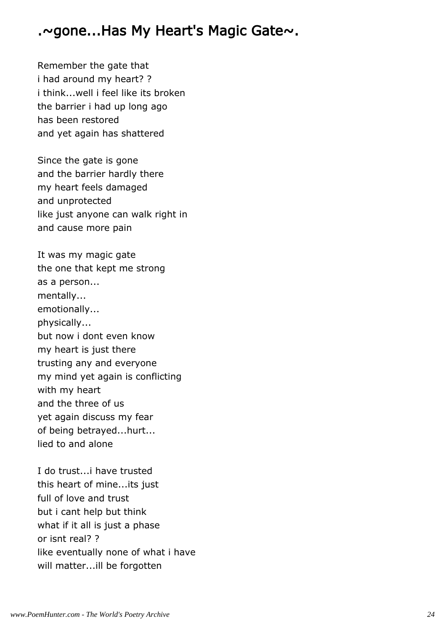#### .~gone...Has My Heart's Magic Gate~.

Remember the gate that i had around my heart? ? i think...well i feel like its broken the barrier i had up long ago has been restored and yet again has shattered

Since the gate is gone and the barrier hardly there my heart feels damaged and unprotected like just anyone can walk right in and cause more pain

It was my magic gate the one that kept me strong as a person... mentally... emotionally... physically... but now i dont even know my heart is just there trusting any and everyone my mind yet again is conflicting with my heart and the three of us yet again discuss my fear of being betrayed...hurt... lied to and alone

I do trust...i have trusted this heart of mine...its just full of love and trust but i cant help but think what if it all is just a phase or isnt real? ? like eventually none of what i have will matter...ill be forgotten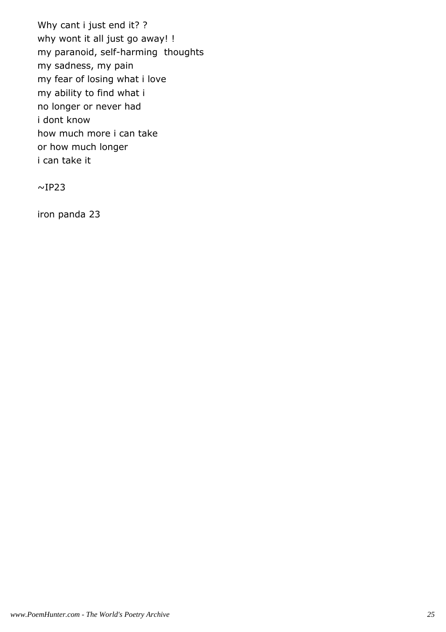Why cant i just end it? ? why wont it all just go away! ! my paranoid, self-harming thoughts my sadness, my pain my fear of losing what i love my ability to find what i no longer or never had i dont know how much more i can take or how much longer i can take it

 $\sim$ IP23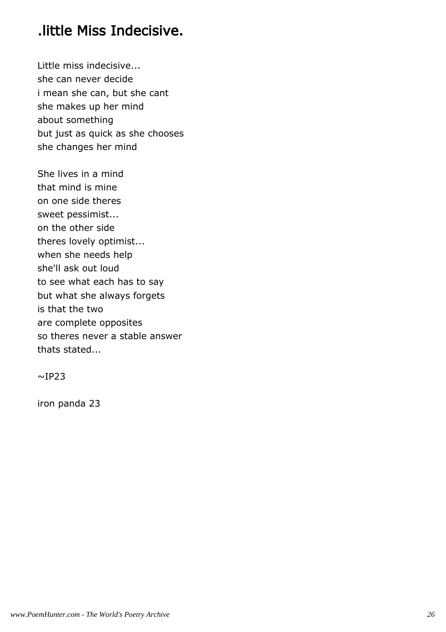### .little Miss Indecisive.

Little miss indecisive... she can never decide i mean she can, but she cant she makes up her mind about something but just as quick as she chooses she changes her mind

She lives in a mind that mind is mine on one side theres sweet pessimist... on the other side theres lovely optimist... when she needs help she'll ask out loud to see what each has to say but what she always forgets is that the two are complete opposites so theres never a stable answer thats stated...

 $\sim$ IP23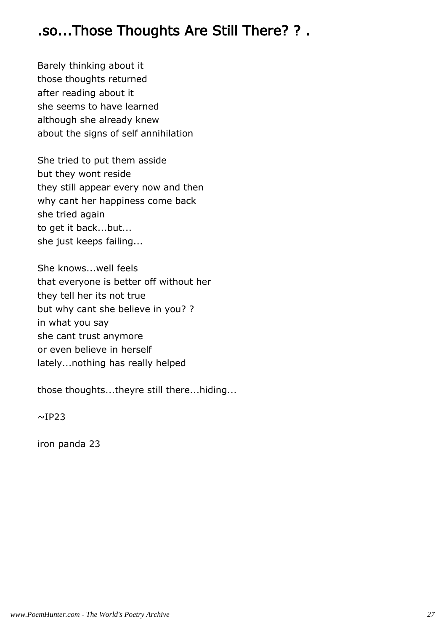#### .so...Those Thoughts Are Still There? ? .

Barely thinking about it those thoughts returned after reading about it she seems to have learned although she already knew about the signs of self annihilation

She tried to put them asside but they wont reside they still appear every now and then why cant her happiness come back she tried again to get it back...but... she just keeps failing...

She knows...well feels that everyone is better off without her they tell her its not true but why cant she believe in you? ? in what you say she cant trust anymore or even believe in herself lately...nothing has really helped

those thoughts...theyre still there...hiding...

 $~\sim$ IP23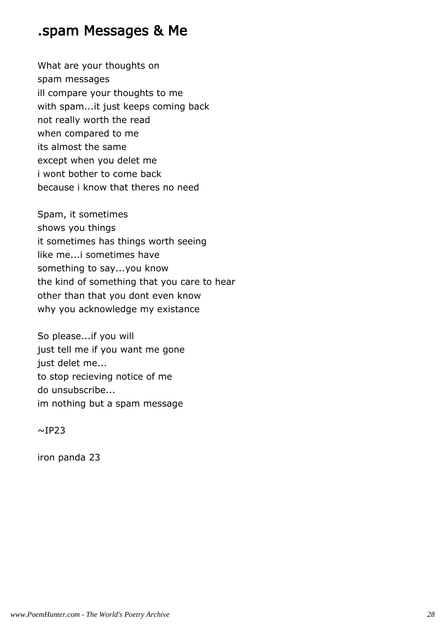#### .spam Messages & Me

What are your thoughts on spam messages ill compare your thoughts to me with spam...it just keeps coming back not really worth the read when compared to me its almost the same except when you delet me i wont bother to come back because i know that theres no need

Spam, it sometimes shows you things it sometimes has things worth seeing like me...i sometimes have something to say...you know the kind of something that you care to hear other than that you dont even know why you acknowledge my existance

So please...if you will just tell me if you want me gone just delet me... to stop recieving notice of me do unsubscribe... im nothing but a spam message

 $~\sim$ IP23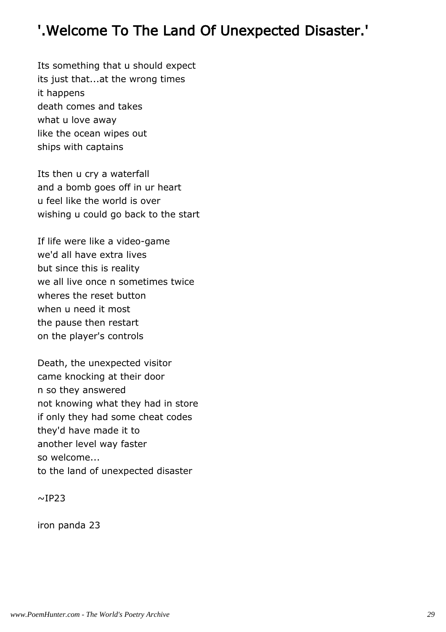# '.Welcome To The Land Of Unexpected Disaster.'

Its something that u should expect its just that...at the wrong times it happens death comes and takes what u love away like the ocean wipes out ships with captains

Its then u cry a waterfall and a bomb goes off in ur heart u feel like the world is over wishing u could go back to the start

If life were like a video-game we'd all have extra lives but since this is reality we all live once n sometimes twice wheres the reset button when u need it most the pause then restart on the player's controls

Death, the unexpected visitor came knocking at their door n so they answered not knowing what they had in store if only they had some cheat codes they'd have made it to another level way faster so welcome... to the land of unexpected disaster

 $~\sim$ IP23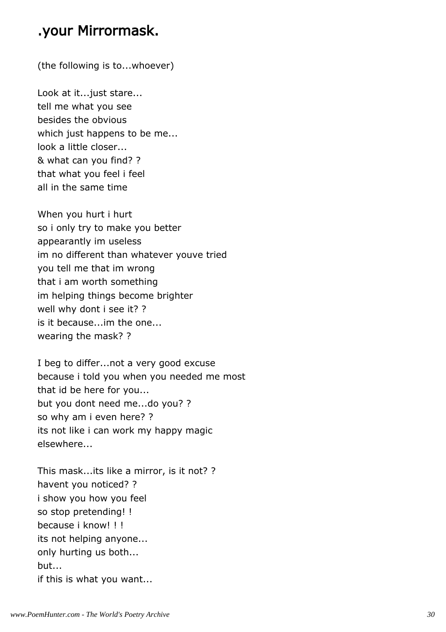#### .your Mirrormask.

(the following is to...whoever)

Look at it...just stare... tell me what you see besides the obvious which just happens to be me... look a little closer... & what can you find? ? that what you feel i feel all in the same time

When you hurt i hurt so i only try to make you better appearantly im useless im no different than whatever youve tried you tell me that im wrong that i am worth something im helping things become brighter well why dont i see it? ? is it because...im the one... wearing the mask? ?

I beg to differ...not a very good excuse because i told you when you needed me most that id be here for you... but you dont need me...do you? ? so why am i even here? ? its not like i can work my happy magic elsewhere...

This mask...its like a mirror, is it not? ? havent you noticed? ? i show you how you feel so stop pretending! ! because i know! ! ! its not helping anyone... only hurting us both... but... if this is what you want...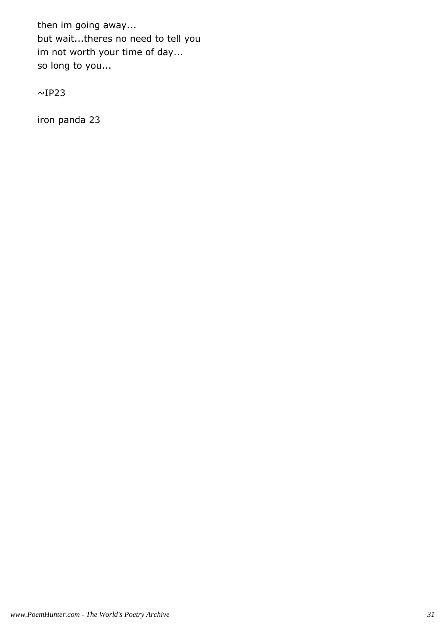then im going away... but wait...theres no need to tell you im not worth your time of day... so long to you...

 $\sim$ IP23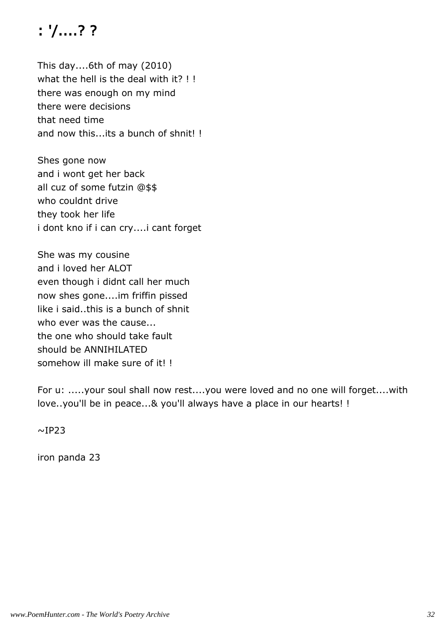# : '/....? ?

This day....6th of may (2010) what the hell is the deal with it? !! there was enough on my mind there were decisions that need time and now this...its a bunch of shnit! !

Shes gone now and i wont get her back all cuz of some futzin @\$\$ who couldnt drive they took her life i dont kno if i can cry....i cant forget

She was my cousine and i loved her ALOT even though i didnt call her much now shes gone....im friffin pissed like i said..this is a bunch of shnit who ever was the cause... the one who should take fault should be ANNIHILATED somehow ill make sure of it! !

For u: .....your soul shall now rest....you were loved and no one will forget....with love..you'll be in peace...& you'll always have a place in our hearts! !

 $~\sim$ IP23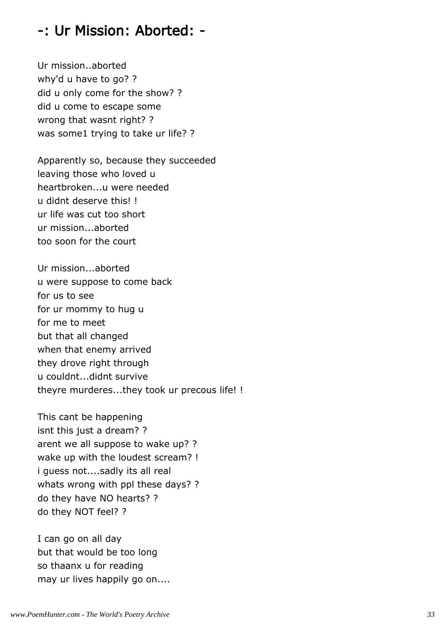#### -: Ur Mission: Aborted: -

Ur mission..aborted why'd u have to go? ? did u only come for the show? ? did u come to escape some wrong that wasnt right? ? was some1 trying to take ur life? ?

Apparently so, because they succeeded leaving those who loved u heartbroken...u were needed u didnt deserve this! ! ur life was cut too short ur mission...aborted too soon for the court

Ur mission...aborted u were suppose to come back for us to see for ur mommy to hug u for me to meet but that all changed when that enemy arrived they drove right through u couldnt...didnt survive theyre murderes...they took ur precous life! !

This cant be happening isnt this just a dream? ? arent we all suppose to wake up? ? wake up with the loudest scream? ! i guess not....sadly its all real whats wrong with ppl these days? ? do they have NO hearts? ? do they NOT feel? ?

I can go on all day but that would be too long so thaanx u for reading may ur lives happily go on....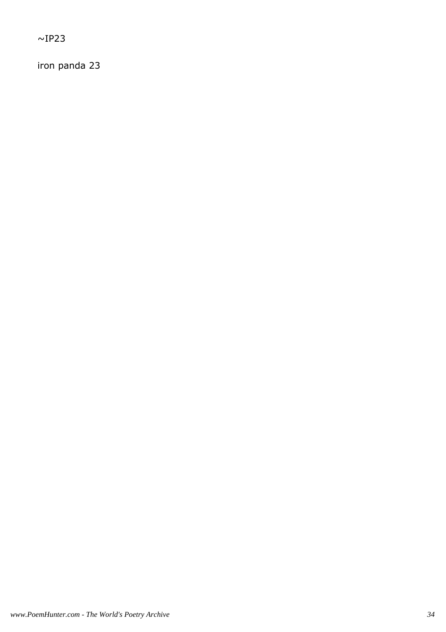$~\sim$ IP23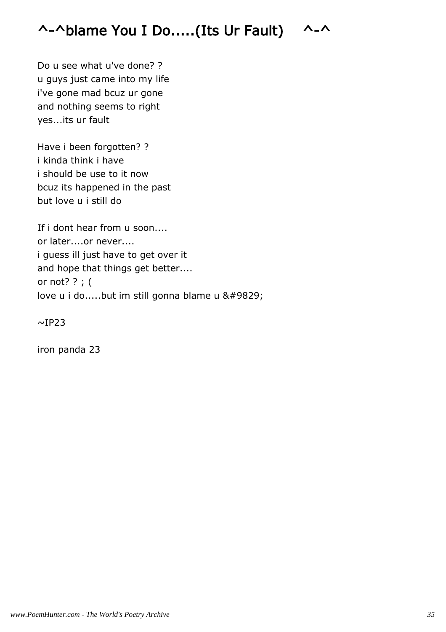## ^-^blame You I Do.....(Its Ur Fault) ^-^

Do u see what u've done? ? u guys just came into my life i've gone mad bcuz ur gone and nothing seems to right yes...its ur fault

Have i been forgotten? ? i kinda think i have i should be use to it now bcuz its happened in the past but love u i still do

If i dont hear from u soon.... or later....or never.... i guess ill just have to get over it and hope that things get better.... or not? ? ; ( love u i do.....but im still gonna blame u ♥

 $\sim$ IP23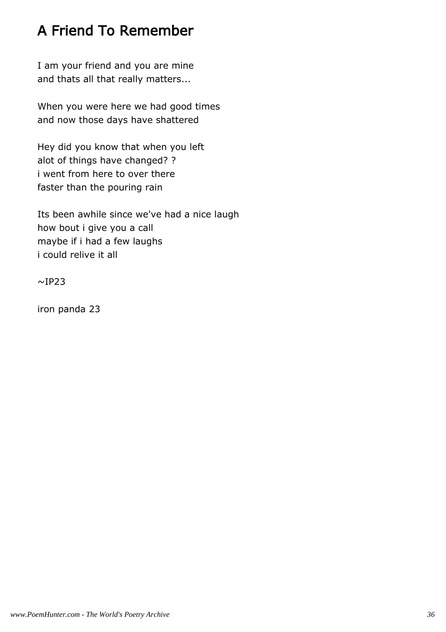## A Friend To Remember

I am your friend and you are mine and thats all that really matters...

When you were here we had good times and now those days have shattered

Hey did you know that when you left alot of things have changed? ? i went from here to over there faster than the pouring rain

Its been awhile since we've had a nice laugh how bout i give you a call maybe if i had a few laughs i could relive it all

 $~\sim$ IP23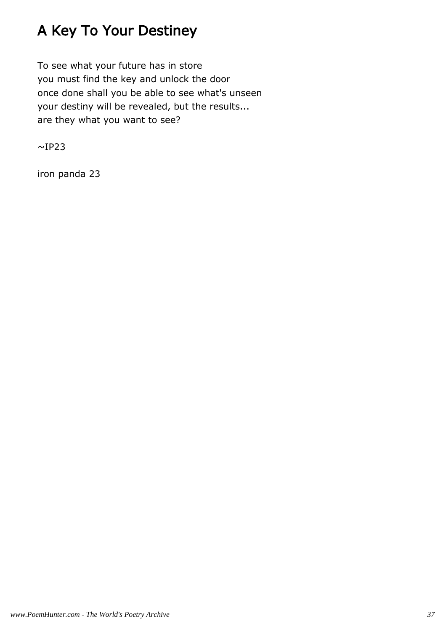# A Key To Your Destiney

To see what your future has in store you must find the key and unlock the door once done shall you be able to see what's unseen your destiny will be revealed, but the results... are they what you want to see?

 $~\sim$ IP23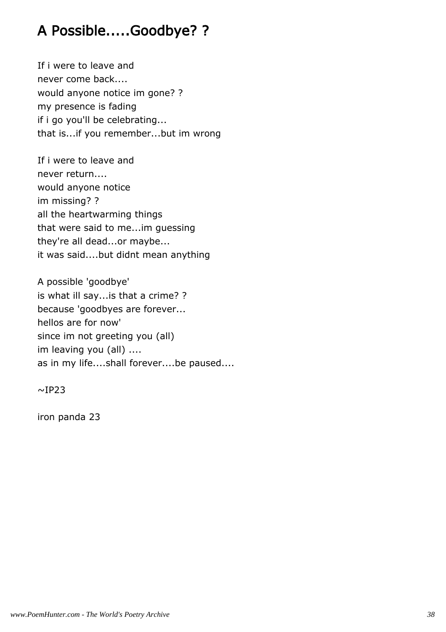### A Possible.....Goodbye? ?

If i were to leave and never come back.... would anyone notice im gone? ? my presence is fading if i go you'll be celebrating... that is...if you remember...but im wrong

If i were to leave and never return.... would anyone notice im missing? ? all the heartwarming things that were said to me...im guessing they're all dead...or maybe... it was said....but didnt mean anything

A possible 'goodbye' is what ill say...is that a crime? ? because 'goodbyes are forever... hellos are for now' since im not greeting you (all) im leaving you (all) .... as in my life....shall forever....be paused....

 $~\sim$ IP23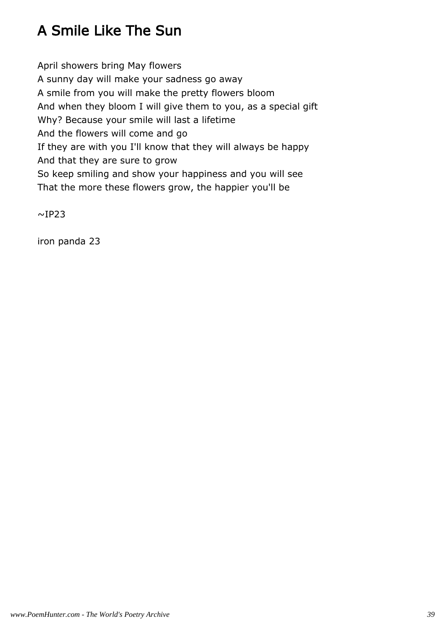# A Smile Like The Sun

April showers bring May flowers A sunny day will make your sadness go away A smile from you will make the pretty flowers bloom And when they bloom I will give them to you, as a special gift Why? Because your smile will last a lifetime And the flowers will come and go If they are with you I'll know that they will always be happy And that they are sure to grow So keep smiling and show your happiness and you will see That the more these flowers grow, the happier you'll be

 $~\sim$ IP23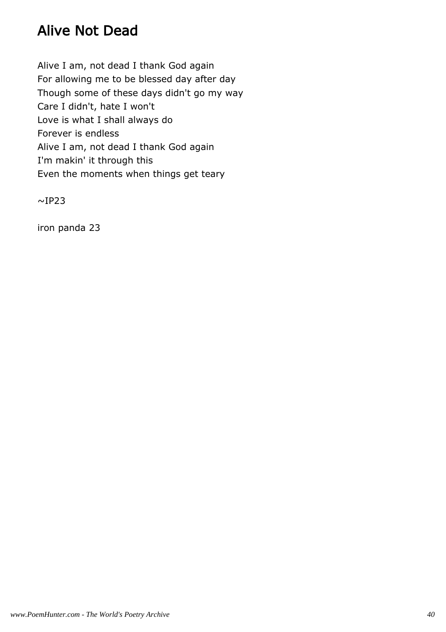### Alive Not Dead

Alive I am, not dead I thank God again For allowing me to be blessed day after day Though some of these days didn't go my way Care I didn't, hate I won't Love is what I shall always do Forever is endless Alive I am, not dead I thank God again I'm makin' it through this Even the moments when things get teary

 $~\sim$ IP23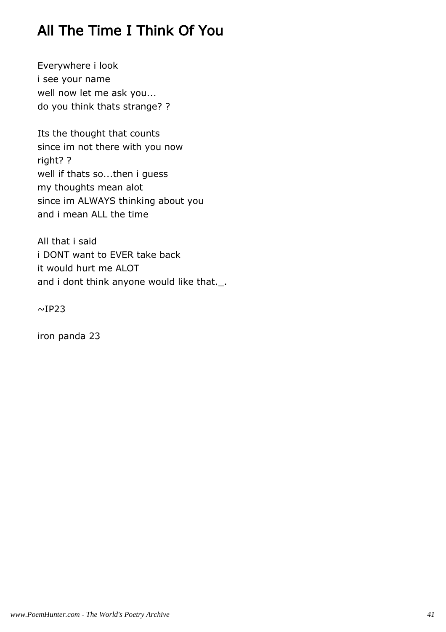## All The Time I Think Of You

Everywhere i look i see your name well now let me ask you... do you think thats strange? ?

Its the thought that counts since im not there with you now right? ? well if thats so...then i guess my thoughts mean alot since im ALWAYS thinking about you and i mean ALL the time

All that i said i DONT want to EVER take back it would hurt me ALOT and i dont think anyone would like that.\_.

 $\sim$ IP23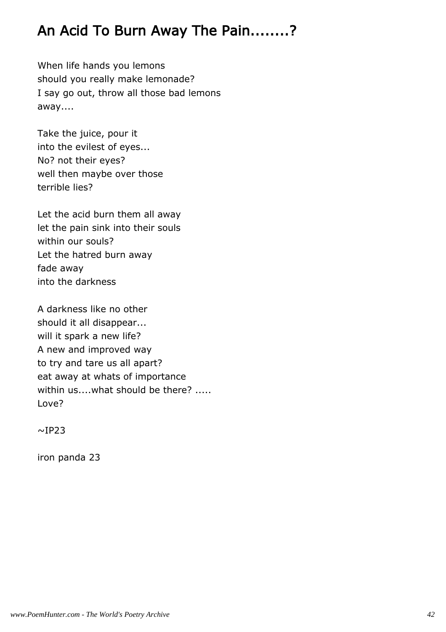## An Acid To Burn Away The Pain........?

When life hands you lemons should you really make lemonade? I say go out, throw all those bad lemons away....

Take the juice, pour it into the evilest of eyes... No? not their eyes? well then maybe over those terrible lies?

Let the acid burn them all away let the pain sink into their souls within our souls? Let the hatred burn away fade away into the darkness

A darkness like no other should it all disappear... will it spark a new life? A new and improved way to try and tare us all apart? eat away at whats of importance within us....what should be there? ..... Love?

 $~\sim$ IP23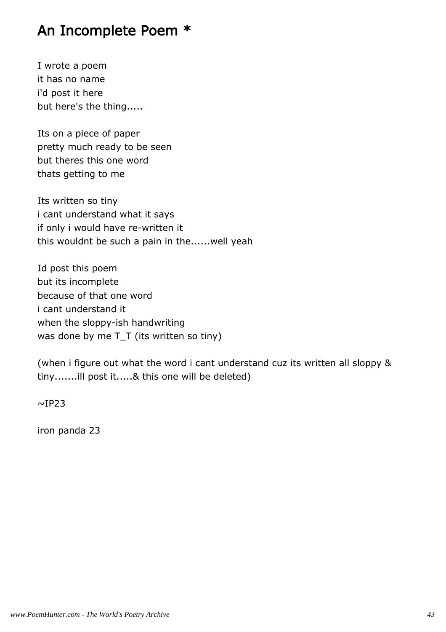#### An Incomplete Poem \*

I wrote a poem it has no name i'd post it here but here's the thing.....

Its on a piece of paper pretty much ready to be seen but theres this one word thats getting to me

Its written so tiny i cant understand what it says if only i would have re-written it this wouldnt be such a pain in the......well yeah

Id post this poem but its incomplete because of that one word i cant understand it when the sloppy-ish handwriting was done by me T\_T (its written so tiny)

(when i figure out what the word i cant understand cuz its written all sloppy & tiny.......ill post it.....& this one will be deleted)

 $\sim$ IP23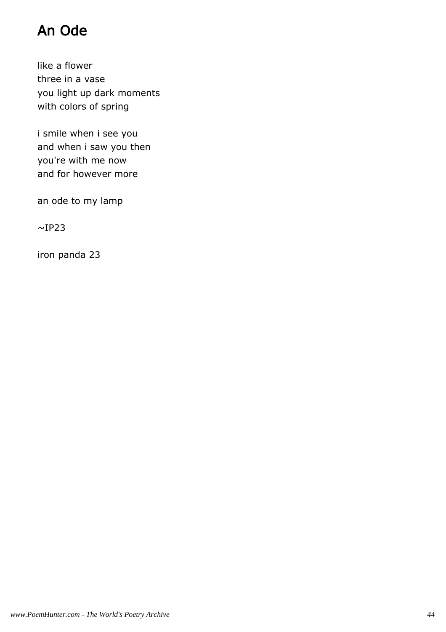# An Ode

like a flower three in a vase you light up dark moments with colors of spring

i smile when i see you and when i saw you then you're with me now and for however more

an ode to my lamp

 $\sim$ IP23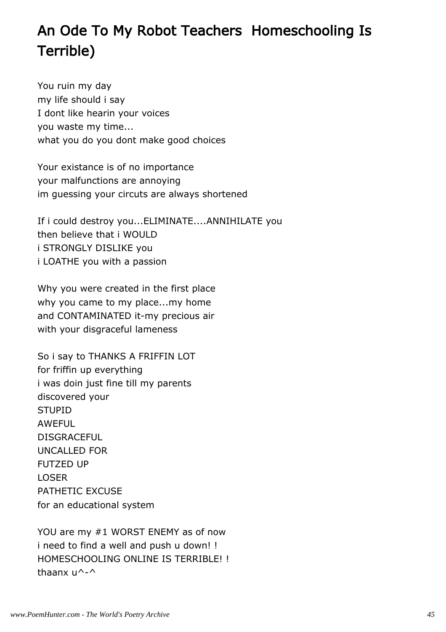# An Ode To My Robot Teachers Homeschooling Is Terrible)

You ruin my day my life should i say I dont like hearin your voices you waste my time... what you do you dont make good choices

Your existance is of no importance your malfunctions are annoying im guessing your circuts are always shortened

If i could destroy you...ELIMINATE....ANNIHILATE you then believe that i WOULD i STRONGLY DISLIKE you i LOATHE you with a passion

Why you were created in the first place why you came to my place...my home and CONTAMINATED it-my precious air with your disgraceful lameness

So i say to THANKS A FRIFFIN LOT for friffin up everything i was doin just fine till my parents discovered your **STUPID AWFFUL** DISGRACEFUL UNCALLED FOR FUTZED UP LOSER PATHETIC EXCUSE for an educational system

YOU are my #1 WORST ENEMY as of now i need to find a well and push u down! ! HOMESCHOOLING ONLINE IS TERRIBLE! ! thaanx u^-^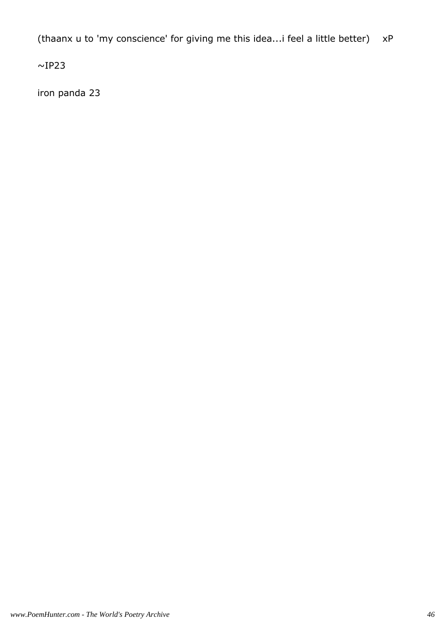(thaanx u to 'my conscience' for giving me this idea...i feel a little better) xP

 $\sim$ IP23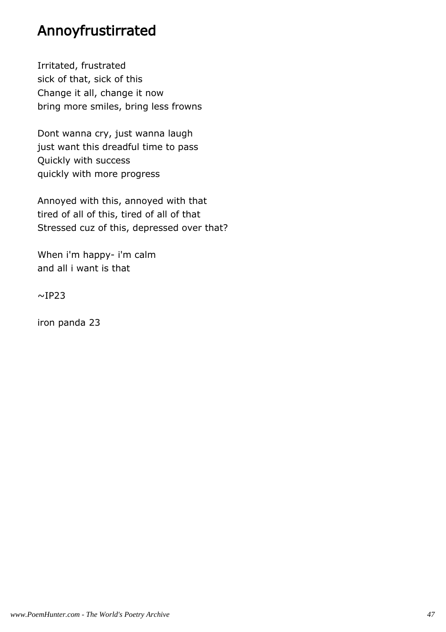### Annoyfrustirrated

Irritated, frustrated sick of that, sick of this Change it all, change it now bring more smiles, bring less frowns

Dont wanna cry, just wanna laugh just want this dreadful time to pass Quickly with success quickly with more progress

Annoyed with this, annoyed with that tired of all of this, tired of all of that Stressed cuz of this, depressed over that?

When i'm happy- i'm calm and all i want is that

 $\sim$ IP23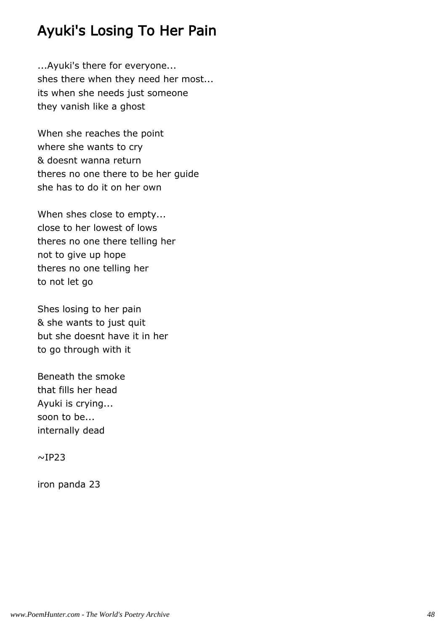### Ayuki's Losing To Her Pain

...Ayuki's there for everyone... shes there when they need her most... its when she needs just someone they vanish like a ghost

When she reaches the point where she wants to cry & doesnt wanna return theres no one there to be her guide she has to do it on her own

When shes close to empty... close to her lowest of lows theres no one there telling her not to give up hope theres no one telling her to not let go

Shes losing to her pain & she wants to just quit but she doesnt have it in her to go through with it

Beneath the smoke that fills her head Ayuki is crying... soon to be... internally dead

 $\sim$ IP23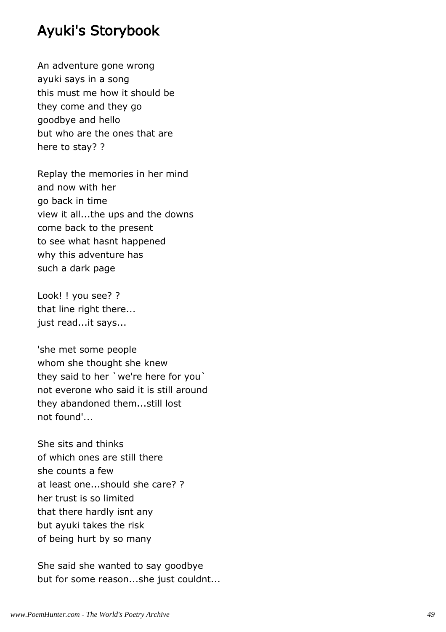#### Ayuki's Storybook

An adventure gone wrong ayuki says in a song this must me how it should be they come and they go goodbye and hello but who are the ones that are here to stay? ?

Replay the memories in her mind and now with her go back in time view it all...the ups and the downs come back to the present to see what hasnt happened why this adventure has such a dark page

Look! ! you see? ? that line right there... just read...it says...

'she met some people whom she thought she knew they said to her `we're here for you` not everone who said it is still around they abandoned them...still lost not found'...

She sits and thinks of which ones are still there she counts a few at least one...should she care? ? her trust is so limited that there hardly isnt any but ayuki takes the risk of being hurt by so many

She said she wanted to say goodbye but for some reason...she just couldnt...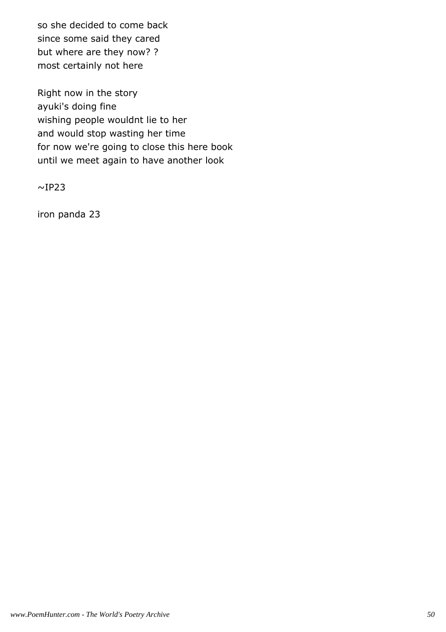so she decided to come back since some said they cared but where are they now? ? most certainly not here

Right now in the story ayuki's doing fine wishing people wouldnt lie to her and would stop wasting her time for now we're going to close this here book until we meet again to have another look

 $~\sim$ IP23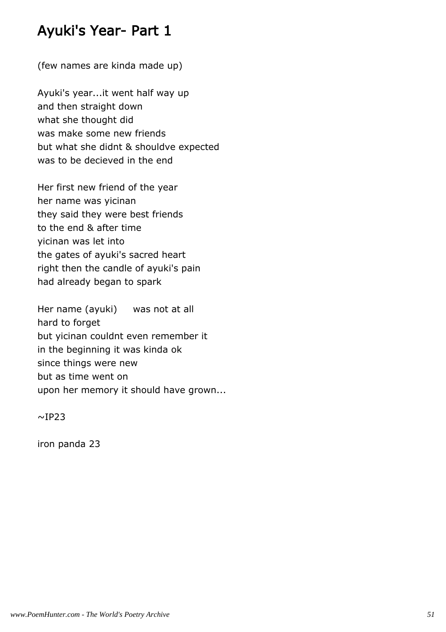### Ayuki's Year- Part 1

(few names are kinda made up)

Ayuki's year...it went half way up and then straight down what she thought did was make some new friends but what she didnt & shouldve expected was to be decieved in the end

Her first new friend of the year her name was yicinan they said they were best friends to the end & after time yicinan was let into the gates of ayuki's sacred heart right then the candle of ayuki's pain had already began to spark

Her name (ayuki) was not at all hard to forget but yicinan couldnt even remember it in the beginning it was kinda ok since things were new but as time went on upon her memory it should have grown...

 $~\sim$ IP23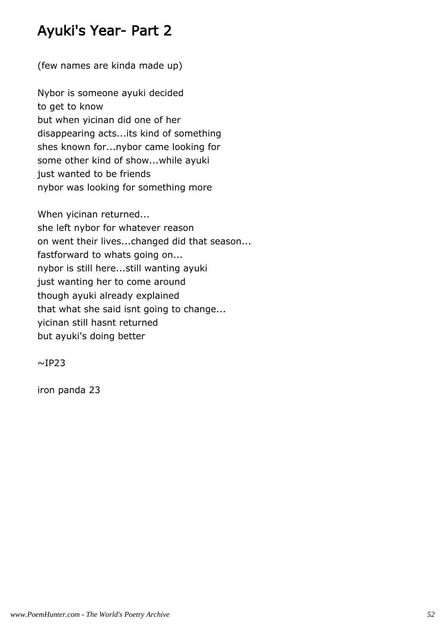### Ayuki's Year- Part 2

(few names are kinda made up)

Nybor is someone ayuki decided to get to know but when yicinan did one of her disappearing acts...its kind of something shes known for...nybor came looking for some other kind of show...while ayuki just wanted to be friends nybor was looking for something more

When yicinan returned... she left nybor for whatever reason on went their lives...changed did that season... fastforward to whats going on... nybor is still here...still wanting ayuki just wanting her to come around though ayuki already explained that what she said isnt going to change... yicinan still hasnt returned but ayuki's doing better

 $\sim$ IP23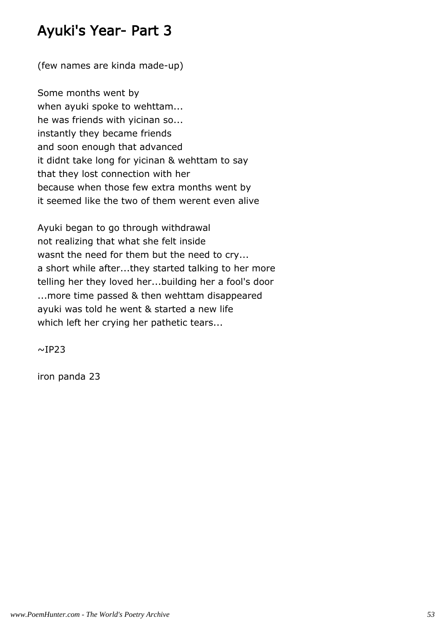### Ayuki's Year- Part 3

(few names are kinda made-up)

Some months went by when ayuki spoke to wehttam... he was friends with yicinan so... instantly they became friends and soon enough that advanced it didnt take long for yicinan & wehttam to say that they lost connection with her because when those few extra months went by it seemed like the two of them werent even alive

Ayuki began to go through withdrawal not realizing that what she felt inside wasnt the need for them but the need to cry... a short while after...they started talking to her more telling her they loved her...building her a fool's door ...more time passed & then wehttam disappeared ayuki was told he went & started a new life which left her crying her pathetic tears...

 $~\sim$ IP23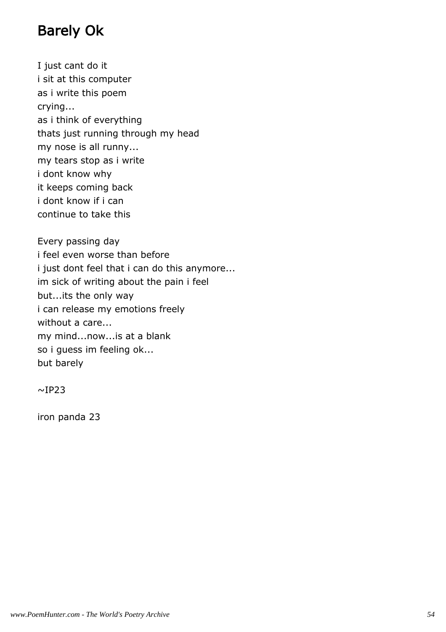### Barely Ok

I just cant do it i sit at this computer as i write this poem crying... as i think of everything thats just running through my head my nose is all runny... my tears stop as i write i dont know why it keeps coming back i dont know if i can continue to take this

Every passing day i feel even worse than before i just dont feel that i can do this anymore... im sick of writing about the pain i feel but...its the only way i can release my emotions freely without a care... my mind...now...is at a blank so i guess im feeling ok... but barely

 $~\sim$ IP23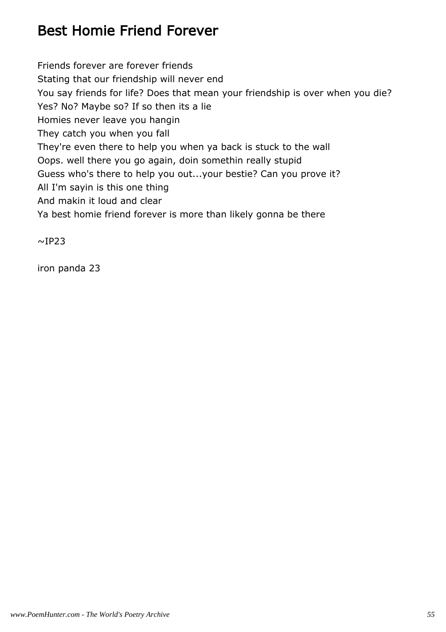## Best Homie Friend Forever

Friends forever are forever friends Stating that our friendship will never end You say friends for life? Does that mean your friendship is over when you die? Yes? No? Maybe so? If so then its a lie Homies never leave you hangin They catch you when you fall They're even there to help you when ya back is stuck to the wall Oops. well there you go again, doin somethin really stupid Guess who's there to help you out...your bestie? Can you prove it? All I'm sayin is this one thing And makin it loud and clear Ya best homie friend forever is more than likely gonna be there

 $~\sim$ IP23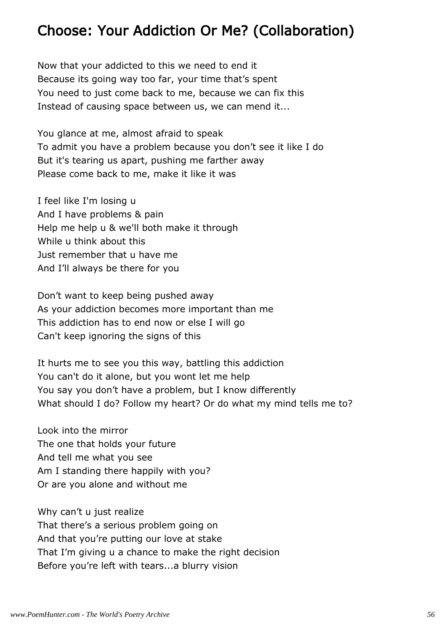### Choose: Your Addiction Or Me? (Collaboration)

Now that your addicted to this we need to end it Because its going way too far, your time that's spent You need to just come back to me, because we can fix this Instead of causing space between us, we can mend it...

You glance at me, almost afraid to speak To admit you have a problem because you don't see it like I do But it's tearing us apart, pushing me farther away Please come back to me, make it like it was

I feel like I'm losing u And I have problems & pain Help me help u & we'll both make it through While u think about this Just remember that u have me And I'll always be there for you

Don't want to keep being pushed away As your addiction becomes more important than me This addiction has to end now or else I will go Can't keep ignoring the signs of this

It hurts me to see you this way, battling this addiction You can't do it alone, but you wont let me help You say you don't have a problem, but I know differently What should I do? Follow my heart? Or do what my mind tells me to?

Look into the mirror The one that holds your future And tell me what you see Am I standing there happily with you? Or are you alone and without me

Why can't u just realize That there's a serious problem going on And that you're putting our love at stake That I'm giving u a chance to make the right decision Before you're left with tears...a blurry vision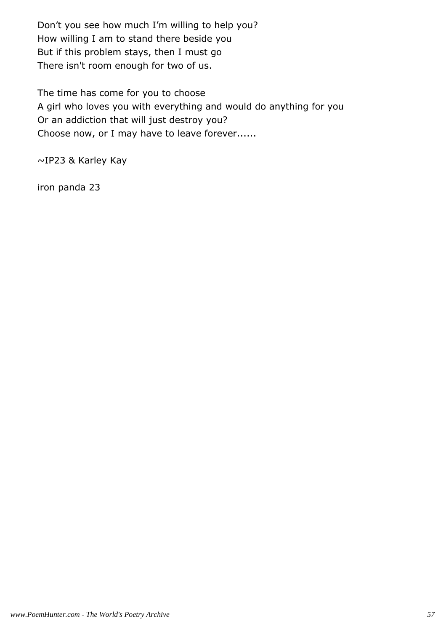Don't you see how much I'm willing to help you? How willing I am to stand there beside you But if this problem stays, then I must go There isn't room enough for two of us.

The time has come for you to choose A girl who loves you with everything and would do anything for you Or an addiction that will just destroy you? Choose now, or I may have to leave forever......

~IP23 & Karley Kay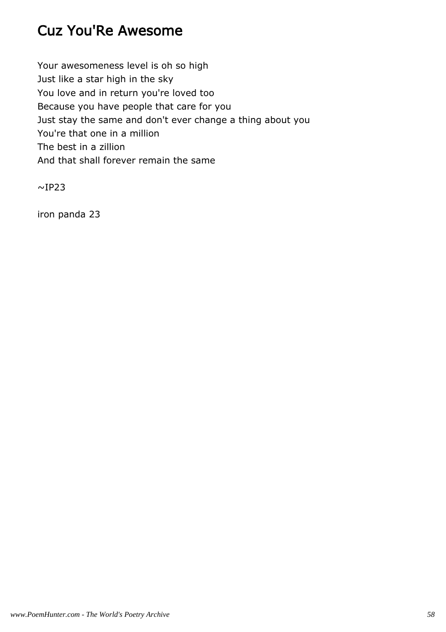### Cuz You'Re Awesome

Your awesomeness level is oh so high Just like a star high in the sky You love and in return you're loved too Because you have people that care for you Just stay the same and don't ever change a thing about you You're that one in a million The best in a zillion And that shall forever remain the same

 $~\sim$ IP23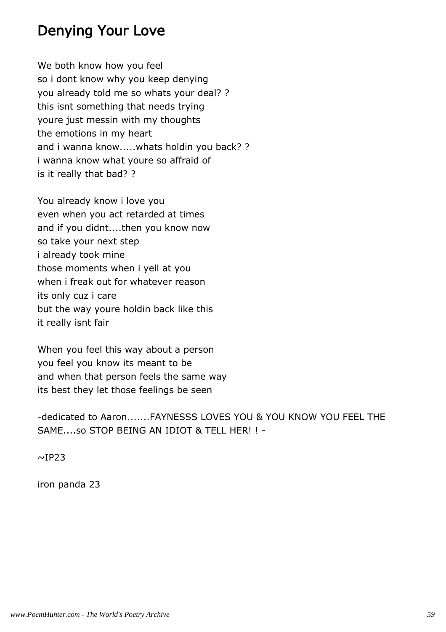### Denying Your Love

We both know how you feel so i dont know why you keep denying you already told me so whats your deal? ? this isnt something that needs trying youre just messin with my thoughts the emotions in my heart and i wanna know.....whats holdin you back? ? i wanna know what youre so affraid of is it really that bad? ?

You already know i love you even when you act retarded at times and if you didnt....then you know now so take your next step i already took mine those moments when i yell at you when i freak out for whatever reason its only cuz i care but the way youre holdin back like this it really isnt fair

When you feel this way about a person you feel you know its meant to be and when that person feels the same way its best they let those feelings be seen

-dedicated to Aaron.......FAYNESSS LOVES YOU & YOU KNOW YOU FEEL THE SAME....so STOP BEING AN IDIOT & TELL HER! ! -

 $\sim$ IP23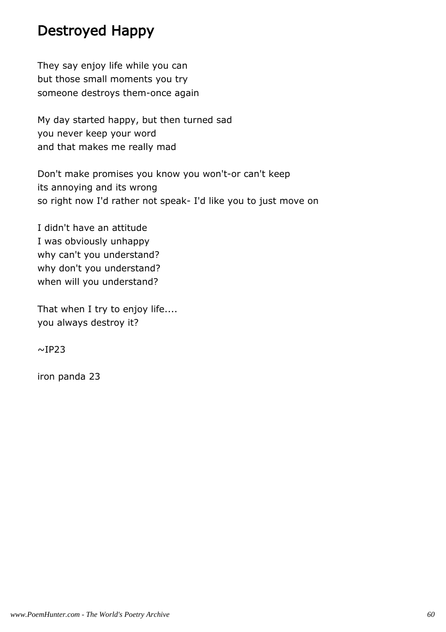### Destroyed Happy

They say enjoy life while you can but those small moments you try someone destroys them-once again

My day started happy, but then turned sad you never keep your word and that makes me really mad

Don't make promises you know you won't-or can't keep its annoying and its wrong so right now I'd rather not speak- I'd like you to just move on

I didn't have an attitude I was obviously unhappy why can't you understand? why don't you understand? when will you understand?

That when I try to enjoy life.... you always destroy it?

 $~\sim$ IP23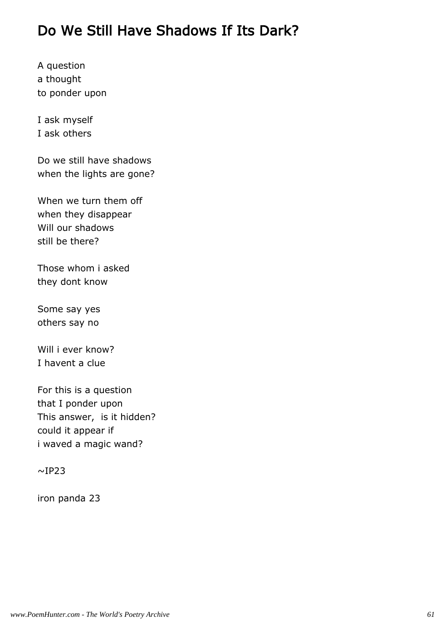### Do We Still Have Shadows If Its Dark?

A question a thought to ponder upon

I ask myself I ask others

Do we still have shadows when the lights are gone?

When we turn them off when they disappear Will our shadows still be there?

Those whom i asked they dont know

Some say yes others say no

Will i ever know? I havent a clue

For this is a question that I ponder upon This answer, is it hidden? could it appear if i waved a magic wand?

 $~\sim$ IP23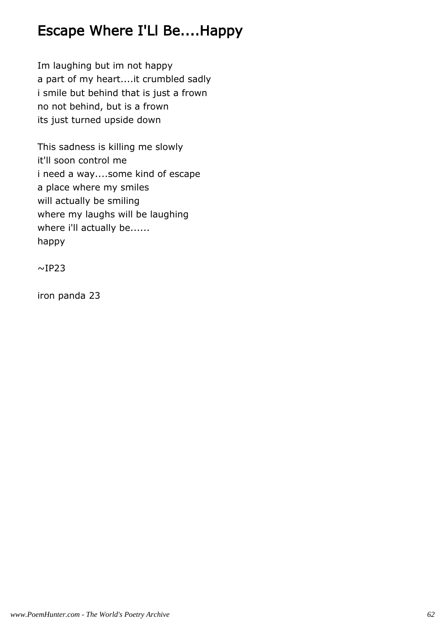### Escape Where I'Ll Be....Happy

Im laughing but im not happy a part of my heart....it crumbled sadly i smile but behind that is just a frown no not behind, but is a frown its just turned upside down

This sadness is killing me slowly it'll soon control me i need a way....some kind of escape a place where my smiles will actually be smiling where my laughs will be laughing where i'll actually be...... happy

 $~\sim$ IP23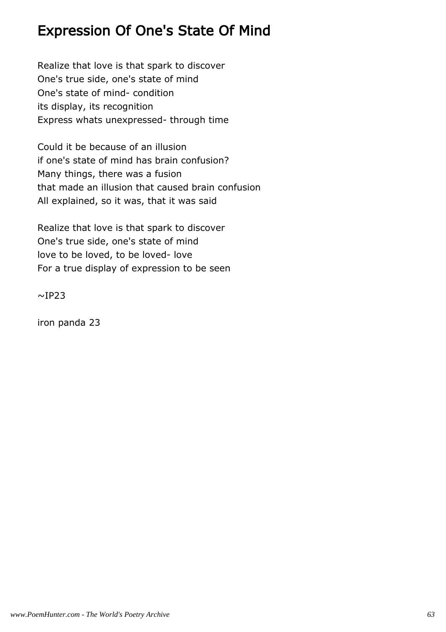### Expression Of One's State Of Mind

Realize that love is that spark to discover One's true side, one's state of mind One's state of mind- condition its display, its recognition Express whats unexpressed- through time

Could it be because of an illusion if one's state of mind has brain confusion? Many things, there was a fusion that made an illusion that caused brain confusion All explained, so it was, that it was said

Realize that love is that spark to discover One's true side, one's state of mind love to be loved, to be loved- love For a true display of expression to be seen

 $~\sim$ IP23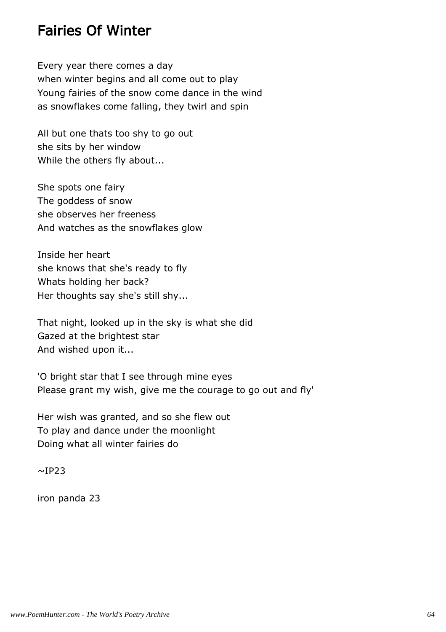#### Fairies Of Winter

Every year there comes a day when winter begins and all come out to play Young fairies of the snow come dance in the wind as snowflakes come falling, they twirl and spin

All but one thats too shy to go out she sits by her window While the others fly about...

She spots one fairy The goddess of snow she observes her freeness And watches as the snowflakes glow

Inside her heart she knows that she's ready to fly Whats holding her back? Her thoughts say she's still shy...

That night, looked up in the sky is what she did Gazed at the brightest star And wished upon it...

'O bright star that I see through mine eyes Please grant my wish, give me the courage to go out and fly'

Her wish was granted, and so she flew out To play and dance under the moonlight Doing what all winter fairies do

 $~\sim$ IP23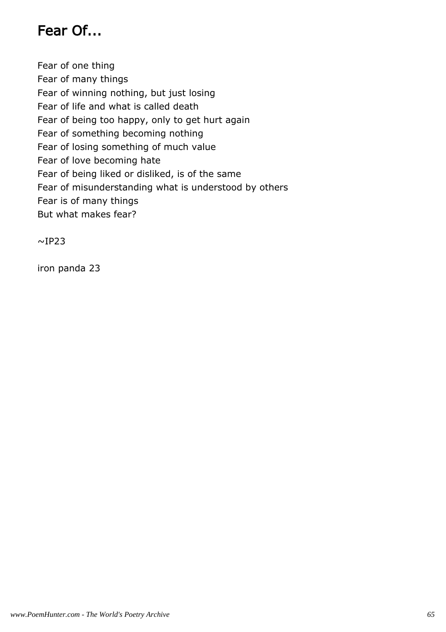## Fear Of...

Fear of one thing Fear of many things Fear of winning nothing, but just losing Fear of life and what is called death Fear of being too happy, only to get hurt again Fear of something becoming nothing Fear of losing something of much value Fear of love becoming hate Fear of being liked or disliked, is of the same Fear of misunderstanding what is understood by others Fear is of many things But what makes fear?

 $~\sim$ IP23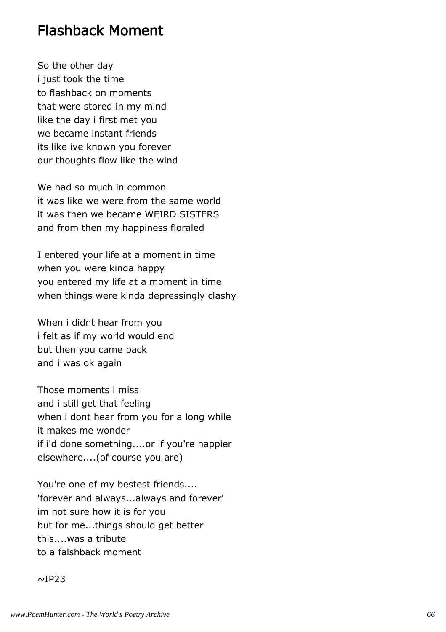#### Flashback Moment

So the other day i just took the time to flashback on moments that were stored in my mind like the day i first met you we became instant friends its like ive known you forever our thoughts flow like the wind

We had so much in common it was like we were from the same world it was then we became WEIRD SISTERS and from then my happiness floraled

I entered your life at a moment in time when you were kinda happy you entered my life at a moment in time when things were kinda depressingly clashy

When i didnt hear from you i felt as if my world would end but then you came back and i was ok again

Those moments i miss and i still get that feeling when i dont hear from you for a long while it makes me wonder if i'd done something....or if you're happier elsewhere....(of course you are)

You're one of my bestest friends.... 'forever and always...always and forever' im not sure how it is for you but for me...things should get better this....was a tribute to a falshback moment

 $\sim$ IP23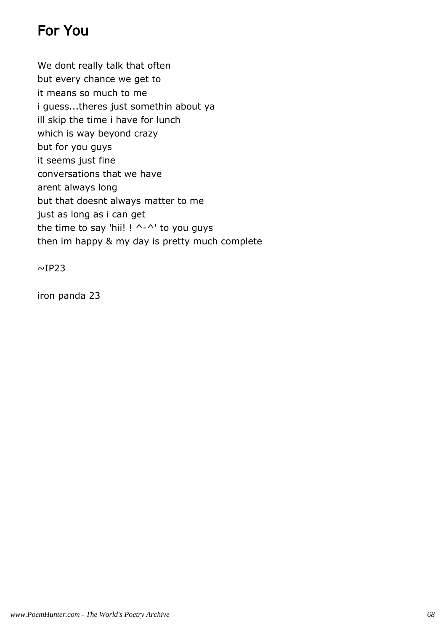## For You

We dont really talk that often but every chance we get to it means so much to me i guess...theres just somethin about ya ill skip the time i have for lunch which is way beyond crazy but for you guys it seems just fine conversations that we have arent always long but that doesnt always matter to me just as long as i can get the time to say 'hii!  $! \wedge$ - $\wedge$ ' to you guys then im happy & my day is pretty much complete

 $\sim$ IP23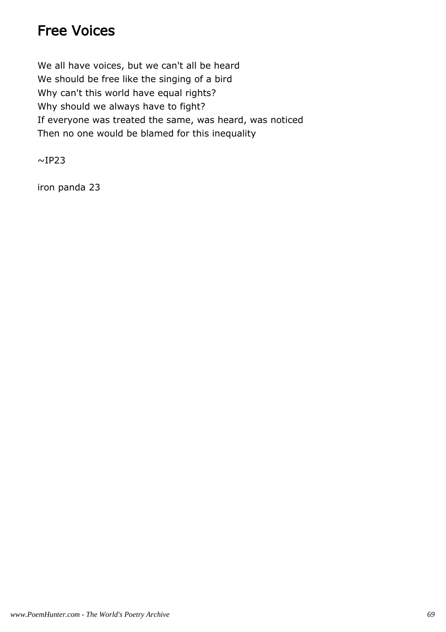### Free Voices

We all have voices, but we can't all be heard We should be free like the singing of a bird Why can't this world have equal rights? Why should we always have to fight? If everyone was treated the same, was heard, was noticed Then no one would be blamed for this inequality

 $\sim$ IP23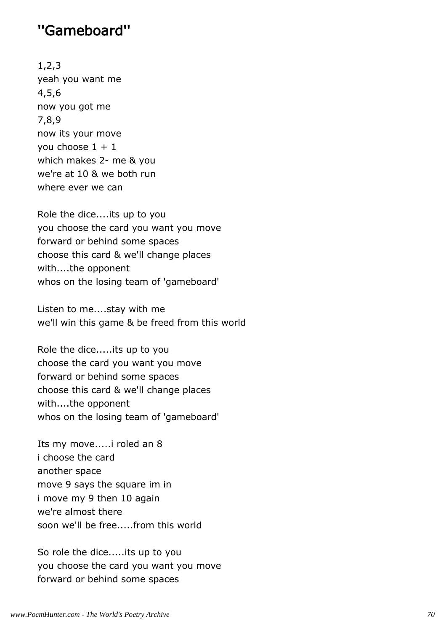#### ''Gameboard''

1,2,3 yeah you want me 4,5,6 now you got me 7,8,9 now its your move you choose  $1 + 1$ which makes 2- me & you we're at 10 & we both run where ever we can

Role the dice....its up to you you choose the card you want you move forward or behind some spaces choose this card & we'll change places with....the opponent whos on the losing team of 'gameboard'

Listen to me....stay with me we'll win this game & be freed from this world

Role the dice.....its up to you choose the card you want you move forward or behind some spaces choose this card & we'll change places with....the opponent whos on the losing team of 'gameboard'

Its my move.....i roled an 8 i choose the card another space move 9 says the square im in i move my 9 then 10 again we're almost there soon we'll be free.....from this world

So role the dice.....its up to you you choose the card you want you move forward or behind some spaces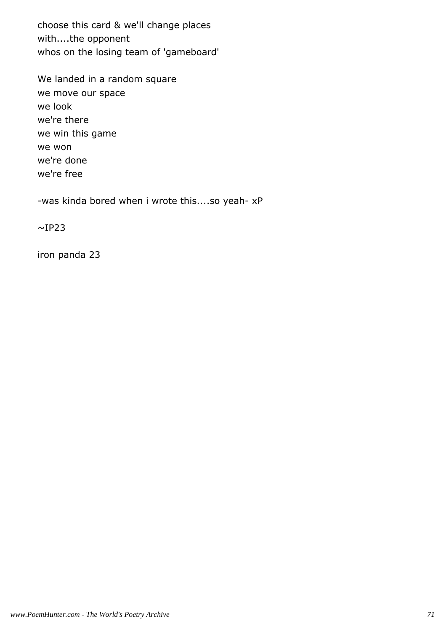choose this card & we'll change places with....the opponent whos on the losing team of 'gameboard'

We landed in a random square we move our space we look we're there we win this game we won we're done we're free

-was kinda bored when i wrote this....so yeah- xP

 $\sim$ IP23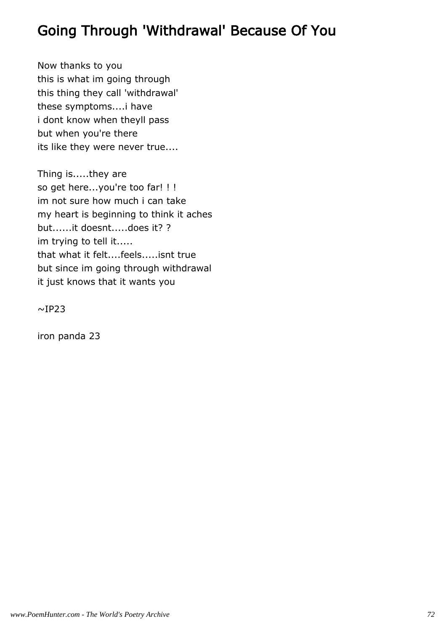## Going Through 'Withdrawal' Because Of You

Now thanks to you this is what im going through this thing they call 'withdrawal' these symptoms....i have i dont know when theyll pass but when you're there its like they were never true....

Thing is.....they are so get here...you're too far! ! ! im not sure how much i can take my heart is beginning to think it aches but......it doesnt.....does it? ? im trying to tell it..... that what it felt....feels.....isnt true but since im going through withdrawal it just knows that it wants you

 $~\sim$ IP23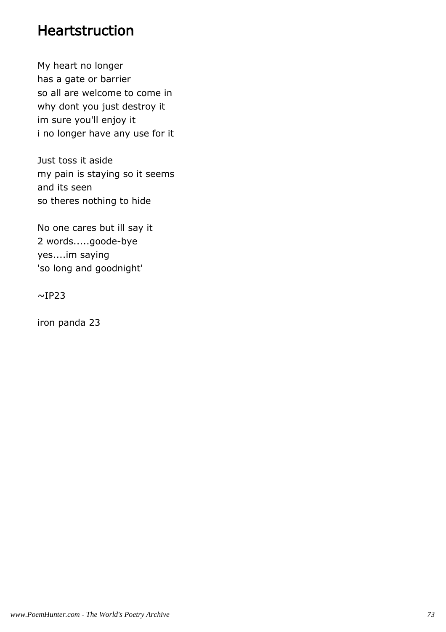#### Heartstruction

My heart no longer has a gate or barrier so all are welcome to come in why dont you just destroy it im sure you'll enjoy it i no longer have any use for it

Just toss it aside my pain is staying so it seems and its seen so theres nothing to hide

No one cares but ill say it 2 words.....goode-bye yes....im saying 'so long and goodnight'

 $~\sim$ IP23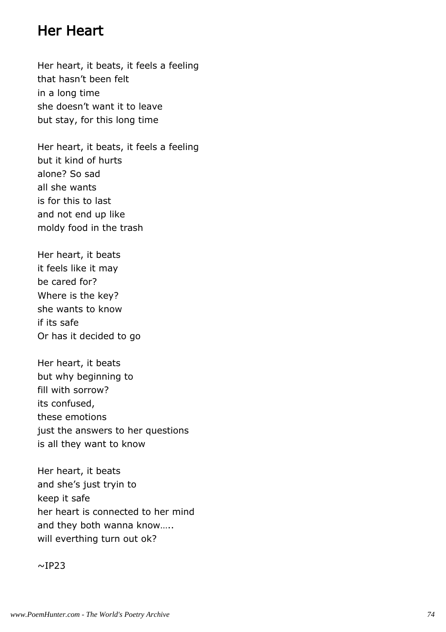#### Her Heart

Her heart, it beats, it feels a feeling that hasn't been felt in a long time she doesn't want it to leave but stay, for this long time

Her heart, it beats, it feels a feeling but it kind of hurts alone? So sad all she wants is for this to last and not end up like moldy food in the trash

Her heart, it beats it feels like it may be cared for? Where is the key? she wants to know if its safe Or has it decided to go

Her heart, it beats but why beginning to fill with sorrow? its confused, these emotions just the answers to her questions is all they want to know

Her heart, it beats and she's just tryin to keep it safe her heart is connected to her mind and they both wanna know….. will everthing turn out ok?

 $~\sim$ IP23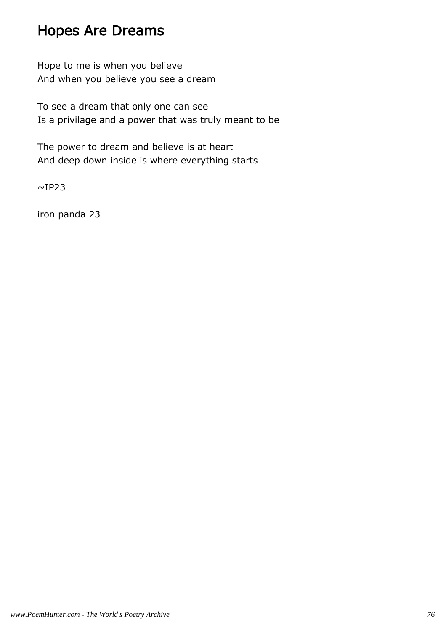### Hopes Are Dreams

Hope to me is when you believe And when you believe you see a dream

To see a dream that only one can see Is a privilage and a power that was truly meant to be

The power to dream and believe is at heart And deep down inside is where everything starts

 $~\sim$ IP23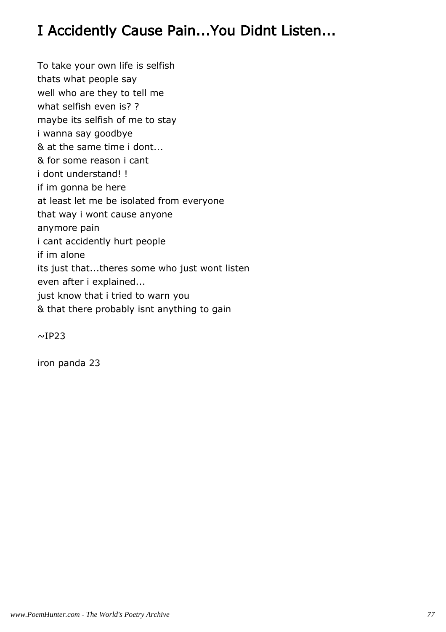## I Accidently Cause Pain...You Didnt Listen...

To take your own life is selfish thats what people say well who are they to tell me what selfish even is? ? maybe its selfish of me to stay i wanna say goodbye & at the same time i dont... & for some reason i cant i dont understand! ! if im gonna be here at least let me be isolated from everyone that way i wont cause anyone anymore pain i cant accidently hurt people if im alone its just that...theres some who just wont listen even after i explained... just know that i tried to warn you & that there probably isnt anything to gain

 $~\sim$ IP23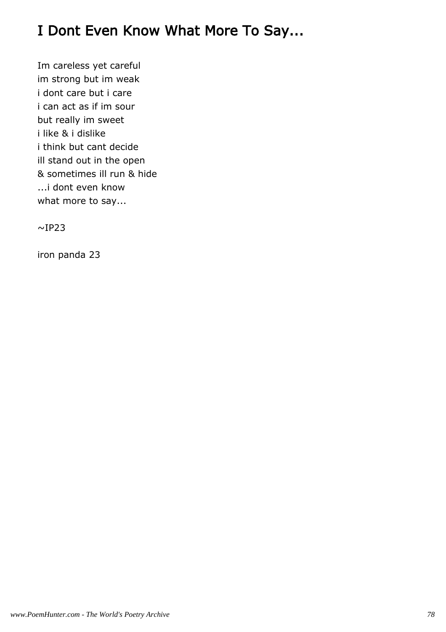## I Dont Even Know What More To Say...

Im careless yet careful im strong but im weak i dont care but i care i can act as if im sour but really im sweet i like & i dislike i think but cant decide ill stand out in the open & sometimes ill run & hide ...i dont even know what more to say...

 $\sim$ IP23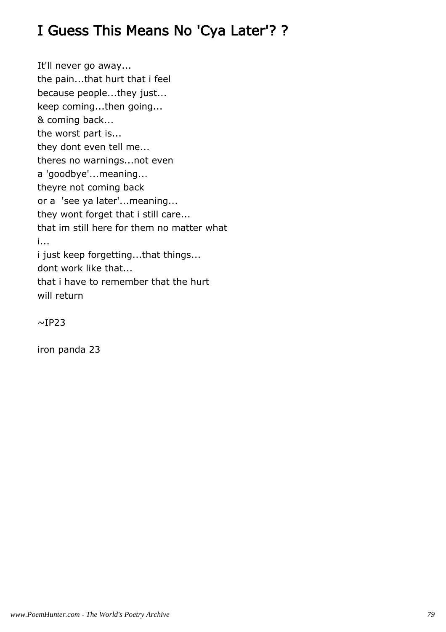## I Guess This Means No 'Cya Later'? ?

It'll never go away... the pain...that hurt that i feel because people...they just... keep coming...then going... & coming back... the worst part is... they dont even tell me... theres no warnings...not even a 'goodbye'...meaning... theyre not coming back or a 'see ya later'...meaning... they wont forget that i still care... that im still here for them no matter what i... i just keep forgetting...that things... dont work like that... that i have to remember that the hurt will return

 $~\sim$ IP23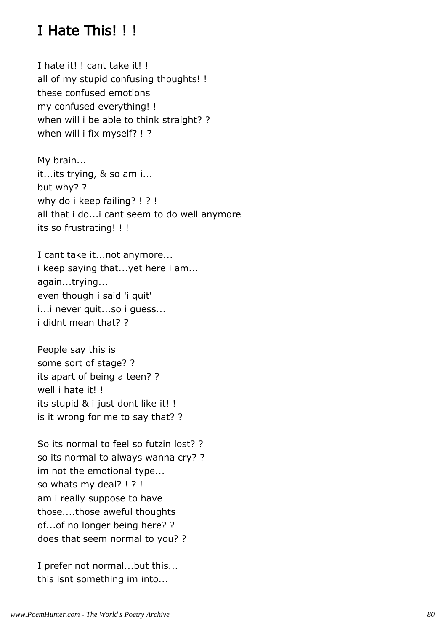### I Hate This! ! !

I hate it! ! cant take it! ! all of my stupid confusing thoughts! ! these confused emotions my confused everything! ! when will i be able to think straight? ? when will i fix myself? ! ?

My brain... it...its trying, & so am i... but why? ? why do i keep failing? ! ? ! all that i do...i cant seem to do well anymore its so frustrating! ! !

I cant take it...not anymore... i keep saying that...yet here i am... again...trying... even though i said 'i quit' i...i never quit...so i guess... i didnt mean that? ?

People say this is some sort of stage? ? its apart of being a teen? ? well i hate it! ! its stupid & i just dont like it! ! is it wrong for me to say that? ?

So its normal to feel so futzin lost? ? so its normal to always wanna cry? ? im not the emotional type... so whats my deal? ! ? ! am i really suppose to have those....those aweful thoughts of...of no longer being here? ? does that seem normal to you? ?

I prefer not normal...but this... this isnt something im into...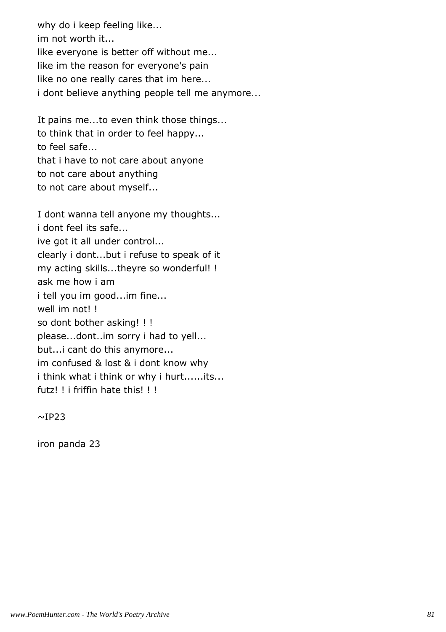why do i keep feeling like... im not worth it... like everyone is better off without me... like im the reason for everyone's pain like no one really cares that im here... i dont believe anything people tell me anymore...

It pains me...to even think those things... to think that in order to feel happy... to feel safe... that i have to not care about anyone to not care about anything to not care about myself...

I dont wanna tell anyone my thoughts... i dont feel its safe... ive got it all under control... clearly i dont...but i refuse to speak of it my acting skills...theyre so wonderful! ! ask me how i am i tell you im good...im fine... well im not!! so dont bother asking! ! ! please...dont..im sorry i had to yell... but...i cant do this anymore... im confused & lost & i dont know why i think what i think or why i hurt......its... futz! ! i friffin hate this! ! !

 $~\sim$ IP23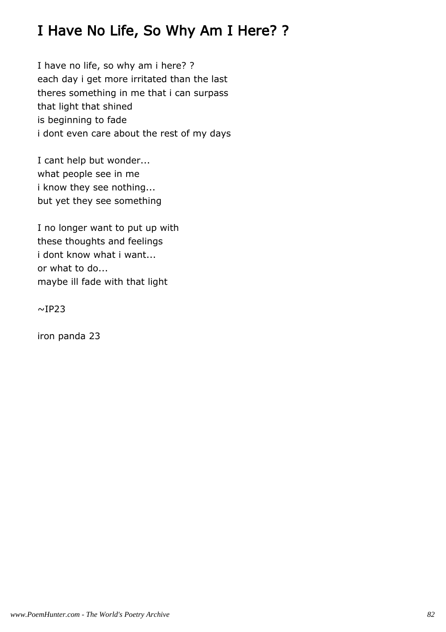## I Have No Life, So Why Am I Here? ?

I have no life, so why am i here? ? each day i get more irritated than the last theres something in me that i can surpass that light that shined is beginning to fade i dont even care about the rest of my days

I cant help but wonder... what people see in me i know they see nothing... but yet they see something

I no longer want to put up with these thoughts and feelings i dont know what i want... or what to do... maybe ill fade with that light

 $~\sim$ IP23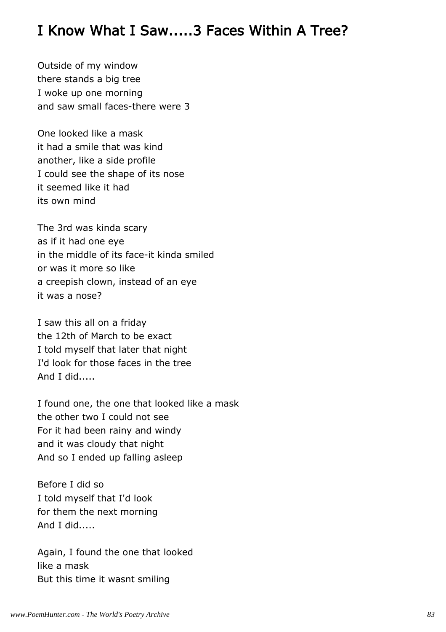#### I Know What I Saw.....3 Faces Within A Tree?

Outside of my window there stands a big tree I woke up one morning and saw small faces-there were 3

One looked like a mask it had a smile that was kind another, like a side profile I could see the shape of its nose it seemed like it had its own mind

The 3rd was kinda scary as if it had one eye in the middle of its face-it kinda smiled or was it more so like a creepish clown, instead of an eye it was a nose?

I saw this all on a friday the 12th of March to be exact I told myself that later that night I'd look for those faces in the tree And I did.....

I found one, the one that looked like a mask the other two I could not see For it had been rainy and windy and it was cloudy that night And so I ended up falling asleep

Before I did so I told myself that I'd look for them the next morning And I did.....

Again, I found the one that looked like a mask But this time it wasnt smiling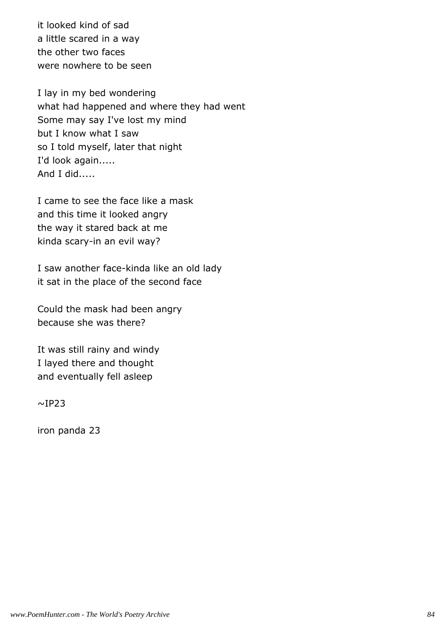it looked kind of sad a little scared in a way the other two faces were nowhere to be seen

I lay in my bed wondering what had happened and where they had went Some may say I've lost my mind but I know what I saw so I told myself, later that night I'd look again..... And I did.....

I came to see the face like a mask and this time it looked angry the way it stared back at me kinda scary-in an evil way?

I saw another face-kinda like an old lady it sat in the place of the second face

Could the mask had been angry because she was there?

It was still rainy and windy I layed there and thought and eventually fell asleep

 $~\sim$ IP23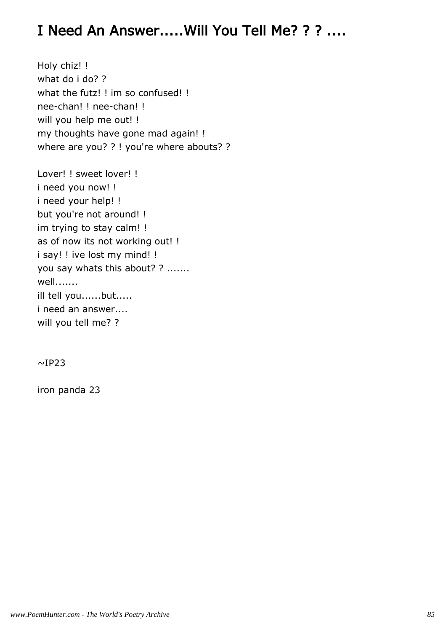## I Need An Answer.....Will You Tell Me? ? ? ....

Holy chiz! ! what do i do? ? what the futz! ! im so confused! ! nee-chan! ! nee-chan! ! will you help me out! ! my thoughts have gone mad again! ! where are you? ? ! you're where abouts? ?

Lover! ! sweet lover! ! i need you now! ! i need your help! ! but you're not around! ! im trying to stay calm! ! as of now its not working out! ! i say! ! ive lost my mind! ! you say whats this about? ? ....... well....... ill tell you......but..... i need an answer.... will you tell me? ?

 $~\sim$ IP23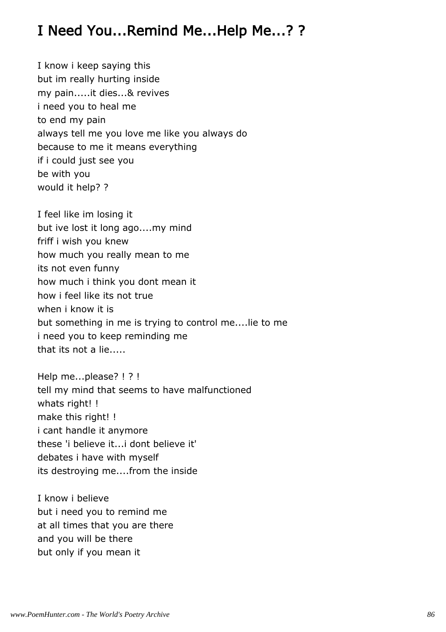## I Need You...Remind Me...Help Me...? ?

I know i keep saying this but im really hurting inside my pain.....it dies...& revives i need you to heal me to end my pain always tell me you love me like you always do because to me it means everything if i could just see you be with you would it help? ?

I feel like im losing it but ive lost it long ago....my mind friff i wish you knew how much you really mean to me its not even funny how much i think you dont mean it how i feel like its not true when i know it is but something in me is trying to control me....lie to me i need you to keep reminding me that its not a lie.....

Help me...please? ! ? ! tell my mind that seems to have malfunctioned whats right! ! make this right! ! i cant handle it anymore these 'i believe it...i dont believe it' debates i have with myself its destroying me....from the inside

I know i believe but i need you to remind me at all times that you are there and you will be there but only if you mean it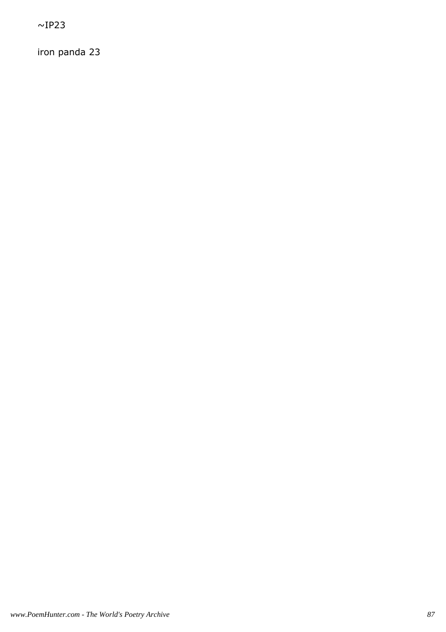$~\sim$ IP23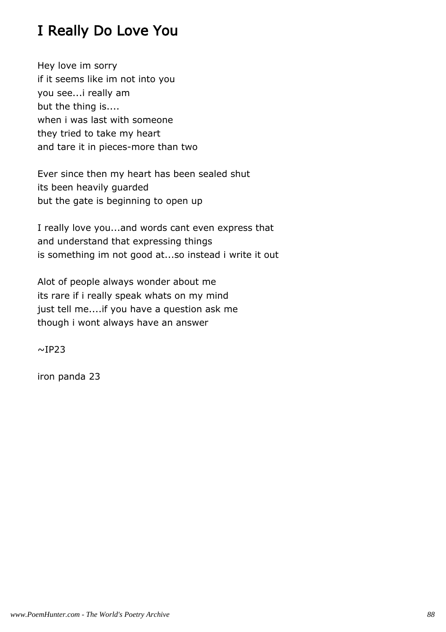## I Really Do Love You

Hey love im sorry if it seems like im not into you you see...i really am but the thing is.... when i was last with someone they tried to take my heart and tare it in pieces-more than two

Ever since then my heart has been sealed shut its been heavily guarded but the gate is beginning to open up

I really love you...and words cant even express that and understand that expressing things is something im not good at...so instead i write it out

Alot of people always wonder about me its rare if i really speak whats on my mind just tell me....if you have a question ask me though i wont always have an answer

 $~\sim$ IP23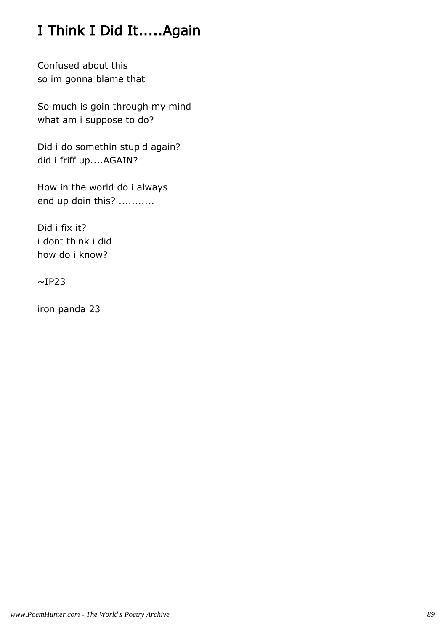## I Think I Did It.....Again

Confused about this so im gonna blame that

So much is goin through my mind what am i suppose to do?

Did i do somethin stupid again? did i friff up....AGAIN?

How in the world do i always end up doin this? ...........

Did i fix it? i dont think i did how do i know?

 $\sim$ IP23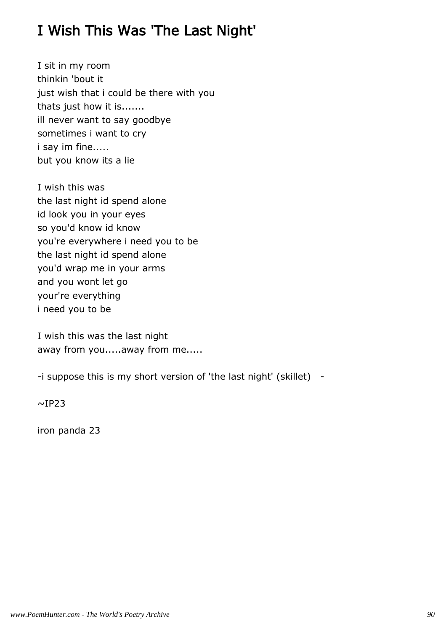## I Wish This Was 'The Last Night'

I sit in my room thinkin 'bout it just wish that i could be there with you thats just how it is....... ill never want to say goodbye sometimes i want to cry i say im fine..... but you know its a lie

I wish this was the last night id spend alone id look you in your eyes so you'd know id know you're everywhere i need you to be the last night id spend alone you'd wrap me in your arms and you wont let go your're everything i need you to be

I wish this was the last night away from you.....away from me.....

-i suppose this is my short version of 'the last night' (skillet) -

 $\sim$ IP23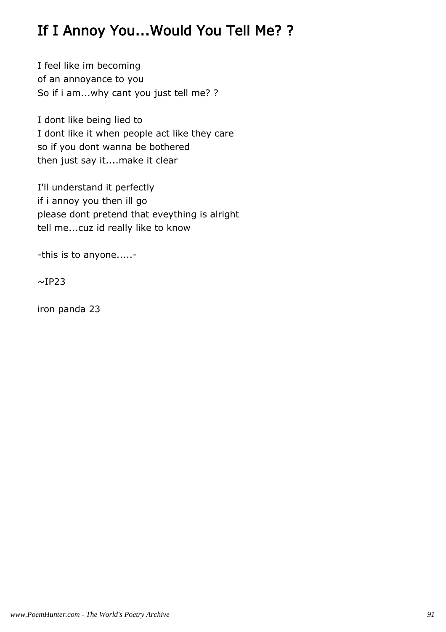## If I Annoy You...Would You Tell Me? ?

I feel like im becoming of an annoyance to you So if i am...why cant you just tell me? ?

I dont like being lied to I dont like it when people act like they care so if you dont wanna be bothered then just say it....make it clear

I'll understand it perfectly if i annoy you then ill go please dont pretend that eveything is alright tell me...cuz id really like to know

-this is to anyone.....-

 $~\sim$ IP23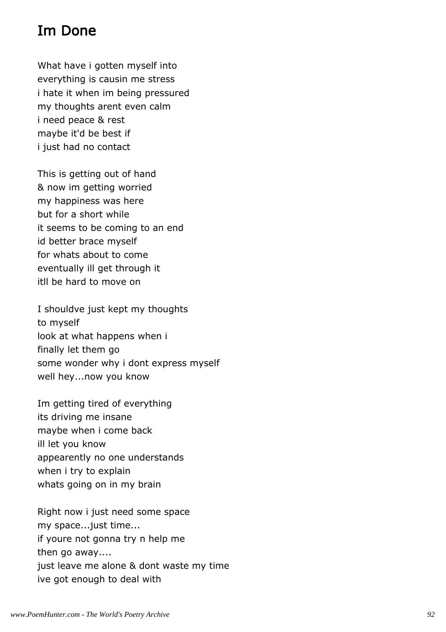## Im Done

What have i gotten myself into everything is causin me stress i hate it when im being pressured my thoughts arent even calm i need peace & rest maybe it'd be best if i just had no contact

This is getting out of hand & now im getting worried my happiness was here but for a short while it seems to be coming to an end id better brace myself for whats about to come eventually ill get through it itll be hard to move on

I shouldve just kept my thoughts to myself look at what happens when i finally let them go some wonder why i dont express myself well hey...now you know

Im getting tired of everything its driving me insane maybe when i come back ill let you know appearently no one understands when i try to explain whats going on in my brain

Right now i just need some space my space...just time... if youre not gonna try n help me then go away.... just leave me alone & dont waste my time ive got enough to deal with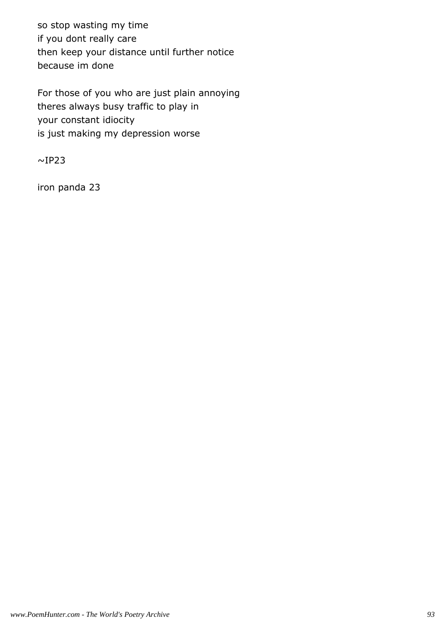so stop wasting my time if you dont really care then keep your distance until further notice because im done

For those of you who are just plain annoying theres always busy traffic to play in your constant idiocity is just making my depression worse

 $~\sim$ IP23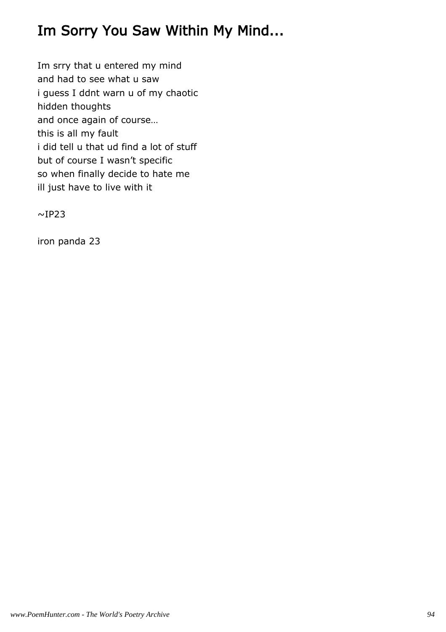## Im Sorry You Saw Within My Mind...

Im srry that u entered my mind and had to see what u saw i guess I ddnt warn u of my chaotic hidden thoughts and once again of course… this is all my fault i did tell u that ud find a lot of stuff but of course I wasn't specific so when finally decide to hate me ill just have to live with it

 $~\sim$ IP23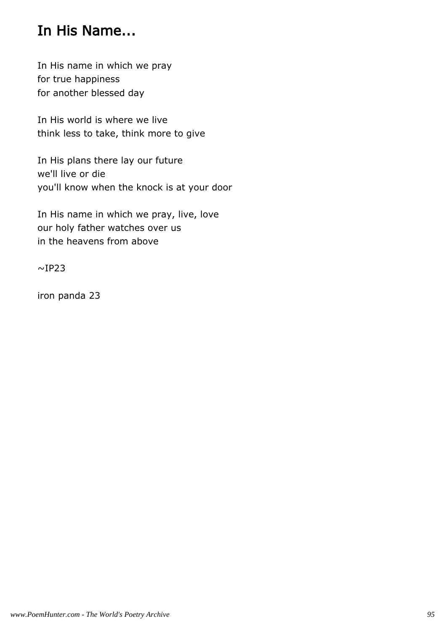### In His Name...

In His name in which we pray for true happiness for another blessed day

In His world is where we live think less to take, think more to give

In His plans there lay our future we'll live or die you'll know when the knock is at your door

In His name in which we pray, live, love our holy father watches over us in the heavens from above

 $\sim$ IP23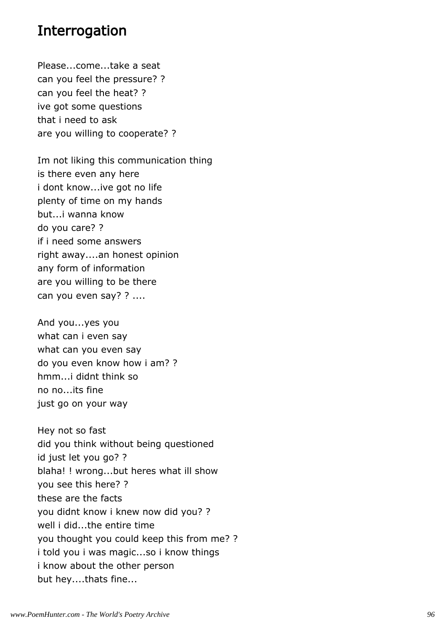#### Interrogation

Please...come...take a seat can you feel the pressure? ? can you feel the heat? ? ive got some questions that i need to ask are you willing to cooperate? ?

Im not liking this communication thing is there even any here i dont know...ive got no life plenty of time on my hands but...i wanna know do you care? ? if i need some answers right away....an honest opinion any form of information are you willing to be there can you even say? ? ....

And you...yes you what can i even say what can you even say do you even know how i am? ? hmm...i didnt think so no no...its fine just go on your way

Hey not so fast did you think without being questioned id just let you go? ? blaha! ! wrong...but heres what ill show you see this here? ? these are the facts you didnt know i knew now did you? ? well i did...the entire time you thought you could keep this from me? ? i told you i was magic...so i know things i know about the other person but hey....thats fine...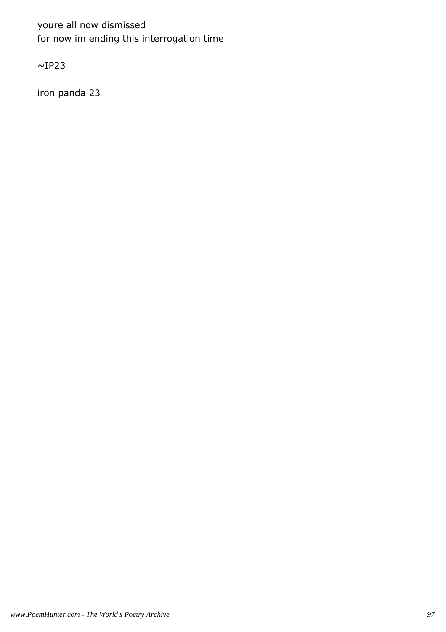youre all now dismissed for now im ending this interrogation time

 $~\sim$ IP23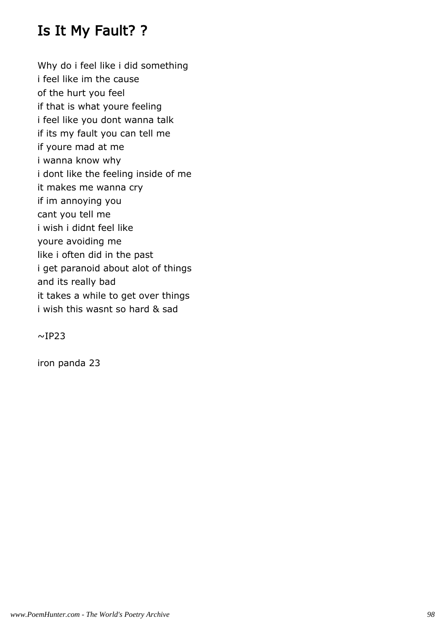## Is It My Fault? ?

Why do i feel like i did something i feel like im the cause of the hurt you feel if that is what youre feeling i feel like you dont wanna talk if its my fault you can tell me if youre mad at me i wanna know why i dont like the feeling inside of me it makes me wanna cry if im annoying you cant you tell me i wish i didnt feel like youre avoiding me like i often did in the past i get paranoid about alot of things and its really bad it takes a while to get over things i wish this wasnt so hard & sad

 $~\sim$ IP23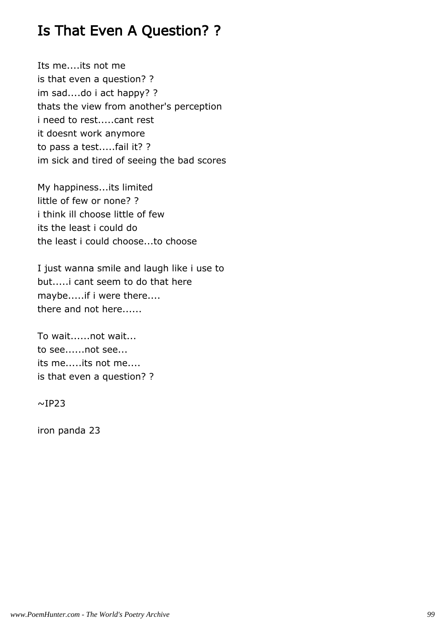## Is That Even A Question? ?

Its me....its not me is that even a question? ? im sad....do i act happy? ? thats the view from another's perception i need to rest.....cant rest it doesnt work anymore to pass a test.....fail it? ? im sick and tired of seeing the bad scores

My happiness...its limited little of few or none? ? i think ill choose little of few its the least i could do the least i could choose...to choose

I just wanna smile and laugh like i use to but.....i cant seem to do that here maybe.....if i were there.... there and not here......

To wait......not wait... to see......not see... its me.....its not me.... is that even a question? ?

 $~\sim$ IP23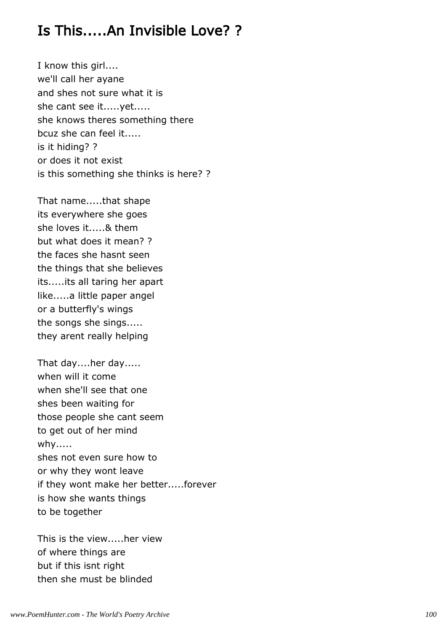## Is This.....An Invisible Love? ?

I know this girl.... we'll call her ayane and shes not sure what it is she cant see it.....yet..... she knows theres something there bcuz she can feel it..... is it hiding? ? or does it not exist is this something she thinks is here? ?

That name.....that shape its everywhere she goes she loves it.....& them but what does it mean? ? the faces she hasnt seen the things that she believes its.....its all taring her apart like.....a little paper angel or a butterfly's wings the songs she sings..... they arent really helping

That day....her day..... when will it come when she'll see that one shes been waiting for those people she cant seem to get out of her mind why..... shes not even sure how to or why they wont leave if they wont make her better.....forever is how she wants things to be together

This is the view.....her view of where things are but if this isnt right then she must be blinded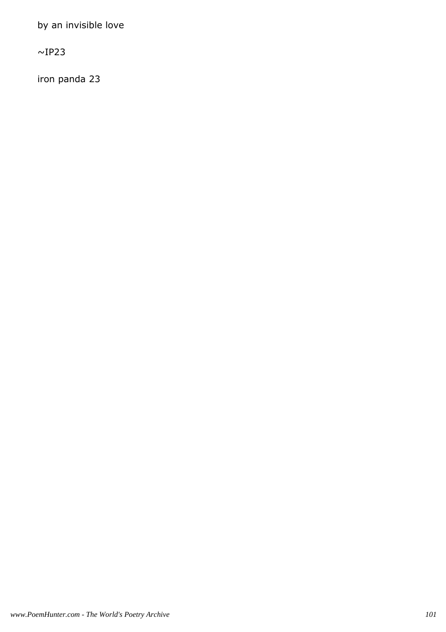by an invisible love

 $\sim$ IP23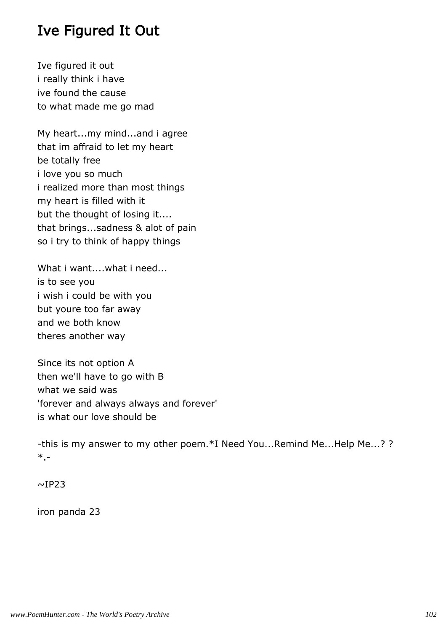### Ive Figured It Out

Ive figured it out i really think i have ive found the cause to what made me go mad

My heart...my mind...and i agree that im affraid to let my heart be totally free i love you so much i realized more than most things my heart is filled with it but the thought of losing it.... that brings...sadness & alot of pain so i try to think of happy things

What i want....what i need... is to see you i wish i could be with you but youre too far away and we both know theres another way

Since its not option A then we'll have to go with B what we said was 'forever and always always and forever' is what our love should be

-this is my answer to my other poem.\*I Need You...Remind Me...Help Me...? ? \*.-

 $~\sim$ IP23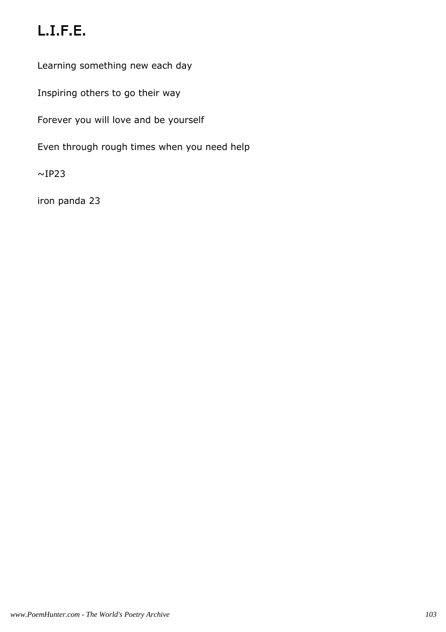# L.I.F.E.

Learning something new each day

Inspiring others to go their way

Forever you will love and be yourself

Even through rough times when you need help

 $~\sim$ IP23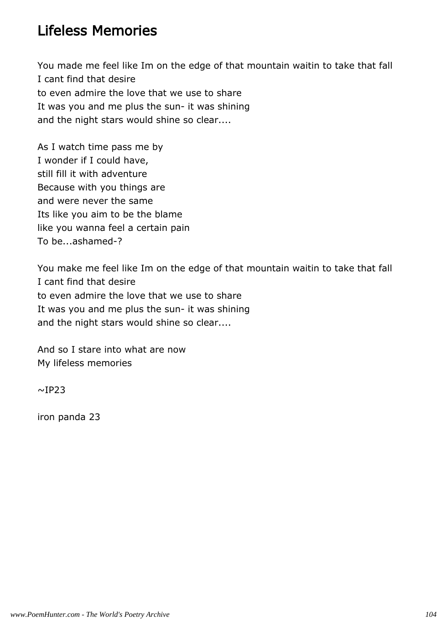#### Lifeless Memories

You made me feel like Im on the edge of that mountain waitin to take that fall I cant find that desire to even admire the love that we use to share It was you and me plus the sun- it was shining and the night stars would shine so clear....

As I watch time pass me by I wonder if I could have, still fill it with adventure Because with you things are and were never the same Its like you aim to be the blame like you wanna feel a certain pain To be...ashamed-?

You make me feel like Im on the edge of that mountain waitin to take that fall I cant find that desire to even admire the love that we use to share It was you and me plus the sun- it was shining and the night stars would shine so clear....

And so I stare into what are now My lifeless memories

 $~\sim$ IP23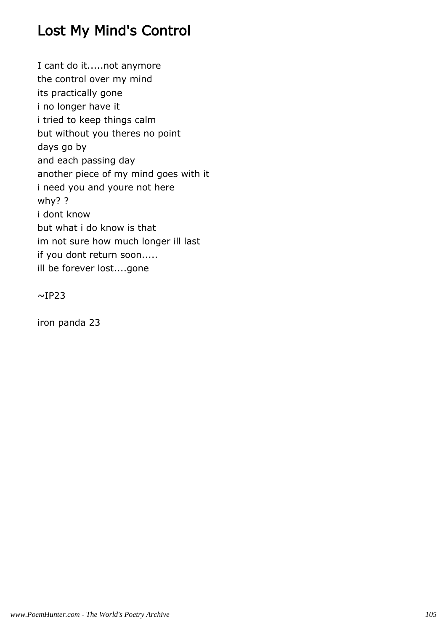## Lost My Mind's Control

I cant do it.....not anymore the control over my mind its practically gone i no longer have it i tried to keep things calm but without you theres no point days go by and each passing day another piece of my mind goes with it i need you and youre not here why? ? i dont know but what i do know is that im not sure how much longer ill last if you dont return soon..... ill be forever lost....gone

 $~\sim$ IP23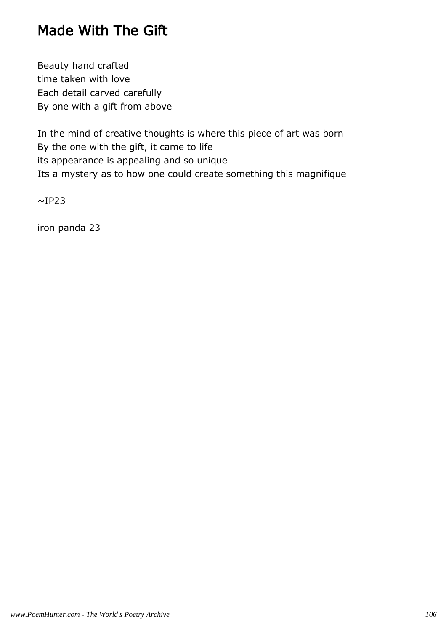## Made With The Gift

Beauty hand crafted time taken with love Each detail carved carefully By one with a gift from above

In the mind of creative thoughts is where this piece of art was born By the one with the gift, it came to life its appearance is appealing and so unique Its a mystery as to how one could create something this magnifique

 $~\sim$ IP23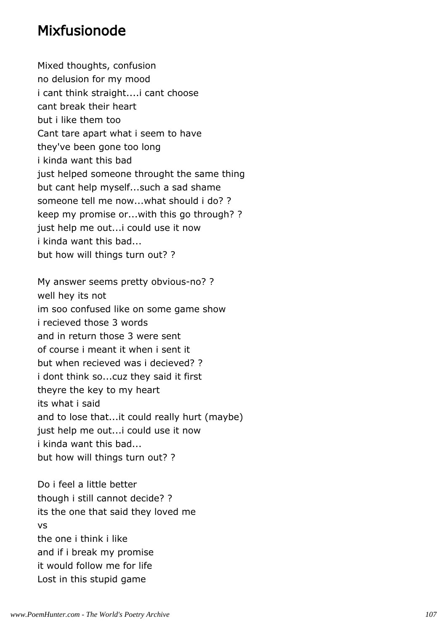#### Mixfusionode

Mixed thoughts, confusion no delusion for my mood i cant think straight....i cant choose cant break their heart but i like them too Cant tare apart what i seem to have they've been gone too long i kinda want this bad just helped someone throught the same thing but cant help myself...such a sad shame someone tell me now...what should i do? ? keep my promise or...with this go through? ? just help me out...i could use it now i kinda want this bad... but how will things turn out? ?

My answer seems pretty obvious-no? ? well hey its not im soo confused like on some game show i recieved those 3 words and in return those 3 were sent of course i meant it when i sent it but when recieved was i decieved? ? i dont think so...cuz they said it first theyre the key to my heart its what i said and to lose that...it could really hurt (maybe) just help me out...i could use it now i kinda want this bad... but how will things turn out? ?

Do i feel a little better though i still cannot decide? ? its the one that said they loved me vs the one i think i like and if i break my promise it would follow me for life Lost in this stupid game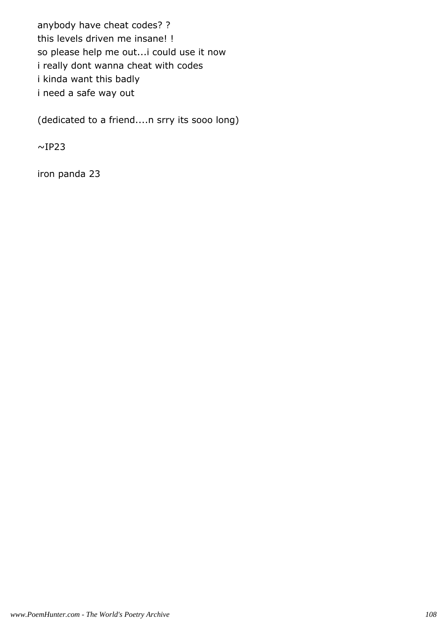anybody have cheat codes? ? this levels driven me insane! ! so please help me out...i could use it now i really dont wanna cheat with codes i kinda want this badly i need a safe way out

(dedicated to a friend....n srry its sooo long)

 $~\sim$ IP23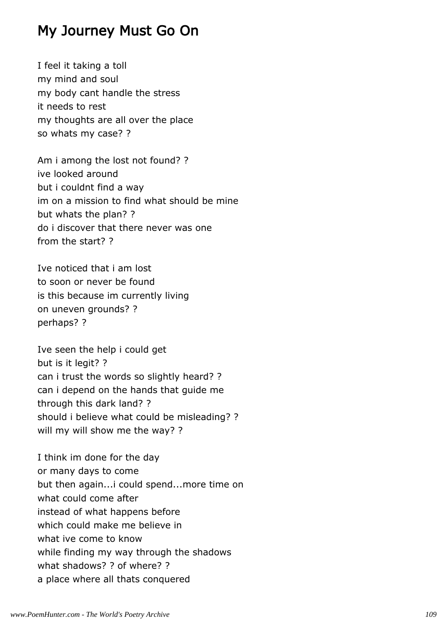#### My Journey Must Go On

I feel it taking a toll my mind and soul my body cant handle the stress it needs to rest my thoughts are all over the place so whats my case? ?

Am i among the lost not found? ? ive looked around but i couldnt find a way im on a mission to find what should be mine but whats the plan? ? do i discover that there never was one from the start? ?

Ive noticed that i am lost to soon or never be found is this because im currently living on uneven grounds? ? perhaps? ?

Ive seen the help i could get but is it legit? ? can i trust the words so slightly heard? ? can i depend on the hands that guide me through this dark land? ? should i believe what could be misleading? ? will my will show me the way? ?

I think im done for the day or many days to come but then again...i could spend...more time on what could come after instead of what happens before which could make me believe in what ive come to know while finding my way through the shadows what shadows? ? of where? ? a place where all thats conquered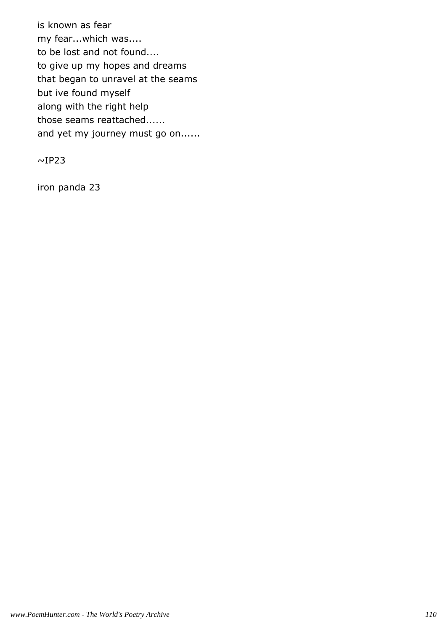is known as fear my fear...which was.... to be lost and not found.... to give up my hopes and dreams that began to unravel at the seams but ive found myself along with the right help those seams reattached...... and yet my journey must go on......

 $\sim$ IP23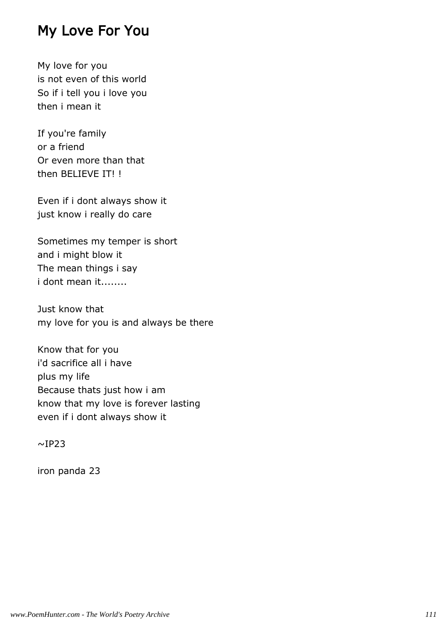#### My Love For You

My love for you is not even of this world So if i tell you i love you then i mean it

If you're family or a friend Or even more than that then BELIEVE IT! !

Even if i dont always show it just know i really do care

Sometimes my temper is short and i might blow it The mean things i say i dont mean it........

Just know that my love for you is and always be there

Know that for you i'd sacrifice all i have plus my life Because thats just how i am know that my love is forever lasting even if i dont always show it

 $~\sim$ IP23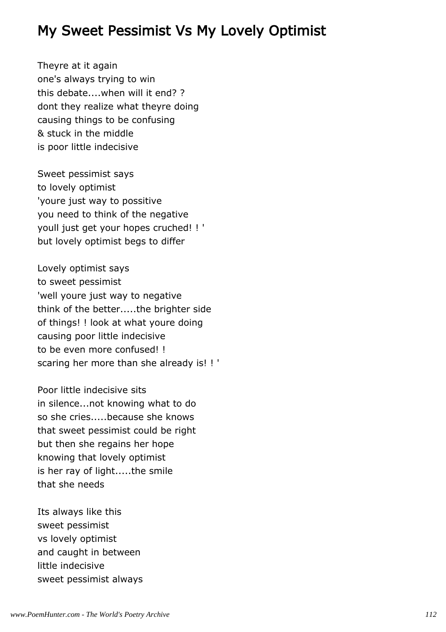## My Sweet Pessimist Vs My Lovely Optimist

Theyre at it again one's always trying to win this debate....when will it end? ? dont they realize what theyre doing causing things to be confusing & stuck in the middle is poor little indecisive

Sweet pessimist says to lovely optimist 'youre just way to possitive you need to think of the negative youll just get your hopes cruched! ! ' but lovely optimist begs to differ

Lovely optimist says to sweet pessimist 'well youre just way to negative think of the better.....the brighter side of things! ! look at what youre doing causing poor little indecisive to be even more confused! ! scaring her more than she already is! ! '

Poor little indecisive sits in silence...not knowing what to do so she cries.....because she knows that sweet pessimist could be right but then she regains her hope knowing that lovely optimist is her ray of light.....the smile that she needs

Its always like this sweet pessimist vs lovely optimist and caught in between little indecisive sweet pessimist always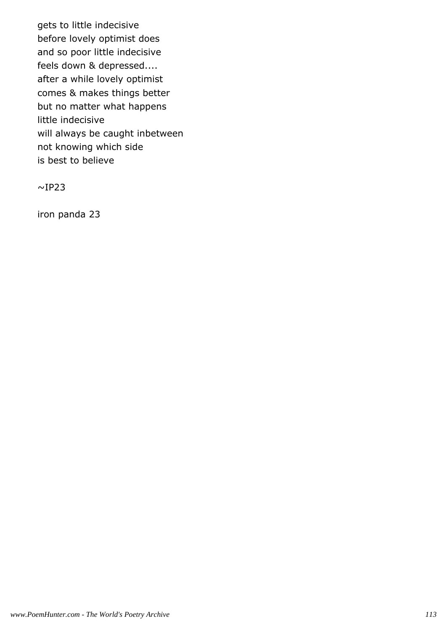gets to little indecisive before lovely optimist does and so poor little indecisive feels down & depressed.... after a while lovely optimist comes & makes things better but no matter what happens little indecisive will always be caught inbetween not knowing which side is best to believe

 $~\sim$ IP23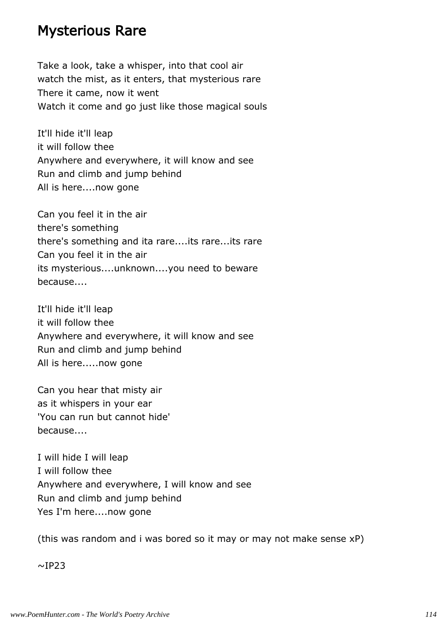#### Mysterious Rare

Take a look, take a whisper, into that cool air watch the mist, as it enters, that mysterious rare There it came, now it went Watch it come and go just like those magical souls

It'll hide it'll leap it will follow thee Anywhere and everywhere, it will know and see Run and climb and jump behind All is here....now gone

Can you feel it in the air there's something there's something and ita rare....its rare...its rare Can you feel it in the air its mysterious....unknown....you need to beware because....

It'll hide it'll leap it will follow thee Anywhere and everywhere, it will know and see Run and climb and jump behind All is here.....now gone

Can you hear that misty air as it whispers in your ear 'You can run but cannot hide' because....

I will hide I will leap I will follow thee Anywhere and everywhere, I will know and see Run and climb and jump behind Yes I'm here....now gone

(this was random and i was bored so it may or may not make sense xP)

 $~\sim$ IP23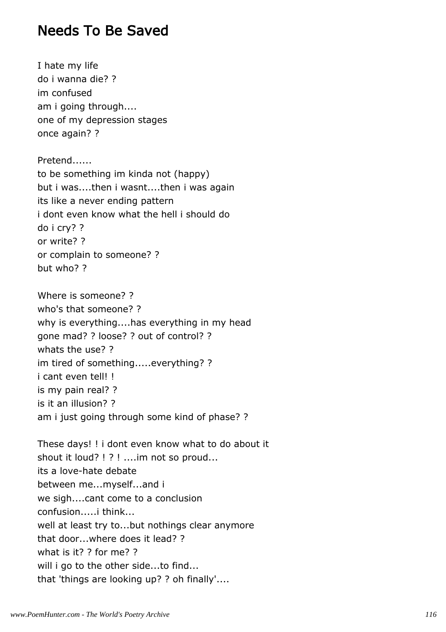#### Needs To Be Saved

I hate my life do i wanna die? ? im confused am i going through.... one of my depression stages once again? ?

Pretend...... to be something im kinda not (happy) but i was....then i wasnt....then i was again its like a never ending pattern i dont even know what the hell i should do do i cry? ? or write? ? or complain to someone? ? but who? ?

Where is someone? ? who's that someone? ? why is everything....has everything in my head gone mad? ? loose? ? out of control? ? whats the use? ? im tired of something.....everything? ? i cant even tell! ! is my pain real? ? is it an illusion? ? am i just going through some kind of phase? ?

These days! ! i dont even know what to do about it shout it loud? ! ? ! ....im not so proud... its a love-hate debate between me...myself...and i we sigh....cant come to a conclusion confusion.....i think... well at least try to...but nothings clear anymore that door...where does it lead? ? what is it? ? for me? ? will i go to the other side...to find... that 'things are looking up? ? oh finally'....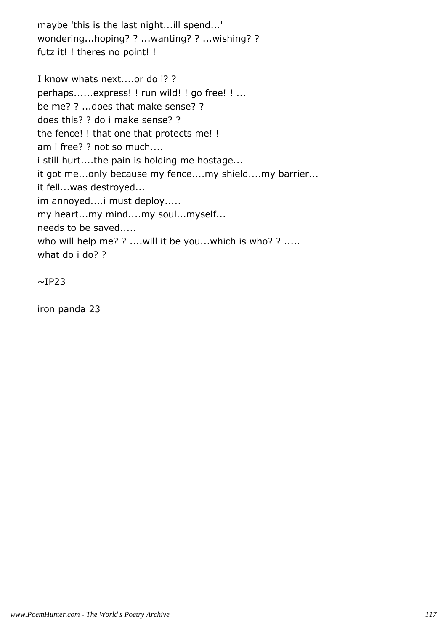maybe 'this is the last night...ill spend...' wondering...hoping? ? ...wanting? ? ...wishing? ? futz it! ! theres no point! !

I know whats next....or do i? ? perhaps......express! ! run wild! ! go free! ! ... be me? ? ...does that make sense? ? does this? ? do i make sense? ? the fence! ! that one that protects me! ! am i free? ? not so much.... i still hurt....the pain is holding me hostage... it got me...only because my fence....my shield....my barrier... it fell...was destroyed... im annoyed....i must deploy..... my heart...my mind....my soul...myself... needs to be saved..... who will help me? ? ....will it be you...which is who? ? ..... what do i do? ?

 $~\sim$ IP23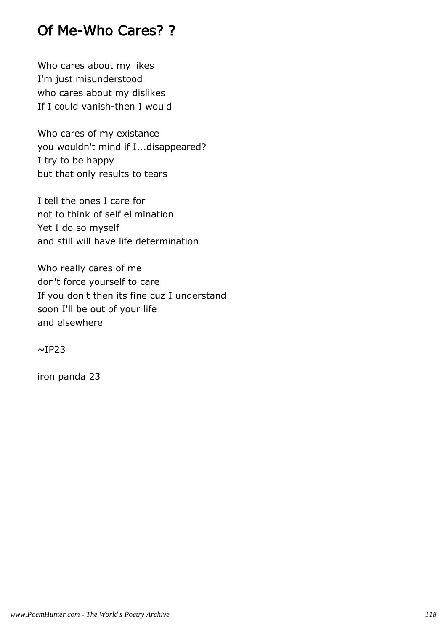## Of Me-Who Cares? ?

Who cares about my likes I'm just misunderstood who cares about my dislikes If I could vanish-then I would

Who cares of my existance you wouldn't mind if I...disappeared? I try to be happy but that only results to tears

I tell the ones I care for not to think of self elimination Yet I do so myself and still will have life determination

Who really cares of me don't force yourself to care If you don't then its fine cuz I understand soon I'll be out of your life and elsewhere

 $~\sim$ IP23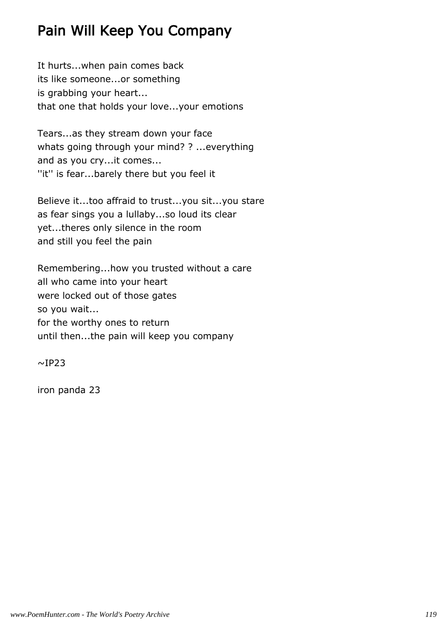# Pain Will Keep You Company

It hurts...when pain comes back its like someone...or something is grabbing your heart... that one that holds your love...your emotions

Tears...as they stream down your face whats going through your mind? ? ...everything and as you cry...it comes... ''it'' is fear...barely there but you feel it

Believe it...too affraid to trust...you sit...you stare as fear sings you a lullaby...so loud its clear yet...theres only silence in the room and still you feel the pain

Remembering...how you trusted without a care all who came into your heart were locked out of those gates so you wait... for the worthy ones to return until then...the pain will keep you company

 $~\sim$ IP23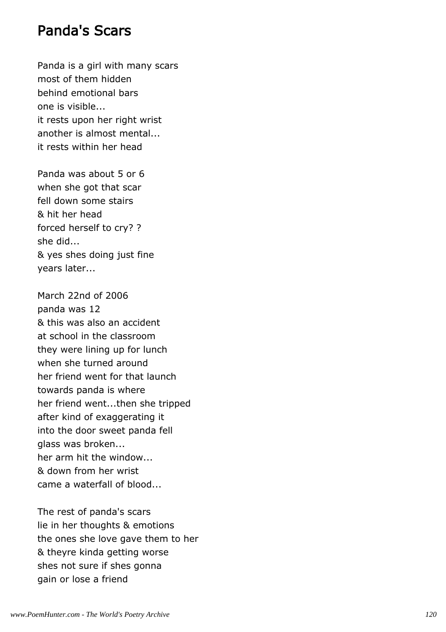#### Panda's Scars

Panda is a girl with many scars most of them hidden behind emotional bars one is visible... it rests upon her right wrist another is almost mental... it rests within her head

Panda was about 5 or 6 when she got that scar fell down some stairs & hit her head forced herself to cry? ? she did... & yes shes doing just fine years later...

March 22nd of 2006 panda was 12 & this was also an accident at school in the classroom they were lining up for lunch when she turned around her friend went for that launch towards panda is where her friend went...then she tripped after kind of exaggerating it into the door sweet panda fell glass was broken... her arm hit the window... & down from her wrist came a waterfall of blood...

The rest of panda's scars lie in her thoughts & emotions the ones she love gave them to her & theyre kinda getting worse shes not sure if shes gonna gain or lose a friend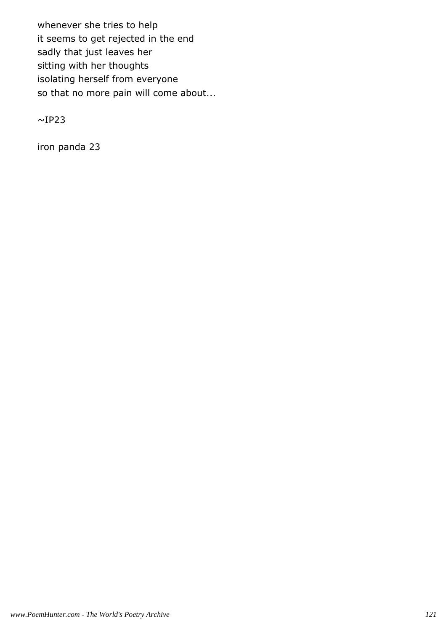whenever she tries to help it seems to get rejected in the end sadly that just leaves her sitting with her thoughts isolating herself from everyone so that no more pain will come about...

 $~\sim$ IP23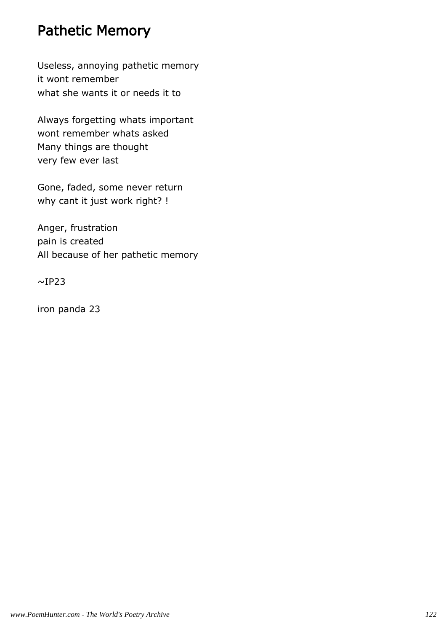#### Pathetic Memory

Useless, annoying pathetic memory it wont remember what she wants it or needs it to

Always forgetting whats important wont remember whats asked Many things are thought very few ever last

Gone, faded, some never return why cant it just work right? !

Anger, frustration pain is created All because of her pathetic memory

 $\sim$ IP23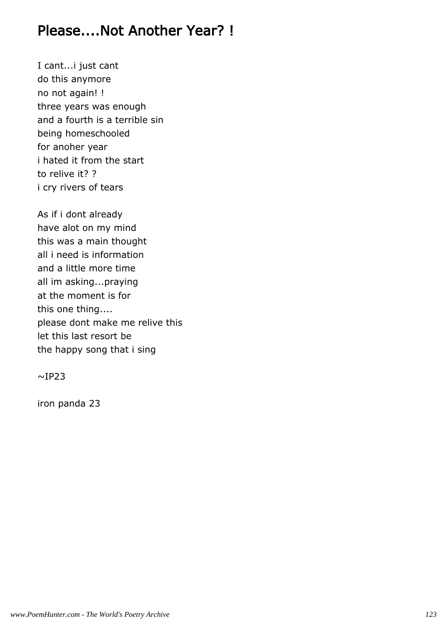## Please....Not Another Year? !

I cant...i just cant do this anymore no not again! ! three years was enough and a fourth is a terrible sin being homeschooled for anoher year i hated it from the start to relive it? ? i cry rivers of tears

As if i dont already have alot on my mind this was a main thought all i need is information and a little more time all im asking...praying at the moment is for this one thing.... please dont make me relive this let this last resort be the happy song that i sing

 $\sim$ IP23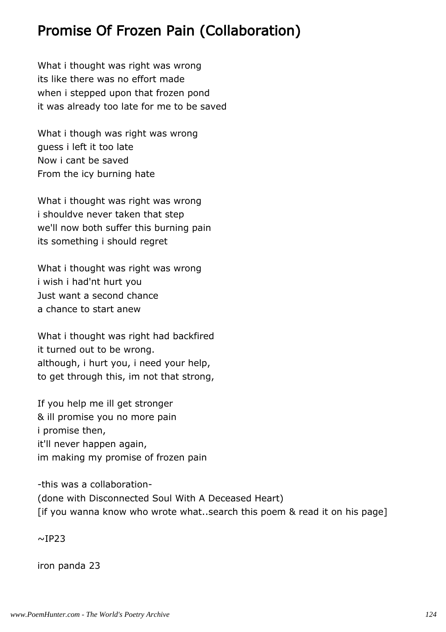## Promise Of Frozen Pain (Collaboration)

What i thought was right was wrong its like there was no effort made when i stepped upon that frozen pond it was already too late for me to be saved

What i though was right was wrong guess i left it too late Now i cant be saved From the icy burning hate

What i thought was right was wrong i shouldve never taken that step we'll now both suffer this burning pain its something i should regret

What i thought was right was wrong i wish i had'nt hurt you Just want a second chance a chance to start anew

What i thought was right had backfired it turned out to be wrong. although, i hurt you, i need your help, to get through this, im not that strong,

If you help me ill get stronger & ill promise you no more pain i promise then, it'll never happen again, im making my promise of frozen pain

-this was a collaboration- (done with Disconnected Soul With A Deceased Heart) [if you wanna know who wrote what..search this poem & read it on his page]

 $\sim$ IP23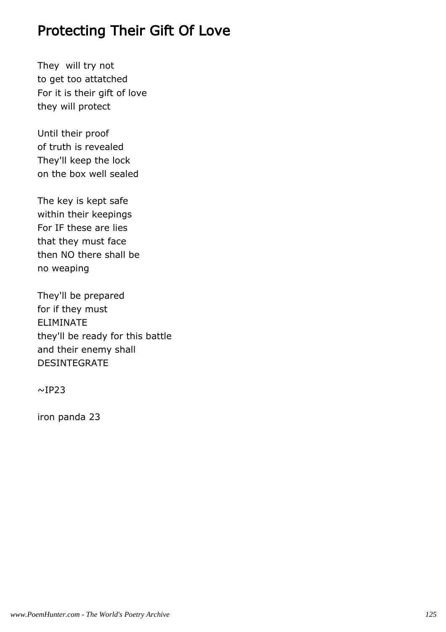### Protecting Their Gift Of Love

They will try not to get too attatched For it is their gift of love they will protect

Until their proof of truth is revealed They'll keep the lock on the box well sealed

The key is kept safe within their keepings For IF these are lies that they must face then NO there shall be no weaping

They'll be prepared for if they must ELIMINATE they'll be ready for this battle and their enemy shall DESINTEGRATE

 $~\sim$ IP23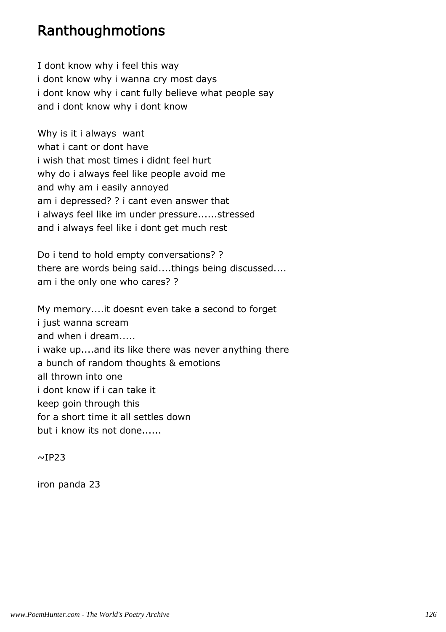#### Ranthoughmotions

I dont know why i feel this way i dont know why i wanna cry most days i dont know why i cant fully believe what people say and i dont know why i dont know

Why is it i always want what i cant or dont have i wish that most times i didnt feel hurt why do i always feel like people avoid me and why am i easily annoyed am i depressed? ? i cant even answer that i always feel like im under pressure......stressed and i always feel like i dont get much rest

Do i tend to hold empty conversations? ? there are words being said....things being discussed.... am i the only one who cares? ?

My memory....it doesnt even take a second to forget i just wanna scream and when i dream..... i wake up....and its like there was never anything there a bunch of random thoughts & emotions all thrown into one i dont know if i can take it keep goin through this for a short time it all settles down but i know its not done......

 $\sim$ IP23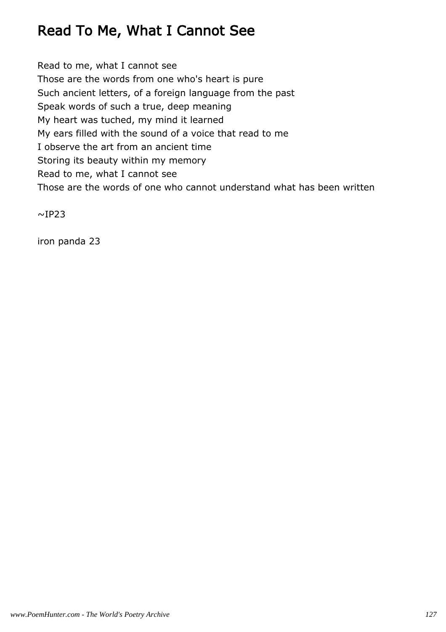# Read To Me, What I Cannot See

Read to me, what I cannot see Those are the words from one who's heart is pure Such ancient letters, of a foreign language from the past Speak words of such a true, deep meaning My heart was tuched, my mind it learned My ears filled with the sound of a voice that read to me I observe the art from an ancient time Storing its beauty within my memory Read to me, what I cannot see Those are the words of one who cannot understand what has been written

 $~\sim$ IP23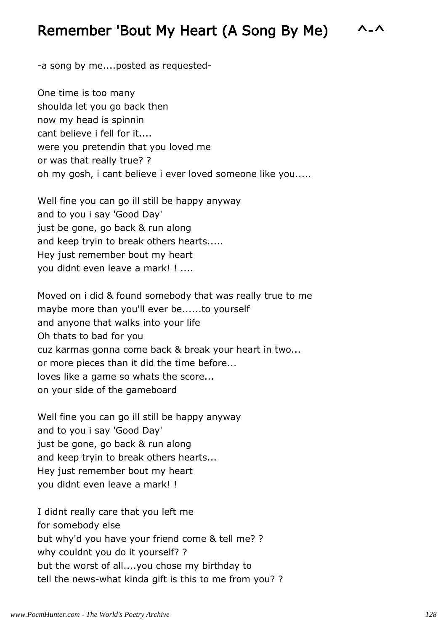#### Remember 'Bout My Heart (A Song By Me) ^-^

-a song by me....posted as requested-

One time is too many shoulda let you go back then now my head is spinnin cant believe i fell for it.... were you pretendin that you loved me or was that really true? ? oh my gosh, i cant believe i ever loved someone like you.....

Well fine you can go ill still be happy anyway and to you i say 'Good Day' just be gone, go back & run along and keep tryin to break others hearts..... Hey just remember bout my heart you didnt even leave a mark! ! ....

Moved on i did & found somebody that was really true to me maybe more than you'll ever be......to yourself and anyone that walks into your life Oh thats to bad for you cuz karmas gonna come back & break your heart in two... or more pieces than it did the time before... loves like a game so whats the score... on your side of the gameboard

Well fine you can go ill still be happy anyway and to you i say 'Good Day' just be gone, go back & run along and keep tryin to break others hearts... Hey just remember bout my heart you didnt even leave a mark! !

I didnt really care that you left me for somebody else but why'd you have your friend come & tell me? ? why couldnt you do it yourself? ? but the worst of all....you chose my birthday to tell the news-what kinda gift is this to me from you? ?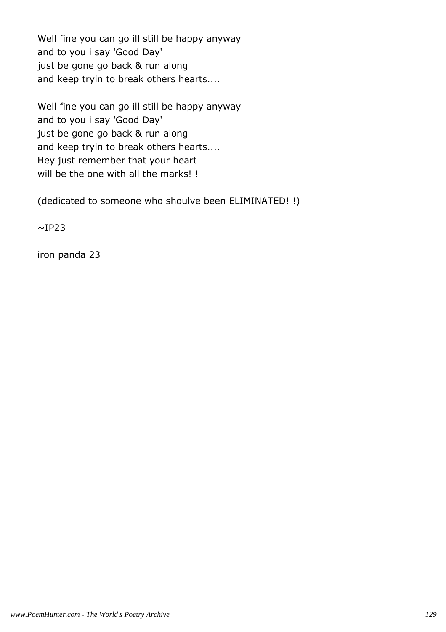Well fine you can go ill still be happy anyway and to you i say 'Good Day' just be gone go back & run along and keep tryin to break others hearts....

Well fine you can go ill still be happy anyway and to you i say 'Good Day' just be gone go back & run along and keep tryin to break others hearts.... Hey just remember that your heart will be the one with all the marks! !

(dedicated to someone who shoulve been ELIMINATED! !)

 $~\sim$ IP23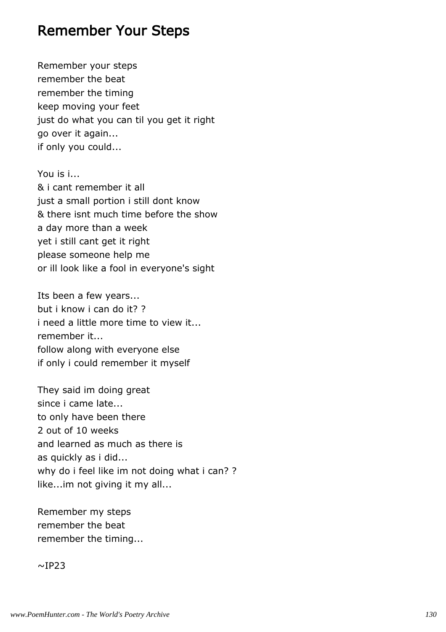#### Remember Your Steps

Remember your steps remember the beat remember the timing keep moving your feet just do what you can til you get it right go over it again... if only you could...

You is i... & i cant remember it all just a small portion i still dont know & there isnt much time before the show a day more than a week yet i still cant get it right please someone help me or ill look like a fool in everyone's sight

Its been a few years... but i know i can do it? ? i need a little more time to view it... remember it... follow along with everyone else if only i could remember it myself

They said im doing great since i came late... to only have been there 2 out of 10 weeks and learned as much as there is as quickly as i did... why do i feel like im not doing what i can? ? like...im not giving it my all...

Remember my steps remember the beat remember the timing...

 $~\sim$ IP23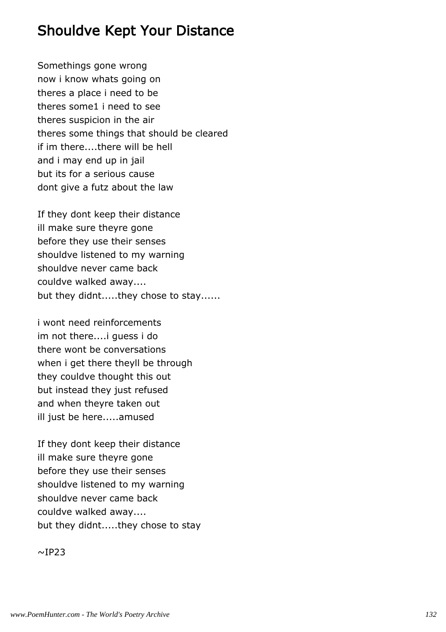#### Shouldve Kept Your Distance

Somethings gone wrong now i know whats going on theres a place i need to be theres some1 i need to see theres suspicion in the air theres some things that should be cleared if im there....there will be hell and i may end up in jail but its for a serious cause dont give a futz about the law

If they dont keep their distance ill make sure theyre gone before they use their senses shouldve listened to my warning shouldve never came back couldve walked away.... but they didnt.....they chose to stay......

i wont need reinforcements im not there....i guess i do there wont be conversations when i get there theyll be through they couldve thought this out but instead they just refused and when theyre taken out ill just be here.....amused

If they dont keep their distance ill make sure theyre gone before they use their senses shouldve listened to my warning shouldve never came back couldve walked away.... but they didnt.....they chose to stay

 $~\sim$ IP23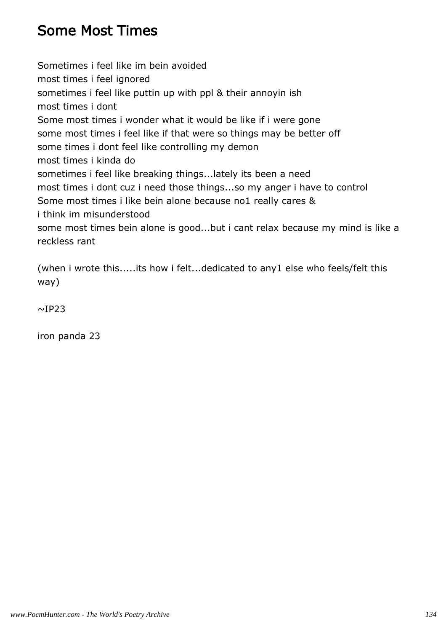## Some Most Times

Sometimes i feel like im bein avoided most times i feel ignored sometimes i feel like puttin up with ppl & their annoyin ish most times i dont Some most times i wonder what it would be like if i were gone some most times i feel like if that were so things may be better off some times i dont feel like controlling my demon most times i kinda do sometimes i feel like breaking things...lately its been a need most times i dont cuz i need those things...so my anger i have to control Some most times i like bein alone because no1 really cares & i think im misunderstood some most times bein alone is good...but i cant relax because my mind is like a reckless rant

(when i wrote this.....its how i felt...dedicated to any1 else who feels/felt this way)

 $~\sim$ IP23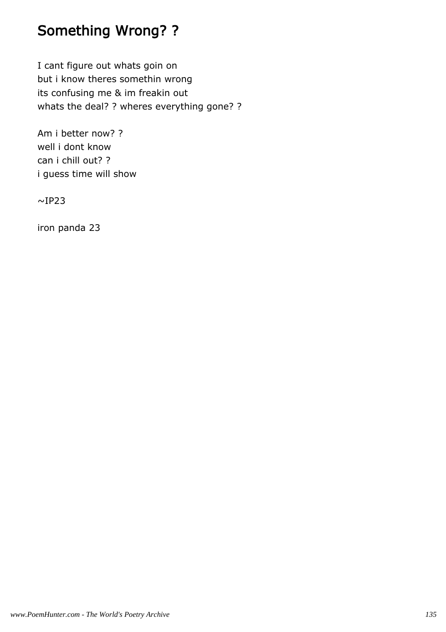# Something Wrong? ?

I cant figure out whats goin on but i know theres somethin wrong its confusing me & im freakin out whats the deal? ? wheres everything gone? ?

Am i better now? ? well i dont know can i chill out? ? i guess time will show

 $~\sim$ IP23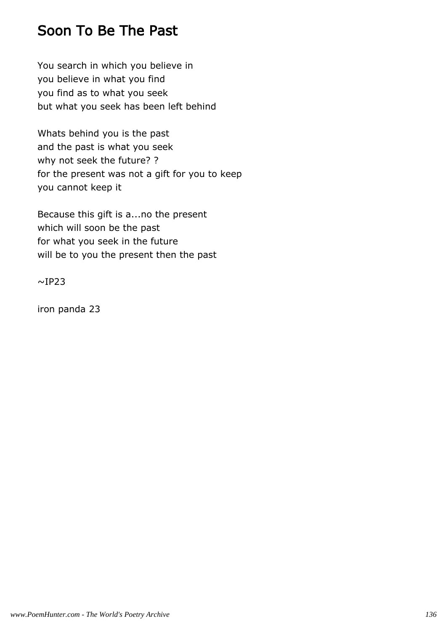### Soon To Be The Past

You search in which you believe in you believe in what you find you find as to what you seek but what you seek has been left behind

Whats behind you is the past and the past is what you seek why not seek the future? ? for the present was not a gift for you to keep you cannot keep it

Because this gift is a...no the present which will soon be the past for what you seek in the future will be to you the present then the past

 $~\sim$ IP23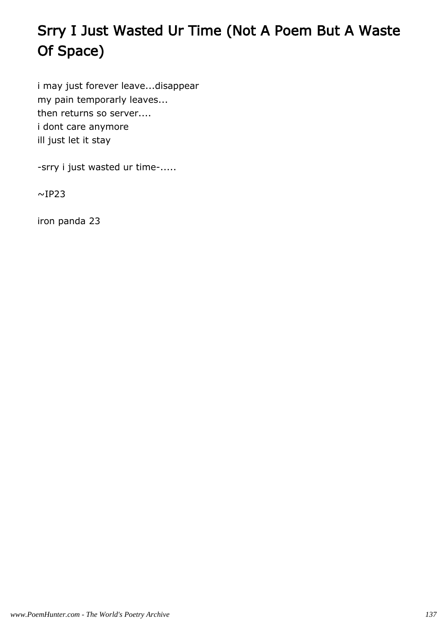# Srry I Just Wasted Ur Time (Not A Poem But A Waste Of Space)

i may just forever leave...disappear my pain temporarly leaves... then returns so server.... i dont care anymore ill just let it stay

-srry i just wasted ur time-.....

 $\sim$ IP23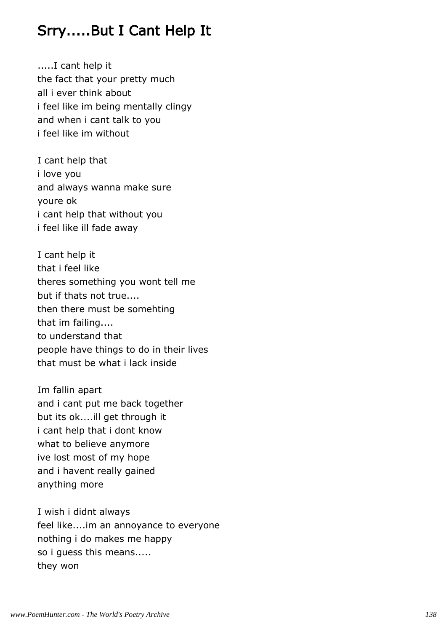# Srry.....But I Cant Help It

.....I cant help it the fact that your pretty much all i ever think about i feel like im being mentally clingy and when i cant talk to you i feel like im without

I cant help that i love you and always wanna make sure youre ok i cant help that without you i feel like ill fade away

I cant help it that i feel like theres something you wont tell me but if thats not true.... then there must be somehting that im failing.... to understand that people have things to do in their lives that must be what i lack inside

Im fallin apart and i cant put me back together but its ok....ill get through it i cant help that i dont know what to believe anymore ive lost most of my hope and i havent really gained anything more

I wish i didnt always feel like....im an annoyance to everyone nothing i do makes me happy so i guess this means..... they won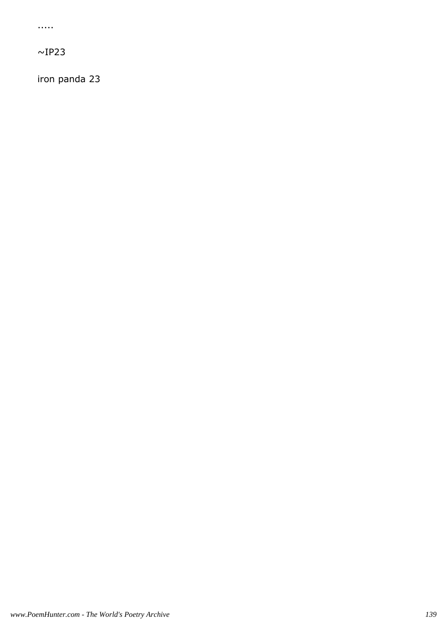.....

 $\sim$ IP23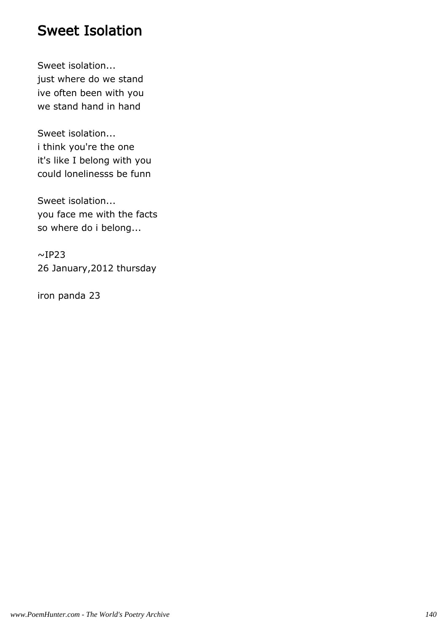#### Sweet Isolation

Sweet isolation... just where do we stand ive often been with you we stand hand in hand

Sweet isolation... i think you're the one it's like I belong with you could lonelinesss be funn

Sweet isolation... you face me with the facts so where do i belong...

 $\sim$ IP23 26 January,2012 thursday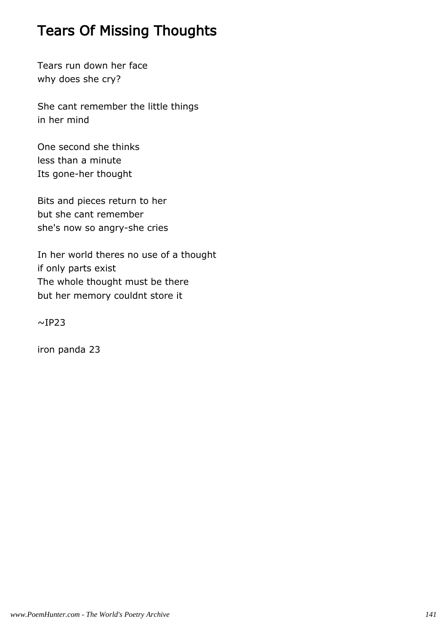## Tears Of Missing Thoughts

Tears run down her face why does she cry?

She cant remember the little things in her mind

One second she thinks less than a minute Its gone-her thought

Bits and pieces return to her but she cant remember she's now so angry-she cries

In her world theres no use of a thought if only parts exist The whole thought must be there but her memory couldnt store it

 $\sim$ IP23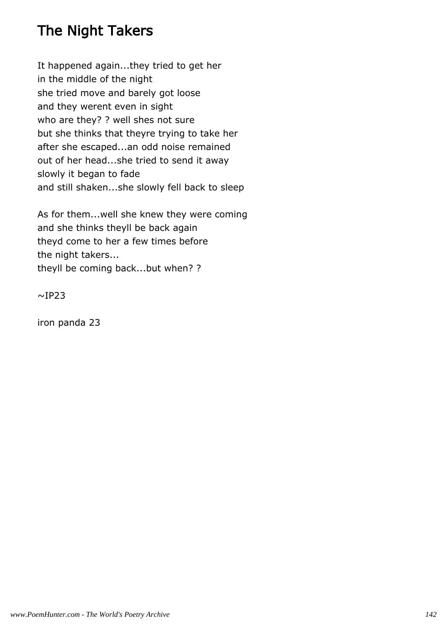# The Night Takers

It happened again...they tried to get her in the middle of the night she tried move and barely got loose and they werent even in sight who are they? ? well shes not sure but she thinks that theyre trying to take her after she escaped...an odd noise remained out of her head...she tried to send it away slowly it began to fade and still shaken...she slowly fell back to sleep

As for them...well she knew they were coming and she thinks theyll be back again theyd come to her a few times before the night takers... theyll be coming back...but when? ?

 $~\sim$ IP23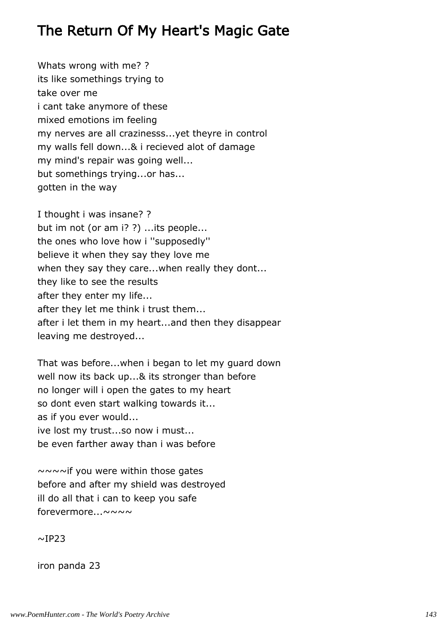## The Return Of My Heart's Magic Gate

Whats wrong with me? ? its like somethings trying to take over me i cant take anymore of these mixed emotions im feeling my nerves are all crazinesss...yet theyre in control my walls fell down...& i recieved alot of damage my mind's repair was going well... but somethings trying...or has... gotten in the way

I thought i was insane? ? but im not (or am i? ?) ...its people... the ones who love how i ''supposedly'' believe it when they say they love me when they say they care...when really they dont... they like to see the results after they enter my life... after they let me think i trust them... after i let them in my heart...and then they disappear leaving me destroyed...

That was before...when i began to let my guard down well now its back up...& its stronger than before no longer will i open the gates to my heart so dont even start walking towards it... as if you ever would... ive lost my trust...so now i must... be even farther away than i was before

~~~~if you were within those gates before and after my shield was destroyed ill do all that i can to keep you safe forevermore...~~~~

 $~\sim$ IP23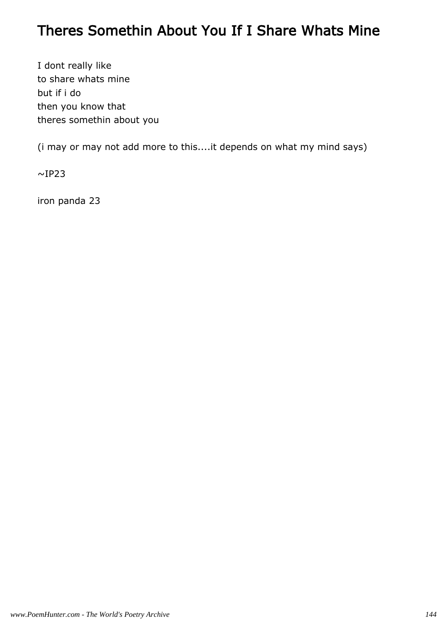#### Theres Somethin About You If I Share Whats Mine

I dont really like to share whats mine but if i do then you know that theres somethin about you

(i may or may not add more to this....it depends on what my mind says)

 $~\sim$ IP23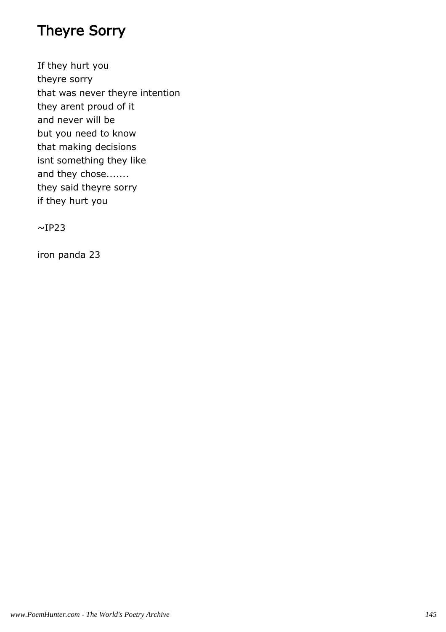## Theyre Sorry

If they hurt you theyre sorry that was never theyre intention they arent proud of it and never will be but you need to know that making decisions isnt something they like and they chose....... they said theyre sorry if they hurt you

 $\sim$ IP23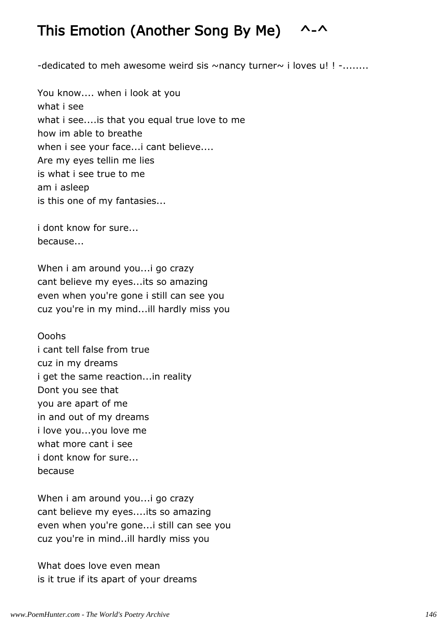# This Emotion (Another Song By Me) ^-^

-dedicated to meh awesome weird sis  $\sim$ nancy turner $\sim$  i loves u! ! -........

You know.... when i look at you what i see what i see....is that you equal true love to me how im able to breathe when i see your face...i cant believe.... Are my eyes tellin me lies is what i see true to me am i asleep is this one of my fantasies...

i dont know for sure... because...

When i am around you...i go crazy cant believe my eyes...its so amazing even when you're gone i still can see you cuz you're in my mind...ill hardly miss you

Ooohs i cant tell false from true cuz in my dreams i get the same reaction...in reality Dont you see that you are apart of me in and out of my dreams i love you...you love me what more cant i see i dont know for sure... because

When i am around you...i go crazy cant believe my eyes....its so amazing even when you're gone...i still can see you cuz you're in mind..ill hardly miss you

What does love even mean is it true if its apart of your dreams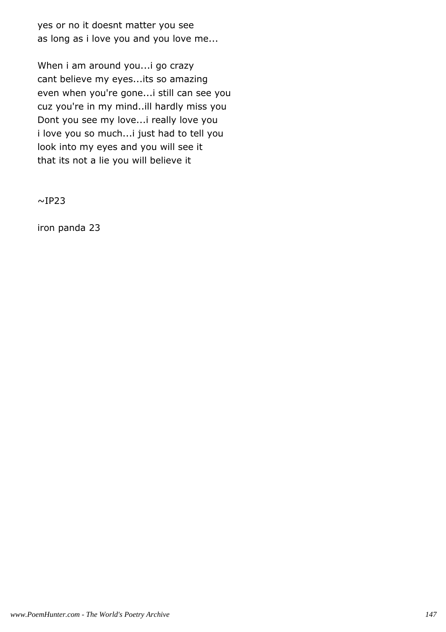yes or no it doesnt matter you see as long as i love you and you love me...

When i am around you...i go crazy cant believe my eyes...its so amazing even when you're gone...i still can see you cuz you're in my mind..ill hardly miss you Dont you see my love...i really love you i love you so much...i just had to tell you look into my eyes and you will see it that its not a lie you will believe it

 $~\sim$ IP23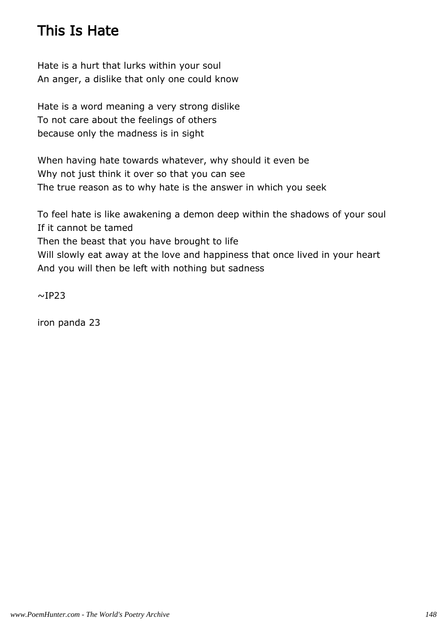# This Is Hate

Hate is a hurt that lurks within your soul An anger, a dislike that only one could know

Hate is a word meaning a very strong dislike To not care about the feelings of others because only the madness is in sight

When having hate towards whatever, why should it even be Why not just think it over so that you can see The true reason as to why hate is the answer in which you seek

To feel hate is like awakening a demon deep within the shadows of your soul If it cannot be tamed Then the beast that you have brought to life Will slowly eat away at the love and happiness that once lived in your heart And you will then be left with nothing but sadness

 $~\sim$ IP23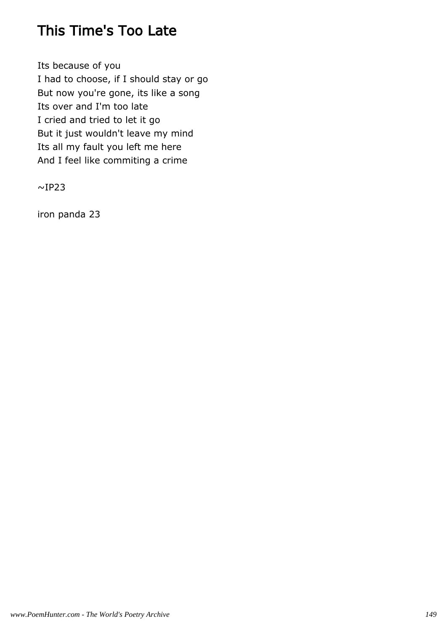## This Time's Too Late

Its because of you I had to choose, if I should stay or go But now you're gone, its like a song Its over and I'm too late I cried and tried to let it go But it just wouldn't leave my mind Its all my fault you left me here And I feel like commiting a crime

 $~\sim$ IP23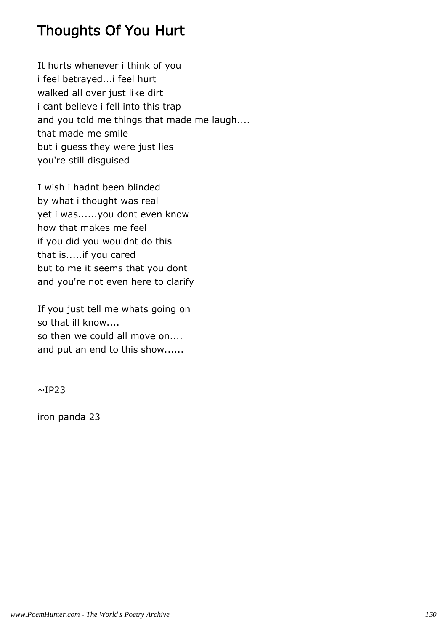## Thoughts Of You Hurt

It hurts whenever i think of you i feel betrayed...i feel hurt walked all over just like dirt i cant believe i fell into this trap and you told me things that made me laugh.... that made me smile but i guess they were just lies you're still disguised

I wish i hadnt been blinded by what i thought was real yet i was......you dont even know how that makes me feel if you did you wouldnt do this that is.....if you cared but to me it seems that you dont and you're not even here to clarify

If you just tell me whats going on so that ill know.... so then we could all move on.... and put an end to this show......

 $~\sim$ IP23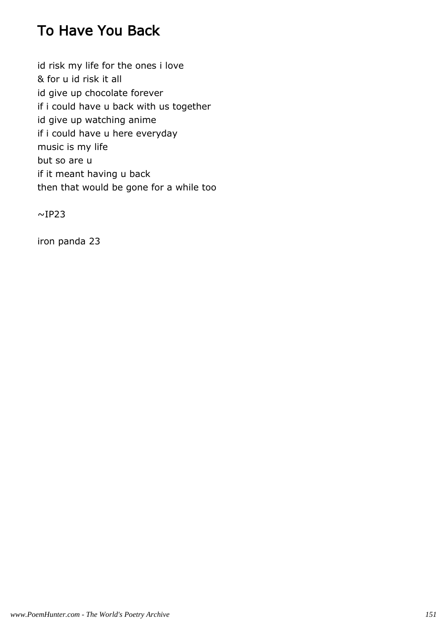# To Have You Back

id risk my life for the ones i love & for u id risk it all id give up chocolate forever if i could have u back with us together id give up watching anime if i could have u here everyday music is my life but so are u if it meant having u back then that would be gone for a while too

 $~\sim$ IP23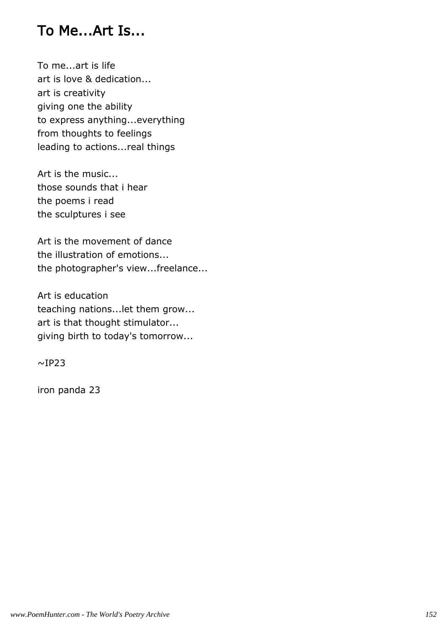#### To Me...Art Is...

To me...art is life art is love & dedication... art is creativity giving one the ability to express anything...everything from thoughts to feelings leading to actions...real things

Art is the music... those sounds that i hear the poems i read the sculptures i see

Art is the movement of dance the illustration of emotions... the photographer's view...freelance...

Art is education teaching nations...let them grow... art is that thought stimulator... giving birth to today's tomorrow...

 $~\sim$ IP23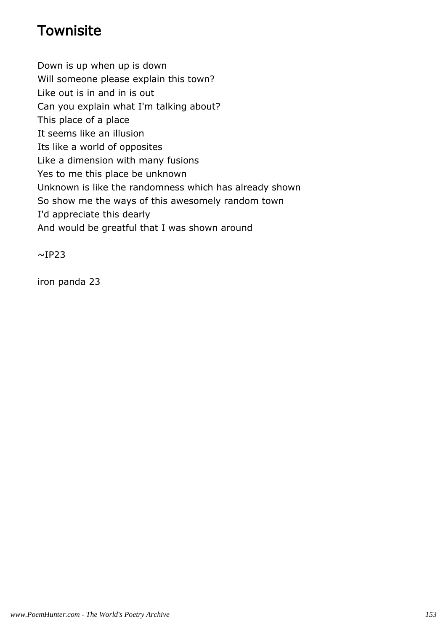# **Townisite**

Down is up when up is down

Will someone please explain this town?

Like out is in and in is out

Can you explain what I'm talking about?

This place of a place

It seems like an illusion

Its like a world of opposites

Like a dimension with many fusions

Yes to me this place be unknown

Unknown is like the randomness which has already shown

So show me the ways of this awesomely random town

I'd appreciate this dearly

And would be greatful that I was shown around

 $~\sim$ IP23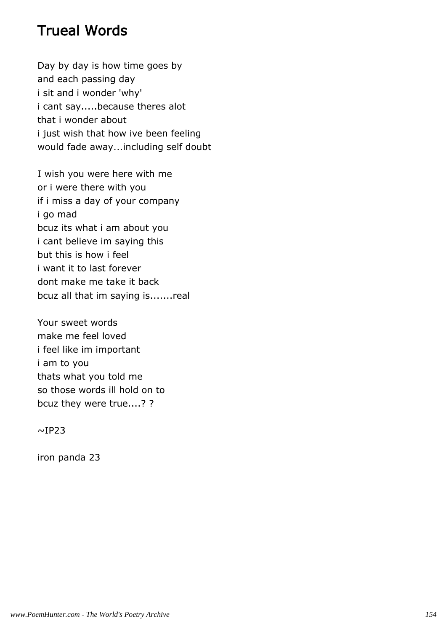#### Trueal Words

Day by day is how time goes by and each passing day i sit and i wonder 'why' i cant say.....because theres alot that i wonder about i just wish that how ive been feeling would fade away...including self doubt

I wish you were here with me or i were there with you if i miss a day of your company i go mad bcuz its what i am about you i cant believe im saying this but this is how i feel i want it to last forever dont make me take it back bcuz all that im saying is.......real

Your sweet words make me feel loved i feel like im important i am to you thats what you told me so those words ill hold on to bcuz they were true....? ?

 $~\sim$ IP23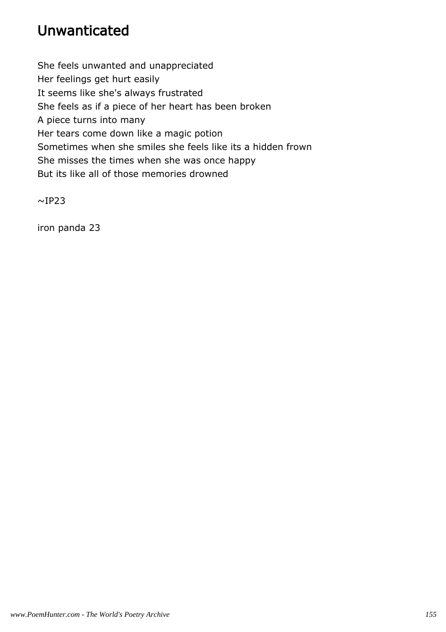# Unwanticated

She feels unwanted and unappreciated Her feelings get hurt easily It seems like she's always frustrated She feels as if a piece of her heart has been broken A piece turns into many Her tears come down like a magic potion Sometimes when she smiles she feels like its a hidden frown She misses the times when she was once happy But its like all of those memories drowned

 $~\sim$ IP23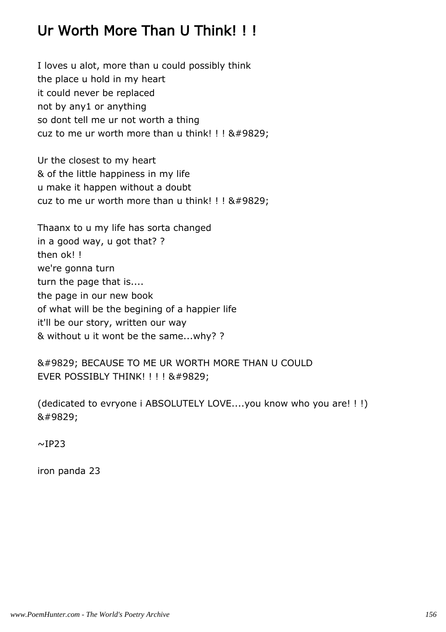# Ur Worth More Than U Think! ! !

I loves u alot, more than u could possibly think the place u hold in my heart it could never be replaced not by any1 or anything so dont tell me ur not worth a thing cuz to me ur worth more than u think! ! !  $♥$ 

Ur the closest to my heart & of the little happiness in my life u make it happen without a doubt cuz to me ur worth more than u think! ! !  $&\#9829$ ;

Thaanx to u my life has sorta changed in a good way, u got that? ? then ok! ! we're gonna turn turn the page that is.... the page in our new book of what will be the begining of a happier life it'll be our story, written our way & without u it wont be the same...why? ?

♥ BECAUSE TO ME UR WORTH MORE THAN U COULD EVER POSSIBLY THINK! ! ! ! & #9829;

(dedicated to evryone i ABSOLUTELY LOVE....you know who you are! ! !) ♥

 $~\sim$ IP23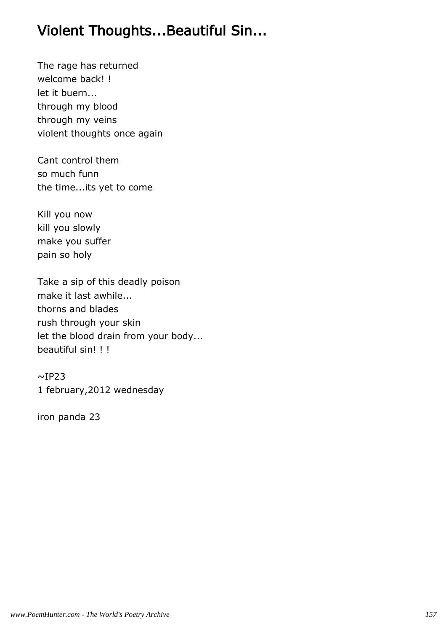# Violent Thoughts...Beautiful Sin...

The rage has returned welcome back! ! let it buern... through my blood through my veins violent thoughts once again

Cant control them so much funn the time...its yet to come

Kill you now kill you slowly make you suffer pain so holy

Take a sip of this deadly poison make it last awhile... thorns and blades rush through your skin let the blood drain from your body... beautiful sin! ! !

 $~\sim$ IP23 1 february,2012 wednesday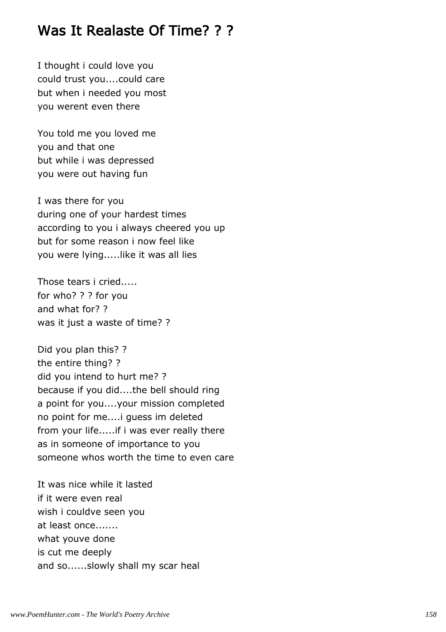#### Was It Realaste Of Time? ? ?

I thought i could love you could trust you....could care but when i needed you most you werent even there

You told me you loved me you and that one but while i was depressed you were out having fun

I was there for you during one of your hardest times according to you i always cheered you up but for some reason i now feel like you were lying.....like it was all lies

Those tears i cried..... for who? ? ? for you and what for? ? was it just a waste of time? ?

Did you plan this? ? the entire thing? ? did you intend to hurt me? ? because if you did....the bell should ring a point for you....your mission completed no point for me....i guess im deleted from your life.....if i was ever really there as in someone of importance to you someone whos worth the time to even care

It was nice while it lasted if it were even real wish i couldve seen you at least once....... what youve done is cut me deeply and so......slowly shall my scar heal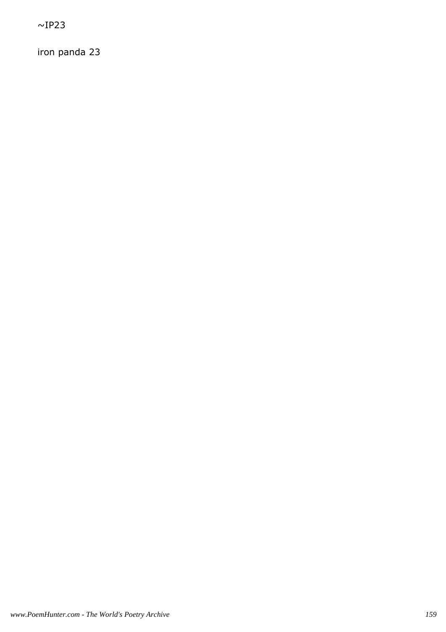$~\sim$ IP23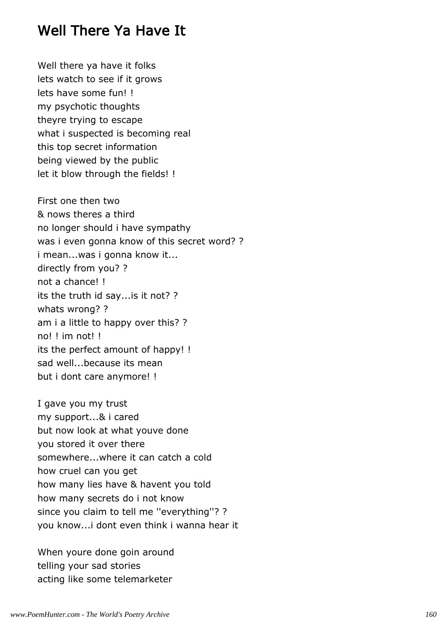## Well There Ya Have It

Well there ya have it folks lets watch to see if it grows lets have some fun! ! my psychotic thoughts theyre trying to escape what i suspected is becoming real this top secret information being viewed by the public let it blow through the fields! !

First one then two & nows theres a third no longer should i have sympathy was i even gonna know of this secret word? ? i mean...was i gonna know it... directly from you? ? not a chance! ! its the truth id say...is it not? ? whats wrong? ? am i a little to happy over this? ? no! ! im not! ! its the perfect amount of happy! ! sad well...because its mean but i dont care anymore! !

I gave you my trust my support...& i cared but now look at what youve done you stored it over there somewhere...where it can catch a cold how cruel can you get how many lies have & havent you told how many secrets do i not know since you claim to tell me ''everything''? ? you know...i dont even think i wanna hear it

When youre done goin around telling your sad stories acting like some telemarketer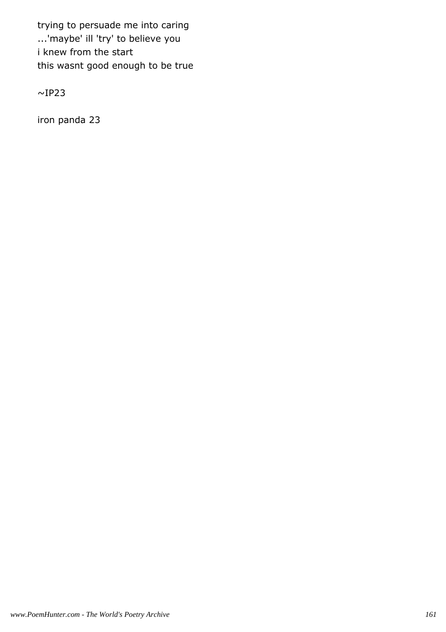trying to persuade me into caring ...'maybe' ill 'try' to believe you i knew from the start this wasnt good enough to be true

 $\sim$ IP23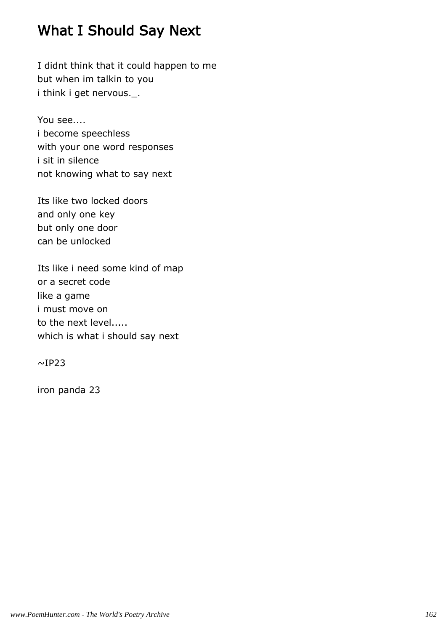## What I Should Say Next

I didnt think that it could happen to me but when im talkin to you i think i get nervous.\_.

You see.... i become speechless with your one word responses i sit in silence not knowing what to say next

Its like two locked doors and only one key but only one door can be unlocked

Its like i need some kind of map or a secret code like a game i must move on to the next level..... which is what i should say next

 $~\sim$ IP23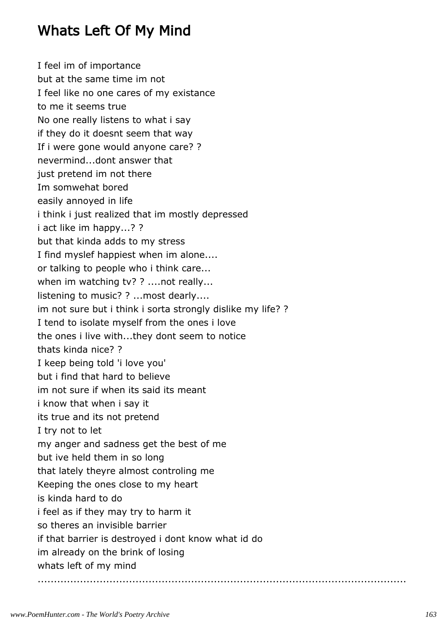## Whats Left Of My Mind

I feel im of importance but at the same time im not I feel like no one cares of my existance to me it seems true No one really listens to what i say if they do it doesnt seem that way If i were gone would anyone care? ? nevermind...dont answer that just pretend im not there Im somwehat bored easily annoyed in life i think i just realized that im mostly depressed i act like im happy...? ? but that kinda adds to my stress I find myslef happiest when im alone.... or talking to people who i think care... when im watching tv? ? ....not really... listening to music? ? ...most dearly.... im not sure but i think i sorta strongly dislike my life? ? I tend to isolate myself from the ones i love the ones i live with...they dont seem to notice thats kinda nice? ? I keep being told 'i love you' but i find that hard to believe im not sure if when its said its meant i know that when i say it its true and its not pretend I try not to let my anger and sadness get the best of me but ive held them in so long that lately theyre almost controling me Keeping the ones close to my heart is kinda hard to do i feel as if they may try to harm it so theres an invisible barrier if that barrier is destroyed i dont know what id do im already on the brink of losing whats left of my mind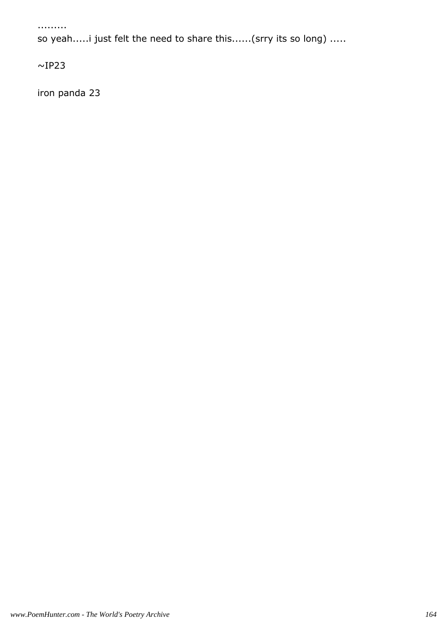.........

so yeah.....i just felt the need to share this......(srry its so long) .....

 $\sim$ IP23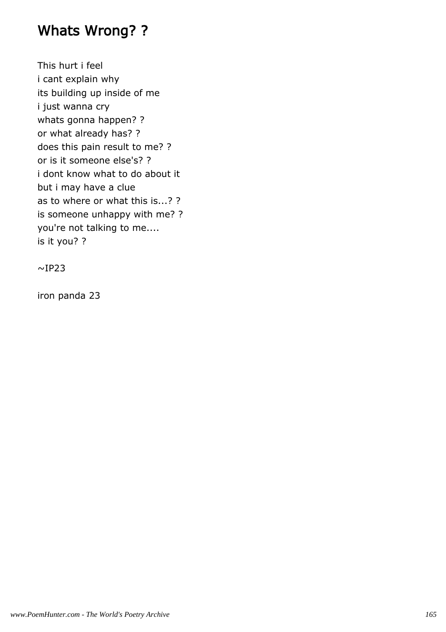## Whats Wrong? ?

This hurt i feel i cant explain why its building up inside of me i just wanna cry whats gonna happen? ? or what already has? ? does this pain result to me? ? or is it someone else's? ? i dont know what to do about it but i may have a clue as to where or what this is...? ? is someone unhappy with me? ? you're not talking to me.... is it you? ?

 $\sim$ IP23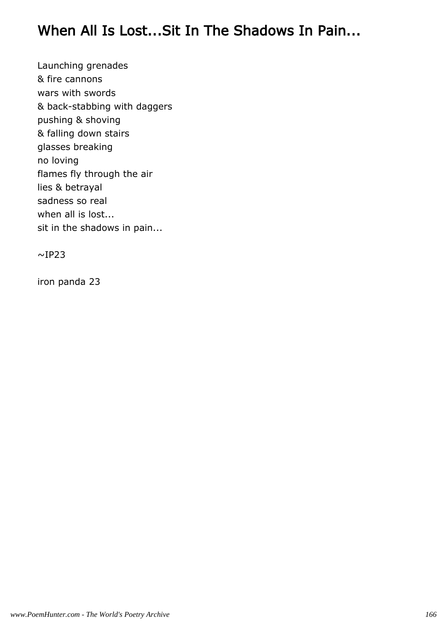## When All Is Lost...Sit In The Shadows In Pain...

Launching grenades & fire cannons wars with swords & back-stabbing with daggers pushing & shoving & falling down stairs glasses breaking no loving flames fly through the air lies & betrayal sadness so real when all is lost... sit in the shadows in pain...

 $\sim$ IP23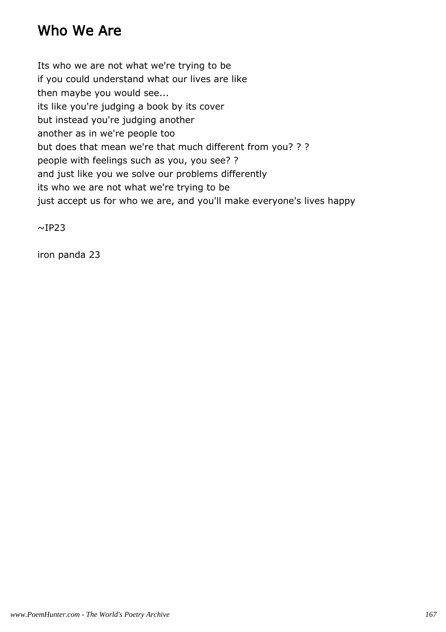# Who We Are

Its who we are not what we're trying to be if you could understand what our lives are like then maybe you would see... its like you're judging a book by its cover but instead you're judging another another as in we're people too but does that mean we're that much different from you? ? ? people with feelings such as you, you see? ? and just like you we solve our problems differently its who we are not what we're trying to be just accept us for who we are, and you'll make everyone's lives happy

 $~\sim$ IP23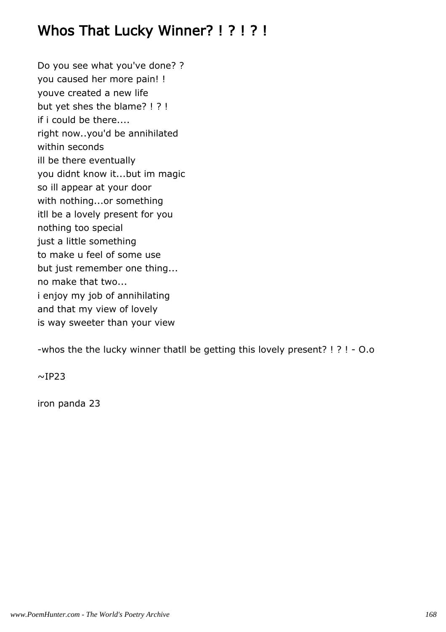# Whos That Lucky Winner? ! ? ! ? !

Do you see what you've done? ? you caused her more pain! ! youve created a new life but yet shes the blame? ! ? ! if i could be there.... right now..you'd be annihilated within seconds ill be there eventually you didnt know it...but im magic so ill appear at your door with nothing...or something itll be a lovely present for you nothing too special just a little something to make u feel of some use but just remember one thing... no make that two... i enjoy my job of annihilating and that my view of lovely is way sweeter than your view

-whos the the lucky winner thatll be getting this lovely present? ! ? ! - O.o

 $~\sim$ IP23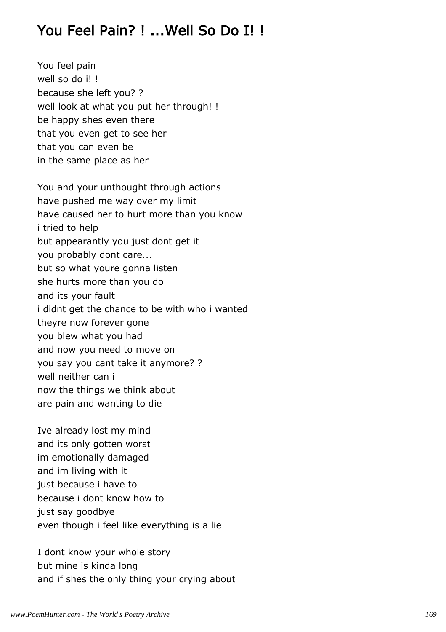## You Feel Pain? ! ...Well So Do I! !

You feel pain well so do i! ! because she left you? ? well look at what you put her through! ! be happy shes even there that you even get to see her that you can even be in the same place as her

You and your unthought through actions have pushed me way over my limit have caused her to hurt more than you know i tried to help but appearantly you just dont get it you probably dont care... but so what youre gonna listen she hurts more than you do and its your fault i didnt get the chance to be with who i wanted theyre now forever gone you blew what you had and now you need to move on you say you cant take it anymore? ? well neither can i now the things we think about are pain and wanting to die

Ive already lost my mind and its only gotten worst im emotionally damaged and im living with it just because i have to because i dont know how to just say goodbye even though i feel like everything is a lie

I dont know your whole story but mine is kinda long and if shes the only thing your crying about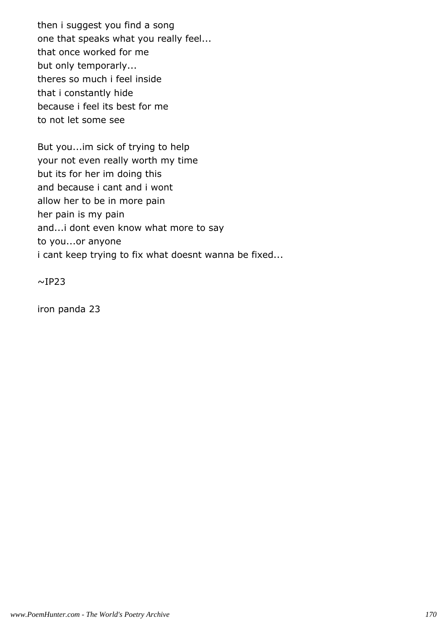then i suggest you find a song one that speaks what you really feel... that once worked for me but only temporarly... theres so much i feel inside that i constantly hide because i feel its best for me to not let some see

But you...im sick of trying to help your not even really worth my time but its for her im doing this and because i cant and i wont allow her to be in more pain her pain is my pain and...i dont even know what more to say to you...or anyone i cant keep trying to fix what doesnt wanna be fixed...

 $~\sim$ IP23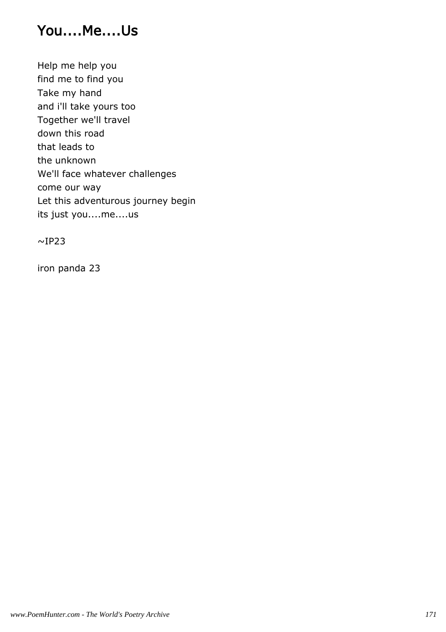#### You....Me....Us

Help me help you find me to find you Take my hand and i'll take yours too Together we'll travel down this road that leads to the unknown We'll face whatever challenges come our way Let this adventurous journey begin its just you....me....us

 $~\sim$ IP23